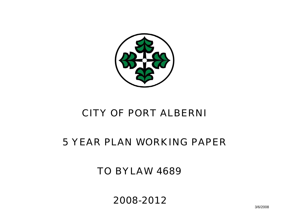

# CITY OF PORT ALBERNI

# 5 YEAR PLAN WORKING PAPER

TO BYLAW 4689

2008-2012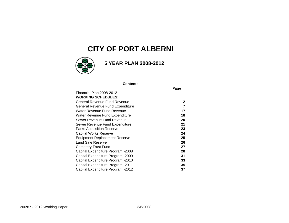### **CITY OF PORT ALBERNI**



### **5 YEAR PLAN 2008-2012**

#### **Contents**

|                                      | Page |
|--------------------------------------|------|
| Financial Plan 2008-2012             |      |
| <b>WORKING SCHEDULES:</b>            |      |
| General Revenue Fund Revenue         | 2    |
| General Revenue Fund Expenditure     | 7    |
| Water Revenue Fund Revenue           | 17   |
| Water Revenue Fund Expenditure       | 18   |
| Sewer Revenue Fund Revenue           | 20   |
| Sewer Revenue Fund Expenditure       | 21   |
| Parks Acquisition Reserve            | 23   |
| Capital Works Reserve                | 24   |
| <b>Equipment Replacement Reserve</b> | 25   |
| Land Sale Reserve                    | 26   |
| Cemetery Trust Fund                  | 27   |
| Capital Expenditure Program -2008    | 28   |
| Capital Expenditure Program -2009    | 31   |
| Capital Expenditure Program -2010    | 33   |
| Capital Expenditure Program -2011    | 35   |
| Capital Expenditure Program -2012    | 37   |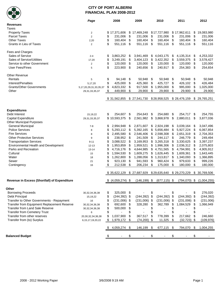

#### **CITY OF PORT ALBERNI FINANCIAL PLAN 2008-2012**

|                                              | Page                   | 2008                  |     | 2009            | 2010                  |      | 2011            |     | 2012          |
|----------------------------------------------|------------------------|-----------------------|-----|-----------------|-----------------------|------|-----------------|-----|---------------|
| <b>Revenues</b>                              |                        |                       |     |                 |                       |      |                 |     |               |
| Taxes                                        |                        |                       |     |                 |                       |      |                 |     |               |
| <b>Property Taxes</b>                        | $\overline{c}$         | \$17,371,606          |     | \$17,469,248    | \$17,727,980          |      | \$17,962,611    | \$  | 19,083,980    |
| <b>Parcel Taxes</b>                          | $\overline{2}$         | \$<br>231,006         | \$  | 231,006         | \$<br>231,006         | \$   | 231,006         | \$  | 231,006       |
| <b>Other Taxes</b>                           | 2,20                   | \$<br>160,404         | \$  | 160,404         | \$<br>160,404         | \$   | 160,404         | \$  | 160,404       |
| Grants in Lieu of Taxes                      | 2                      | \$<br>551,116         | \$  | 551,116         | \$<br>551,116         | - \$ | 551,116         | \$  | 551,116       |
|                                              |                        |                       |     |                 |                       |      |                 |     |               |
| Fees and Charges                             |                        |                       |     |                 |                       |      |                 |     |               |
| Sales of Service                             | $2 - 4$                | \$<br>3,863,252       | \$  | 3,941,469       | \$4,043,175           | \$   | 4,135,314       | \$  | 4,253,332     |
| Sales of Service/Utilities                   | 17,20                  | \$<br>3,249,191       | \$  | 3,404,123       | \$<br>3,422,352       | \$   | 3,559,375       | \$  | 3,578,427     |
| Service to other Government                  | $\overline{2}$         | \$<br>120,000         | \$  | 120,000         | \$<br>120,000         | \$   | 120,000         | \$  | 120,000       |
| <b>User Fees/Fines</b>                       | 5                      | \$<br>223,900         | \$  | 240,656         | \$<br>240,917         | \$   | 254,383         | \$  | 254,654       |
|                                              |                        |                       |     |                 |                       |      |                 |     |               |
| <b>Other Revenue</b>                         |                        |                       |     |                 |                       |      |                 |     |               |
| Rentals                                      | 5                      | \$<br>94,148          | \$  | 50,948          | \$<br>50,948          | - \$ | 50,948          | \$  | 50,948        |
| Interest/Penalties                           | 5,17,20                | \$<br>425,000         | \$  | 425,360         | \$<br>425,727         | \$   | 426,102         | \$  | 426,484       |
| <b>Grants/Other Governments</b>              | 5,17,20,29,31,33,35,37 | \$<br>4,823,332       | \$  | 917,500         | \$<br>1,955,000       | \$   | 995,000         | \$  | 1,025,000     |
| Other                                        | 29,31,33,35,37         | \$<br>449,900         | \$  | 29,900          | \$<br>29,900          | \$   | 29,900          | \$  | 29,900        |
|                                              |                        |                       |     |                 |                       |      |                 |     |               |
|                                              |                        | \$31,562,855          |     | \$27,541,730    | \$28,958,525          |      | \$28,476,159    |     | \$29,765,251  |
|                                              |                        |                       |     |                 |                       |      |                 |     |               |
| <b>Expenditures</b>                          |                        |                       |     |                 |                       |      |                 |     |               |
| Debt Interest                                | 15, 19, 22             | \$<br>254,607         | \$  | 254,643         | \$<br>254,680         | \$   | 254,717         | \$  | 254.755       |
| Capital Expenditure                          | 29, 31, 33, 35, 37     | \$10,593,375          | \$  | 2,561,982       | \$<br>3,868,978       | \$   | 2,880,011       | \$  | 3,877,036     |
| <b>Other Municipal Purposes</b>              |                        |                       |     |                 |                       |      |                 |     |               |
| <b>General Municipal</b>                     | $7 - 8$                | \$<br>2,994,948       | \$  | 2,871,607       | \$2,924,198           | \$   | 3,039,164       | \$  | 3,047,496     |
| <b>Police Services</b>                       | 8                      | \$<br>5,293,112       | \$  | 5,392,165       | \$<br>5,656,484       | \$   | 5,927,224       | \$  | 6,067,854     |
| <b>Fire Services</b>                         | 8                      | \$<br>2,495,580       | \$  | 2,546,406       | \$2,598,308           | \$   | 2,651,319       | \$  | 2,704,353     |
| <b>Other Protective Services</b>             | 9                      | \$<br>238,952         | \$  | 241,509         | \$<br>244,117 \$      |      | 246,779         | \$  | 249,494       |
| <b>Transportation Services</b>               | $9 - 11$               | \$<br>3,088,522       | \$  | 3,169,953       | \$<br>3,265,318       | \$   | 3,330,625       | \$  | 3,397,237     |
| Environmental Health and Development         | $12 - 13$              | \$<br>1,953,859       | \$  | 1,959,521       | \$1,996,306           | \$   | 2,036,312       | \$  | 2,075,803     |
| Parks and Recreation                         | $13 - 14$              | \$<br>4,716,176       | \$  | 4,644,985       | \$4,751,565           | \$   | 4,794,991       | \$  | 4,905,912     |
| Cultural                                     | 15                     | \$<br>1,594,530       | \$  | 1,609,275       | \$1,626,445           | \$   | 1,609,361       | \$  | 1,643,445     |
| Water                                        | 18                     | \$<br>1,262,800       | \$  | 1,288,056       | \$1,313,817           | -\$  | 1,340,093       | \$  | 1,366,895     |
| Sewer                                        | 21                     | \$<br>923,130         | \$  | 941,593         | \$<br>960,424         | \$   | 979,633         | \$  | 999,226       |
| Contingency                                  | 16                     | \$<br>212,538         | \$  | 206,234         | \$<br>175,000         | \$   | 180,000         | \$  | 180,000       |
|                                              |                        |                       |     |                 |                       |      |                 |     |               |
|                                              |                        | \$35,622,129          |     | \$27,687,929    | \$29,635,640          |      | \$29,270,229    |     | \$ 30,769,506 |
| Revenue in Excess (Shortfall) of Expenditure |                        | $$(4,059,274)$ \$     |     | (146, 199)      | \$<br>$(677, 115)$ \$ |      | $(794, 070)$ \$ |     | (1.004.255)   |
|                                              |                        |                       |     |                 |                       |      |                 |     |               |
| Other                                        |                        |                       |     |                 |                       |      |                 |     |               |
| <b>Borrowing Proceeds</b>                    | 30, 32, 34, 36, 38     | \$<br>325,000         | -\$ |                 | \$                    | \$   |                 | \$  | 276,020       |
| Debt Principal                               | 15,19,22               | \$<br>$(244, 392)$ \$ |     | $(244, 392)$ \$ | $(244, 392)$ \$       |      | $(244, 392)$ \$ |     | (244, 392)    |
| Transfer to Other Governments - Repayment    | 16                     | \$<br>$(231,006)$ \$  |     | $(231,006)$ \$  | $(231,006)$ \$        |      | $(231,006)$ \$  |     | (231,006)     |
| Transfer from Equipment Replacement Reserve  | 30, 32, 34, 36, 38     | \$<br>692,600         | \$  | 328,280         | \$<br>362,789         | \$   | 1,084,529       | \$  | 1,066,949     |
| Transfer from Land Sale Reserve              | 30, 32, 34, 36, 38     | \$<br>500,000         | \$  |                 | \$                    | \$   |                 | \$  |               |
| <b>Transfer from Cemetery Trust</b>          | 6                      | \$                    | \$  |                 | \$                    | \$   |                 | \$  |               |
| Transfer from other reserves                 | 20, 30, 32, 34, 36, 38 | \$<br>1,037,900       | \$  | 367,517         | \$<br>778,399         | \$   | 217,662         | \$  | 246,660       |
| Transfer from (to) Surplus                   | 6, 15, 17, 19, 20, 22  | \$<br>1,979,172       | \$  | (74, 200)       | \$<br>11,325          | \$   | (32, 723)       | -\$ | (109, 976)    |
|                                              |                        | 4,059,274             | \$  | 146,199         | \$<br>677,115 \$      |      | 794,070         | \$  | 1,004,255     |
| <b>Balanced Budget</b>                       |                        |                       | \$  |                 | \$                    | \$   |                 | \$  |               |
|                                              |                        |                       |     |                 |                       |      |                 |     |               |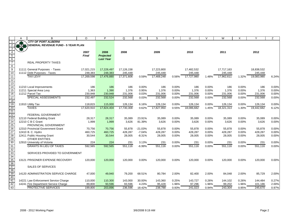|                                            | $\mathsf{A}$ | B                                                   | $\circ$    | P                | Q          | R         | S          |          | U          | $\vee$ | W          | X     | Y          | Z     |
|--------------------------------------------|--------------|-----------------------------------------------------|------------|------------------|------------|-----------|------------|----------|------------|--------|------------|-------|------------|-------|
|                                            |              | <b>CITY OF PORT ALBERNI</b>                         |            |                  |            |           |            |          |            |        |            |       |            |       |
|                                            | \$3.00       | <b>GENERAL REVENUE FUND - 5 YEAR PLAN</b>           |            |                  |            |           |            |          |            |        |            |       |            |       |
| 3                                          |              |                                                     |            |                  |            |           |            |          |            |        |            |       |            |       |
| $\overline{4}$                             |              |                                                     | 2007       | 2008             | 2008       |           | 2009       |          | 2010       |        | 2011       |       | 2012       |       |
| $\begin{array}{c} 5 \\ 6 \\ 7 \end{array}$ |              |                                                     | Final      | <b>Projected</b> |            |           |            |          |            |        |            |       |            |       |
|                                            |              | <b>REAL PROPERTY TAXES</b>                          |            | <b>Last Year</b> |            |           |            |          |            |        |            |       |            |       |
| 8                                          |              |                                                     |            |                  |            |           |            |          |            |        |            |       |            |       |
| $\overline{9}$                             |              | 11111 General Purposes - Taxes                      | 17,021,215 | 17,228,497       | 17,126,158 |           | 17,223,800 |          | 17,482,532 |        | 17,717,163 |       | 18,838,532 |       |
| 10                                         |              | 11112 Debt Purposes - Taxes                         | 248,383    | 248,383          | 245,448    |           | 245,448    |          | 245,448    |        | 245,448    |       | 245,448    |       |
| 11                                         |              | <b>TAX LEVY</b>                                     | 17,269,598 | 17,476,880       | 17,371,606 | 0.59%     | 17,469,248 | 0.56%    | 17,727,980 | 1.48%  | 17,962,611 | 1.32% | 19,083,980 | 6.24% |
| $\overline{12}$                            |              |                                                     |            |                  |            |           |            |          |            |        |            |       |            |       |
| $\overline{13}$                            |              |                                                     |            |                  |            |           |            |          |            |        |            |       |            |       |
| 14                                         |              | 11210 Local Improvements                            | 186        | 186              | 186        | 0.00%     | 186        | 0.00%    | 186        | 0.00%  | 186        | 0.00% | 186        | 0.00% |
| $\overline{15}$                            |              | 11211 Special Area Levy                             | 1,363      | 1,390            | 1,376      | 0.95%     | 1,376      | $0.00\%$ | 1,376      | 0.00%  | 1,376      | 0.00% | 1,376      | 0.00% |
| 16                                         |              | 11212 Parcel Tax                                    | 230,948    | 230,948          | 231,006    | 0.03%     | 231,006    | 0.00%    | 231,006    | 0.00%  | 231,006    | 0.00% | 231,006    | 0.00% |
| $\overline{17}$                            |              | SPECIAL ASSESSMENTS                                 | 232,497    | 232,524          | 232,568    | 0.03%     | 232,568    | 0.00%    | 232,568    | 0.00%  | 232,568    | 0.00% | 232,568    | 0.00% |
| 18                                         |              |                                                     |            |                  |            |           |            |          |            |        |            |       |            |       |
| 19                                         |              | 11910 Utility Tax                                   | 118,815    | 115,000          | 126,134    | 6.16%     | 126,134    | 0.00%    | 126,134    | 0.00%  | 126,134    | 0.00% | 126,134    | 0.00% |
| $\overline{20}$                            |              | <b>TAXES</b>                                        | 17,620,910 | 17,824,404       | 17,730,308 | 0.62%     | 17,827,950 | 0.55%    | 18,086,682 | 1.45%  | 18,321,313 | 1.30% | 19,442,682 | 6.12% |
| $\overline{21}$                            |              |                                                     |            |                  |            |           |            |          |            |        |            |       |            |       |
|                                            |              | FEDERAL GOVERNMENT                                  |            |                  |            |           |            |          |            |        |            |       |            |       |
|                                            |              | 12110 Federal Building Grant                        | 28,317     | 28,317           | 35,089     | 23.91%    | 35,089     | 0.00%    | 35,089     | 0.00%  | 35,089     | 0.00% | 35,089     | 0.00% |
| $\frac{22}{23}$<br>$\frac{23}{24}$         |              | 12210 C B C Grant                                   | 1,999      | 1,999            | 3,626      | 81.39%    | 3,626      | $0.00\%$ | 3,626      | 0.00%  | 3,626      | 0.00% | 3,626      | 0.00% |
|                                            |              | PROVINCIAL GOVERNMENT                               |            |                  |            |           |            |          |            |        |            |       |            |       |
| 26<br>27<br>28                             |              | 12310 Provincial Government Grant                   | 70,756     | 70,756           | 55,878     | $-21.03%$ | 55,878     | 0.00%    | 55,878     | 0.00%  | 55,878     | 0.00% | 55,878     | 0.00% |
|                                            |              | 12410 B. C. Hydro                                   | 460,725    | 460,725          | 428,287    | $-7.04%$  | 428,287    | 0.00%    | 428,287    | 0.00%  | 428,287    | 0.00% | 428,287    | 0.00% |
|                                            |              | 12411 Public Housing Grant<br><b>OTHER ENTITIES</b> | 30,544     | 30,544           | 28,005     | $-8.31%$  | 28,005     | 0.00%    | 28,005     | 0.00%  | 28,005     | 0.00% | 28,005     | 0.00% |
| 29<br>30                                   |              | 12910 University of Victoria                        | 224        | 224              | 231        | 3.13%     | 231        | 0.00%    | 231        | 0.00%  | 231        | 0.00% | 231        | 0.00% |
| 31                                         |              | <b>GRANTS IN LIEU OF TAXES</b>                      | 592,565    | 592,565          | 551,116    | $-6.99%$  | 551,116    | 0.00%    | 551,116    | 0.00%  | 551,116    | 0.00% | 551,116    | 0.00% |
| 32                                         |              |                                                     |            |                  |            |           |            |          |            |        |            |       |            |       |
|                                            |              | SERVICES PROVIDED TO GOVERNMENT                     |            |                  |            |           |            |          |            |        |            |       |            |       |
| 33<br>34<br>35                             |              |                                                     |            |                  |            |           |            |          |            |        |            |       |            |       |
|                                            |              | 13121 PRISONER EXPENSE RECOVERY                     | 120,000    | 120,000          | 120,000    | 0.00%     | 120,000    | 0.00%    | 120,000    | 0.00%  | 120,000    | 0.00% | 120,000    | 0.00% |
| 36                                         |              |                                                     |            |                  |            |           |            |          |            |        |            |       |            |       |
| 37                                         |              | <b>SALES OF SERVICES</b>                            |            |                  |            |           |            |          |            |        |            |       |            |       |
| 38<br>39                                   |              |                                                     |            |                  |            |           |            |          |            |        |            |       |            |       |
|                                            |              | 14120 ADMINISTRATION SERVICE CHARGE                 | 47,000     | 49,940           | 79,200     | 68.51%    | 80,784     | 2.00%    | 82,400     | 2.00%  | 84,048     | 2.00% | 85,729     | 2.00% |
| 40                                         |              |                                                     |            |                  |            |           |            |          |            |        |            |       |            |       |
| 41                                         |              | 14221 Law Enforcement Service Charge                | 110,000    | 110,300          | 143,000    | 30.00%    | 143,360    | 0.25%    | 143,727    | 0.26%  | 144,102    | 0.26% | 144,484    | 0.27% |
| 42                                         |              | 14241 Fire Department Service Charge                | 89,800     | 93,596           | 93,596     | 4.23%     | 95,428     | 1.96%    | 97,296     | 1.96%  | 99,202     | 1.96% | 101,186    | 2.00% |
| 43                                         |              | <b>PROTECTIVE SERVICES</b>                          | 199,800    | 203,896          | 236,596    | 18.42%    | 238,788    | 0.93%    | 241,023    | 0.94%  | 243,304    | 0.95% | 245,670    | 0.97% |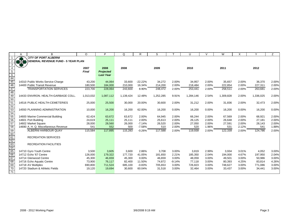|                             |         | B                                         | $\circ$      | P                | O         | R.        | S         |          | $\cup$    | $\vee$ | W         | $\times$ | Y         | Z     |
|-----------------------------|---------|-------------------------------------------|--------------|------------------|-----------|-----------|-----------|----------|-----------|--------|-----------|----------|-----------|-------|
|                             |         | <b>CITY OF PORT ALBERNI</b>               |              |                  |           |           |           |          |           |        |           |          |           |       |
|                             | $x + y$ | <b>GENERAL REVENUE FUND - 5 YEAR PLAN</b> |              |                  |           |           |           |          |           |        |           |          |           |       |
| 3                           |         |                                           |              |                  |           |           |           |          |           |        |           |          |           |       |
|                             |         |                                           | 2007         | 2008             | 2008      |           | 2009      |          | 2010      |        | 2011      |          | 2012      |       |
|                             |         |                                           | <b>Final</b> | <b>Projected</b> |           |           |           |          |           |        |           |          |           |       |
| $rac{5}{6}$<br>$rac{6}{44}$ |         |                                           |              | <b>Last Year</b> |           |           |           |          |           |        |           |          |           |       |
|                             |         |                                           |              |                  |           |           |           |          |           |        |           |          |           |       |
|                             |         | 14310 Public Works Service Charge         | 43,200       | 44,064           | 33,600    | $-22.22%$ | 34,272    | 2.00%    | 34,957    | 2.00%  | 35,657    | 2.00%    | 36,370    | 2.00% |
| 46                          |         | 14400 Public Transit Revenue              | 180,500      | 184,000          | 210,000   | 16.34%    | 214,200   | 2.00%    | 218,484   | 2.00%  | 222,854   | 2.00%    | 227,311   | 2.00% |
| 47                          |         | <b>TRANSPORTATION SERVICES</b>            | 223.700      | 228,064          | 243.600   | 8.90%     | 248,472   | 2.00%    | 253,441   | 2.00%  | 258,511   | 2.00%    | 263,681   | 2.00% |
| 48                          |         |                                           |              |                  |           |           |           |          |           |        |           |          |           |       |
| $\frac{1}{49}$              |         | 14433 ENVIRON, HEALTH-GARBAGE COLL.       | 1,013,032    | 1,087,112        | 1,139,424 | 12.48%    | 1,252,285 | 9.91%    | 1,284,146 | 2.54%  | 1,309,828 | 2.00%    | 1,336,025 | 2.00% |
| $\frac{50}{51}$             |         |                                           |              |                  |           |           |           |          |           |        |           |          |           |       |
|                             |         | 14516 PUBLIC HEALTH-CEMETERIES            | 25,000       | 25,500           | 30,000    | 20.00%    | 30,600    | 2.00%    | 31,212    | 2.00%  | 31,836    | 2.00%    | 32,473    | 2.00% |
|                             |         |                                           |              |                  |           |           |           |          |           |        |           |          |           |       |
|                             |         | <b>14550 PLANNING ADMINISTRATION</b>      | 10,000       | 16,200           | 16,200    | 62.00%    | 16,200    | 0.00%    | 16,200    | 0.00%  | 16,200    | 0.00%    | 16,200    | 0.00% |
| $\frac{53}{54}$             |         |                                           |              |                  |           |           |           |          |           |        |           |          |           |       |
| 55<br>56                    |         | 14600 Marine Commercial Building          | 62,424       | 63,672           | 63,672    | 2.00%     | 64,945    | 2.00%    | 66,244    | 2.00%  | 67,569    | 2.00%    | 68,921    | 2.00% |
|                             |         | 14601 Port Building                       | 24,619       | 25,111           | 25,111    | 2.00%     | 25,613    | 2.00%    | 26,125    | 2.00%  | 26,648    | 2.00%    | 27,181    | 2.00% |
| 57                          |         | 14602 Market Square                       | 28,000       | 28,560           | 26,000    | $-7.14%$  | 26,520    | 2.00%    | 27,050    | 2.00%  | 27,591    | 2.00%    | 28,143    | 2.00% |
| 58                          |         | 14690 A. H. Q. Miscellaneous Revenue      | 541          | 552              | 500       | $-7.58%$  | 510       | 2.00%    | 520       | 1.96%  | 531       | 2.12%    | 541       | 1.88% |
| 59                          |         | <b>ALBERNI HARBOUR QUAY</b>               | 115,584      | 117,895          | 115,283   | $-0.26%$  | 117,588   | 2.00%    | 119,939   | 2.00%  | 122,339   | 2.00%    | 124,786   | 2.00% |
| $\frac{60}{61}$             |         |                                           |              |                  |           |           |           |          |           |        |           |          |           |       |
|                             |         | <b>RECREATION SERVICES</b>                |              |                  |           |           |           |          |           |        |           |          |           |       |
| 62<br>63                    |         |                                           |              |                  |           |           |           |          |           |        |           |          |           |       |
|                             |         | <b>RECREATION FACILITIES</b>              |              |                  |           |           |           |          |           |        |           |          |           |       |
| 64                          |         |                                           |              |                  |           |           |           |          |           |        |           |          |           |       |
| 65                          |         | 14710 Gyro Youth Centre                   | 3,500        | 3,605            | 3,600     | 2.86%     | 3,708     | 3.00%    | 3,819     | 2.99%  | 3,934     | 3.01%    | 4,052     | 3.00% |
| 66                          |         | 14712 Echo '67 Centre                     | 126,000      | 179,322          | 177,720   | 41.05%    | 181,650   | 2.21%    | 185,350   | 2.04%  | 194,000   | 4.67%    | 197,950   | 2.04% |
| $\overline{67}$             |         | 14714 Glenwood Centre                     | 45,300       | 46,659           | 45,300    | 0.00%     | 46,659    | 3.00%    | 48,059    | 3.00%  | 49,501    | 3.00%    | 50,986    | 3.00% |
| 68                          |         | 14716 Echo Aquatic Centre                 | 73,900       | 76,117           | 82,400    | 11.50%    | 74,872    | $-9.14%$ | 77,118    | 3.00%  | 80,393    | 4.25%    | 83,814    | 4.26% |
| 69                          |         | 14718 AV Multiplex                        | 690,800      | 711,524          | 685,100   | $-0.83%$  | 705,653   | 3.00%    | 726,823   | 3.00%  | 748,627   | 3.00%    | 771,086   | 3.00% |
| $\overline{70}$             |         | 14720 Stadium & Athletic Fields           | 19,120       | 19,694           | 30,600    | 60.04%    | 31,518    | 3.00%    | 32,464    | 3.00%  | 33,437    | 3.00%    | 34,441    | 3.00% |
| $\overline{71}$             |         |                                           |              |                  |           |           |           |          |           |        |           |          |           |       |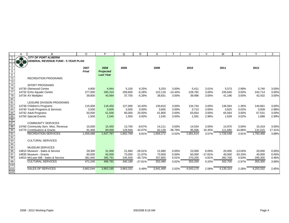|                                                       |     | B                                   | $\circ$   | P                | Q         | R         | S         |           | U         | $\vee$    | W         |           | Υ         | Z      |
|-------------------------------------------------------|-----|-------------------------------------|-----------|------------------|-----------|-----------|-----------|-----------|-----------|-----------|-----------|-----------|-----------|--------|
|                                                       | А   | <b>CITY OF PORT ALBERNI</b>         |           |                  |           |           |           |           |           |           |           | X         |           |        |
|                                                       |     | GENERAL REVENUE FUND - 5 YEAR PLAN  |           |                  |           |           |           |           |           |           |           |           |           |        |
|                                                       | 878 |                                     |           |                  |           |           |           |           |           |           |           |           |           |        |
| $\mathbf{3}$                                          |     |                                     |           |                  |           |           |           |           |           |           |           |           |           |        |
| $\overline{4}$                                        |     |                                     | 2007      | 2008             | 2008      |           | 2009      |           | 2010      |           | 2011      |           | 2012      |        |
|                                                       |     |                                     | Final     | <b>Projected</b> |           |           |           |           |           |           |           |           |           |        |
| $\begin{array}{r} 5 \\ 6 \\ 72 \end{array}$           |     |                                     |           | <b>Last Year</b> |           |           |           |           |           |           |           |           |           |        |
|                                                       |     | <b>RECREATION PROGRAMS</b>          |           |                  |           |           |           |           |           |           |           |           |           |        |
| $\frac{73}{74}$                                       |     |                                     |           |                  |           |           |           |           |           |           |           |           |           |        |
|                                                       |     | <b>SPORT PROGRAMS</b>               |           |                  |           |           |           |           |           |           |           |           |           |        |
| 76                                                    |     | 14730 Glenwood Centre               | 4,800     | 4,944            | 5,100     | 6.25%     | 5,253     | 3.00%     | 5,411     | 3.01%     | 5,573     | 2.99%     | 5,740     | 3.00%  |
| 77                                                    |     | 14732 Echo Aquatic Centre           | 277,000   | 285,310          | 259,600   | $-6.28%$  | 222,118   | $-14.44%$ | 228,782   | 3.00%     | 235,645   | 3.00%     | 242,714   | 3.00%  |
| 78                                                    |     | 14734 AV Multiplex                  | 39,800    | 40,994           | 37,700    | $-5.28%$  | 38.831    | 3.00%     | 39,996    | 3.00%     | 41,196    | 3.00%     | 42,432    | 3.00%  |
| $\frac{80}{81}$                                       |     |                                     |           |                  |           |           |           |           |           |           |           |           |           |        |
|                                                       |     | LEISURE DIVISION PROGRAMS           |           |                  |           |           |           |           |           |           |           |           |           |        |
| $\frac{82}{83}$                                       |     | 14738 Children's Programs           | 115,000   | 118,450          | 127,000   | 10.43%    | 130,810   | 3.00%     | 134,734   | 3.00%     | 136,564   | 1.36%     | 140,661   | 3.00%  |
|                                                       |     | 14740 Youth Programs & Services     | 3,500     | 3,605            | 3,500     | 0.00%     | 3,605     | 3.00%     | 3,713     | 3.00%     | 3,825     | 3.02%     | 3,939     | 2.98%  |
| $\frac{84}{85}$<br>$\frac{86}{87}$                    |     | 14742 Adult Programs                | 50,000    | 51,500           | 60,000    | 20.00%    | 61,800    | 3.00%     | 63,654    | 3.00%     | 65,564    | 3.00%     | 67,531    | 3.00%  |
|                                                       |     | 14750 Special Events                | 1,500     | 1,545            | 1,500     | $0.00\%$  | 1,545     | 3.00%     | 1,591     | 2.98%     | 1,639     | 3.02%     | 1,688     | 2.99%  |
|                                                       |     |                                     |           |                  |           |           |           |           |           |           |           |           |           |        |
|                                                       |     | <b>COMMUNITY SERVICES</b>           |           |                  |           |           |           |           |           |           |           |           |           |        |
| 88                                                    |     | 14760 Community Serv. Misc. Revenue | 15,000    | 15,450           | 13,700    | $-8.67%$  | 14,111    | 3.00%     | 14,534    | 3.00%     | 14,970    | 3.00%     | 15,419    | 3.00%  |
| 90                                                    |     | 14770 Contributions & Grants        | 91,468    | 89,068           | 129,949   | 42.07%    | 82,139    | $-36.79%$ | 95,566    | 16.35%    | 111,680   | 16.86%    | 131,015   | 17.31% |
| $\frac{91}{92}$<br>$\frac{92}{93}$<br>$\frac{94}{95}$ |     | <b>RECREATION SERVICES</b>          | 1,556,688 | 1,647,787        | 1,662,769 | 6.81%     | 1,604,272 | $-3.52%$  | 1,661,614 | 3.57%     | 1,726,548 | 3.91%     | 1,793,468 | 3.88%  |
|                                                       |     |                                     |           |                  |           |           |           |           |           |           |           |           |           |        |
|                                                       |     | <b>CULTURAL SERVICES</b>            |           |                  |           |           |           |           |           |           |           |           |           |        |
|                                                       |     |                                     |           |                  |           |           |           |           |           |           |           |           |           |        |
|                                                       |     | <b>MUSEUM SERVICES</b>              |           |                  |           |           |           |           |           |           |           |           |           |        |
| 96                                                    |     | 14810 Museum - Sales & Service      | 29,300    | 31,000           | 21,680    | $-26.01%$ | 21,680    | 0.00%     | 23,000    | 6.09%     | 20,000    | $-13.04%$ | 20,000    | 0.00%  |
| 97                                                    |     | 14830 Museum - Grants               | 60,000    | 60,000           | 73,000    | 21.67%    | 73,000    | 0.00%     | 60,000    | $-17.81%$ | 40,000    | $-33.33%$ | 40,000    | 0.00%  |
| 98                                                    |     | 14910 McLean Mill - Sales & Service | 381,940   | 395,791          | 245,500   | $-35.72%$ | 257,800   | 5.01%     | 270,200   | 4.81%     | 282,700   | 4.63%     | 295,300   | 4.46%  |
|                                                       |     | <b>CULTURAL SERVICES</b>            | 471,240   | 486,791          | 340,180   | $-27.81%$ | 352,480   | 3.62%     | 353,200   | 0.20%     | 342,700   | $-2.97%$  | 355,300   | 3.68%  |
|                                                       |     |                                     |           |                  |           |           |           |           |           |           |           |           |           |        |
| $\frac{99}{99}$<br>100                                |     | <b>SALES OF SERVICES</b>            | 3,662,044 | 3,863,185        | 3,863,252 | 5.49%     | 3,941,469 | 2.02%     | 4,043,175 | 2.58%     | 4,135,314 | 2.28%     | 4,253,332 | 2.85%  |
| 102                                                   |     |                                     |           |                  |           |           |           |           |           |           |           |           |           |        |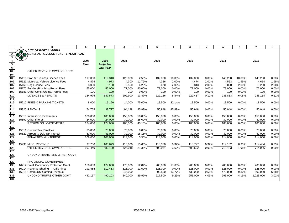|                         | Α   | B                                         | $\circ$           | P                 | Q                 | R                | S                 |                | U                 | $\vee$         | W                 | X              | Y                 | Z              |
|-------------------------|-----|-------------------------------------------|-------------------|-------------------|-------------------|------------------|-------------------|----------------|-------------------|----------------|-------------------|----------------|-------------------|----------------|
|                         |     | <b>CITY OF PORT ALBERNI</b>               |                   |                   |                   |                  |                   |                |                   |                |                   |                |                   |                |
|                         | 378 | <b>GENERAL REVENUE FUND - 5 YEAR PLAN</b> |                   |                   |                   |                  |                   |                |                   |                |                   |                |                   |                |
| $\mathbf{3}$            |     |                                           |                   |                   |                   |                  |                   |                |                   |                |                   |                |                   |                |
| $\overline{4}$          |     |                                           | 2007              | 2008              | 2008              |                  | 2009              |                | 2010              |                | 2011              |                | 2012              |                |
| $\overline{5}$          |     |                                           | Final             | <b>Projected</b>  |                   |                  |                   |                |                   |                |                   |                |                   |                |
| $6\overline{6}$         |     |                                           |                   | <b>Last Year</b>  |                   |                  |                   |                |                   |                |                   |                |                   |                |
| $\overline{103}$        |     | OTHER REVENUE OWN SOURCES                 |                   |                   |                   |                  |                   |                |                   |                |                   |                |                   |                |
| 104                     |     |                                           |                   |                   |                   |                  |                   |                |                   |                |                   |                |                   |                |
| 105                     |     | 15110 Prof. & Business Licence Fees       | 117,000           | 119,340           | 120,000           | 2.56%            | 132,000           | 10.00%         | 132,000           | 0.00%          | 145,200           | 10.00%         | 145,200           | 0.00%          |
| 106                     |     | 15121 Municipal Vehicle Licence Fees      | 4,875             | 4,973             | 4,300             | $-11.79%$        | 4,386             | 2.00%          | 4,474             | 2.01%          | 4,563             | 1.99%          | 4,654             | 1.99%          |
| 107                     |     | 15160 Dog Licence Fees                    | 8,000             | 8,160             | 8,500             | 6.25%            | 8,670             | 2.00%          | 8,843             | 2.00%          | 9,020             | 2.00%          | 9,200             | 2.00%          |
| 108                     |     | 15170 Building/Plumbing Permit Fees       | 55,000            | 55,000            | 77,000            | 40.00%           | 77,000            | 0.00%          | 77,000            | 0.00%          | 77,000            | 0.00%          | 77,000            | 0.00%          |
| 109                     |     | 15181 Other Const./Demo. Permit Fees      | 100               | 100               | 100               | 0.00%            | 100               | 0.00%          | 100               | 0.00%          | 100               | 0.00%          | 100               | 0.00%          |
| $\overline{110}$        |     | <b>LICENCES &amp; PERMITS</b>             | 184,975           | 187,573           | 209,900           | 13.47%           | 222,156           | 5.84%          | 222,417           | 0.12%          | 235,883           | 6.05%          | 236,154           | 0.11%          |
| 111                     |     |                                           |                   |                   |                   |                  |                   |                |                   |                |                   |                |                   |                |
| $\overline{112}$        |     | 15210 FINES & PARKING TICKETS             | 8,000             | 16,160            | 14,000            | 75.00%           | 18,500            | 32.14%         | 18,500            | 0.00%          | 18,500            | 0.00%          | 18,500            | 0.00%          |
| 113                     |     |                                           |                   |                   |                   |                  |                   |                |                   |                |                   |                |                   |                |
| 114                     |     | 15320 RENTALS                             | 74,765            | 38,777            | 94,148            | 25.93%           | 50,948            | $-45.89%$      | 50,948            | 0.00%          | 50,948            | 0.00%          | 50,948            | 0.00%          |
| 115<br>$\overline{116}$ |     | 15510 Interest On Investments             |                   |                   |                   |                  |                   |                |                   |                |                   |                |                   |                |
| 117                     |     | 15590 Other Interest                      | 100,000<br>24,000 | 100,000<br>24,000 | 150,000<br>30,000 | 50.00%<br>25.00% | 150,000<br>30,000 | 0.00%<br>0.00% | 150,000<br>30,000 | 0.00%<br>0.00% | 150,000<br>30,000 | 0.00%<br>0.00% | 150,000<br>30,000 | 0.00%<br>0.00% |
|                         |     |                                           |                   |                   |                   |                  |                   |                |                   |                |                   |                |                   |                |
| 118<br>119              |     | <b>RETURN ON INVESTMENTS</b>              | 124,000           | 124,000           | 180,000           | 45.16%           | 180,000           | 0.00%          | 180,000           | 0.00%          | 180,000           | 0.00%          | 180,000           | 0.00%          |
| $\overline{120}$        |     | 15611 Current Tax Penalties               | 75,000            | 75,000            | 75,000            | 0.00%            | 75,000            | 0.00%          | 75,000            | 0.00%          | 75,000            | 0.00%          | 75,000            | 0.00%          |
| 121                     |     | 15621 Arrears & Del. Tax Interest         | 33,000            | 33,000            | 39,000            | 18.18%           | 39,000            | 0.00%          | 39,000            | 0.00%          | 39,000            | 0.00%          | 39,000            | 0.00%          |
| 122                     |     | <b>PENALTIES &amp; INTEREST</b>           | 108,000           | 108,000           | 114,000           | 5.56%            | 114,000           | 0.00%          | 114,000           | 0.00%          | 114,000           | 0.00%          | 114,000           | 0.00%          |
| 123                     |     |                                           |                   |                   |                   |                  |                   |                |                   |                |                   |                |                   |                |
| 124                     |     | 15930 MISC, REVENUE                       | 97,700            | 105,679           | 113,000           | 15.66%           | 113,360           | 0.32%          | 113,727           | 0.32%          | 114,102           | 0.33%          | 114,484           | 0.33%          |
| 125                     |     | OTHER REVENUE OWN SOURCE                  | 597,440           | 580,189           | 725,048           | 21.36%           | 698,964           | $-3.60%$       | 699,592           | 0.09%          | 713,433           | 1.98%          | 714,086           | 0.09%          |
| $\overline{126}$        |     |                                           |                   |                   |                   |                  |                   |                |                   |                |                   |                |                   |                |
| 127                     |     | UNCOND TRANSFERS OTHER GOV'T              |                   |                   |                   |                  |                   |                |                   |                |                   |                |                   |                |
| $\overline{128}$        |     |                                           |                   |                   |                   |                  |                   |                |                   |                |                   |                |                   |                |
| 129                     |     | PROVINCIAL GOVERNMENT                     |                   |                   |                   |                  |                   |                |                   |                |                   |                |                   |                |
| 130                     |     | 16212 Small Community Protection Grant    | 150,653           | 179,650           | 170,000           | 12.84%           | 200,000           | 17.65%         | 200,000           | 0.00%          | 200.000           | 0.00%          | 200,000           | 0.00%          |
| 131                     |     | 16214 Revenue Sharing - Traffic Fines     | 291,484           | 310,453           | 325,000           | 11.50%           | 325,000           | 0.00%          | 325,000           | 0.00%          | 325,000           | 0.00%          | 325,000           | 0.00%          |
| 132                     |     | 16215 Community Gaming Revenue            |                   |                   | 345,000           |                  | 392,500           | 13.77%         | 430,000           | 9.55%          | 470,000           | 9.30%          | 500,000           | 6.38%          |
| 133                     |     | UNCOND TRNFRS OTHER GOV'T                 | 442.137           | 490.103           | 840,000           | 89.99%           | 917,500           | 9.23%          | 955.000           | 4.09%          | 995.000           | 4.19%          | 1,025,000         | 3.02%          |
| 134                     |     |                                           |                   |                   |                   |                  |                   |                |                   |                |                   |                |                   |                |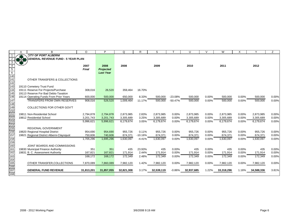|                  | A       | B                                          | $\circ$      | P                | Q          | R         | S          |           | U          | $\vee$ | W          | X     | Y          | Z     |
|------------------|---------|--------------------------------------------|--------------|------------------|------------|-----------|------------|-----------|------------|--------|------------|-------|------------|-------|
|                  |         | <b>CITY OF PORT ALBERNI</b>                |              |                  |            |           |            |           |            |        |            |       |            |       |
|                  | $3 - 8$ | <b>\GENERAL REVENUE FUND - 5 YEAR PLAN</b> |              |                  |            |           |            |           |            |        |            |       |            |       |
| 3                |         |                                            |              |                  |            |           |            |           |            |        |            |       |            |       |
|                  |         |                                            | 2007         | 2008             | 2008       |           | 2009       |           | 2010       |        | 2011       |       | 2012       |       |
| $\overline{5}$   |         |                                            | <b>Final</b> | <b>Projected</b> |            |           |            |           |            |        |            |       |            |       |
| $\overline{6}$   |         |                                            |              | <b>Last Year</b> |            |           |            |           |            |        |            |       |            |       |
| $\frac{1}{140}$  |         |                                            |              |                  |            |           |            |           |            |        |            |       |            |       |
| 141              |         | OTHER TRANSFERS & COLLECTIONS              |              |                  |            |           |            |           |            |        |            |       |            |       |
| 142              |         |                                            |              |                  |            |           |            |           |            |        |            |       |            |       |
| 143              |         | 19110 Cemetery Trust Fund                  |              |                  |            |           |            |           |            |        |            |       |            |       |
| 144              |         | 19111 Reserve For Projects/Purchase        | 308,016      | 26,520           | 359,464    | 16.70%    |            |           |            |        |            |       |            |       |
| $\overline{145}$ |         | 19113 Reserve For Bad Debts-Taxation       |              |                  |            |           |            |           |            |        |            |       |            |       |
| 146              |         | 19114 Operating Funds From Prior Years     | 600,000      | 500,000          | 650,000    | 8.33%     | 500,000    | $-23.08%$ | 500,000    | 0.00%  | 500,000    | 0.00% | 500,000    | 0.00% |
| 147              |         | <b>TRANSFERS FROM OWN RESERVES</b>         | 908,016      | 526,520          | 1,009,464  | 11.17%    | 500,000    | $-50.47%$ | 500,000    | 0.00%  | 500,000    | 0.00% | 500,000    | 0.00% |
| 148              |         |                                            |              |                  |            |           |            |           |            |        |            |       |            |       |
| 149              |         | COLLECTIONS FOR OTHER GOV'T                |              |                  |            |           |            |           |            |        |            |       |            |       |
| 150              |         |                                            |              |                  |            |           |            |           |            |        |            |       |            |       |
| $\overline{151}$ |         | 19811 Non-Residential School               | 2,794,878    | 2,794,878        | 2,873,985  | 2.83%     | 2,873,985  | 0.00%     | 2,873,985  | 0.00%  | 2,873,985  | 0.00% | 2,873,985  | 0.00% |
| 152              |         | 19812 Residential School                   | 3,201,743    | 3,201,743        | 3,305,689  | 3.25%     | 3,305,689  | 0.00%     | 3,305,689  | 0.00%  | 3,305,689  | 0.00% | 3,305,689  | 0.00% |
| 153              |         |                                            | 5,996,621    | 5,996,621        | 6,179,674  | 3.05%     | 6,179,674  | 0.00%     | 6,179,674  | 0.00%  | 6,179,674  | 0.00% | 6,179,674  | 0.00% |
| 154              |         |                                            |              |                  |            |           |            |           |            |        |            |       |            |       |
| 155              |         | <b>REGIONAL GOVERNMENT</b>                 |              |                  |            |           |            |           |            |        |            |       |            |       |
| 156              |         | 19820 Regional Hospital District           | 954,690      | 954,690          | 955,726    | 0.11%     | 955,726    | $0.00\%$  | 955,726    | 0.00%  | 955.726    | 0.00% | 955,726    | 0.00% |
| 157              |         | 19821 Regional District Alberni-Clayoquot  | 750,606      | 740,606          | 674,371    | $-10.16%$ | 674,371    | 0.00%     | 674,371    | 0.00%  | 674,371    | 0.00% | 674,371    | 0.00% |
| 158              |         |                                            | 1,705,296    | 1,695,296        | 1,630,097  | $-4.41%$  | 1,630,097  | 0.00%     | 1,630,097  | 0.00%  | 1,630,097  | 0.00% | 1,630,097  | 0.00% |
| 159              |         |                                            |              |                  |            |           |            |           |            |        |            |       |            |       |
| 160              |         | JOINT BOARDS AND COMMISSIONS               |              |                  |            |           |            |           |            |        |            |       |            |       |
| 161              |         | 19830 Municipal Finance Authority          | 351          | 351              | 435        | 23.93%    | 435        | 0.00%     | 435        | 0.00%  | 435        | 0.00% | 435        | 0.00% |
| 162              |         | 19831 B. C. Assessment Authority           | 167,821      | 167,821          | 171,914    | 2.44%     | 171,914    | 0.00%     | 171,914    | 0.00%  | 171,914    | 0.00% | 171,914    | 0.00% |
| 163              |         |                                            | 168.172      | 168,172          | 172,349    | 2.48%     | 172,349    | 0.00%     | 172,349    | 0.00%  | 172,349    | 0.00% | 172,349    | 0.00% |
| 164              |         |                                            |              |                  |            |           |            |           |            |        |            |       |            |       |
| 165              |         | OTHER TRANSFER, COLLECTIONS                | 7,870,089    | 7,860,089        | 7,982,120  | 1.42%     | 7,982,120  | 0.00%     | 7,982,120  | 0.00%  | 7,982,120  | 0.00% | 7,982,120  | 0.00% |
| 166              |         |                                            |              |                  |            |           |            |           |            |        |            |       |            |       |
| $\overline{167}$ |         | <b>GENERAL FUND REVENUE</b>                | 31,813,201   | 31,857,055       | 32,821,308 | 3.17%     | 32,539,119 | $-0.86%$  | 32,937,685 | 1.22%  | 33,318,296 | 1.16% | 34,588,336 | 3.81% |
| 168l             |         |                                            |              |                  |            |           |            |           |            |        |            |       |            |       |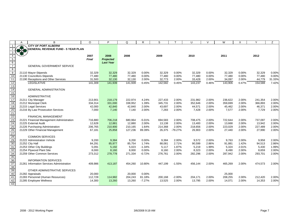|                                                                                             | A   | B                                         | O            | P                | Q       | R        | S       |           | U       | $\vee$ | W       | X     |         | Ζ      |
|---------------------------------------------------------------------------------------------|-----|-------------------------------------------|--------------|------------------|---------|----------|---------|-----------|---------|--------|---------|-------|---------|--------|
| $\overline{1}$                                                                              |     | <b>CITY OF PORT ALBERNI</b>               |              |                  |         |          |         |           |         |        |         |       |         |        |
| $\overline{2}$                                                                              | *** | <b>GENERAL REVENUE FUND - 5 YEAR PLAN</b> |              |                  |         |          |         |           |         |        |         |       |         |        |
| $\mathbf{3}$                                                                                |     |                                           |              |                  |         |          |         |           |         |        |         |       |         |        |
| $\overline{4}$                                                                              |     |                                           | 2007         | 2008             | 2008    |          | 2009    |           | 2010    |        | 2011    |       | 2012    |        |
|                                                                                             |     |                                           | <b>Final</b> | <b>Projected</b> |         |          |         |           |         |        |         |       |         |        |
|                                                                                             |     |                                           |              | <b>Last Year</b> |         |          |         |           |         |        |         |       |         |        |
| $\begin{array}{r} 5 \\ 6 \\ 7 \end{array}$                                                  |     | <b>GENERAL GOVERNMENT SERVICE</b>         |              |                  |         |          |         |           |         |        |         |       |         |        |
|                                                                                             |     |                                           |              |                  |         |          |         |           |         |        |         |       |         |        |
| $\frac{8}{9}$                                                                               |     | 21110 Mayor-Stipends                      | 32,329       | 32,329           | 32,329  | 0.00%    | 32,329  | 0.00%     | 32,329  | 0.00%  | 32,329  | 0.00% | 32,329  | 0.00%  |
| 10                                                                                          |     | 21130 Councillors-Stipends                | 77,480       | 77,480           | 77,480  | 0.00%    | 77.480  | 0.00%     | 77,480  | 0.00%  | 77,480  | 0.00% | 77,480  | 0.00%  |
| 11                                                                                          |     | 21190 Receptions and Other Services       | 31,500       | 32,130           | 32,130  | 2.00%    | 32,773  | 2.00%     | 33,428  | 2.00%  | 34,097  | 2.00% | 44,779  | 31.33% |
| 12                                                                                          |     | <b>LEGISLATIVE</b>                        | 141,309      | 141,939          | 141,939 | 0.45%    | 142,582 | 0.45%     | 143,237 | 0.46%  | 143,906 | 0.47% | 154,588 | 7.42%  |
| 13                                                                                          |     |                                           |              |                  |         |          |         |           |         |        |         |       |         |        |
|                                                                                             |     | <b>GENERAL ADMINISTRATION</b>             |              |                  |         |          |         |           |         |        |         |       |         |        |
| $\frac{14}{15}$                                                                             |     |                                           |              |                  |         |          |         |           |         |        |         |       |         |        |
| 16                                                                                          |     | <b>ADMINISTRATIVE</b>                     |              |                  |         |          |         |           |         |        |         |       |         |        |
| 17                                                                                          |     | 21211 City Manager                        | 213,901      | 218,179          | 222,974 | 4.24%    | 227,433 | 2.00%     | 231,982 | 2.00%  | 236,622 | 2.00% | 241,354 | 2.00%  |
| 18                                                                                          |     | 21212 Municipal Clerk                     | 334,314      | 331,000          | 338,952 | 1.39%    | 345,731 | 2.00%     | 352,646 | 2.00%  | 359,699 | 2.00% | 366,893 | 2.00%  |
| 19                                                                                          |     | 21215 Legal Services                      | 42,000       | 42,840           | 42,840  | 2.00%    | 43,697  | 2.00%     | 44,571  | 2.00%  | 45,462  | 2.00% | 46,371  | 2.00%  |
|                                                                                             |     | 21216 By-Law Prosecution Services         | 7,000        | 7,140            | 7,140   | 2.00%    | 7,283   | 2.00%     | 7,428   | 2.00%  | 7,577   | 2.00% | 7,729   | 2.00%  |
|                                                                                             |     |                                           |              |                  |         |          |         |           |         |        |         |       |         |        |
|                                                                                             |     | <b>FINANCIAL MANAGEMENT</b>               |              |                  |         |          |         |           |         |        |         |       |         |        |
|                                                                                             |     | 21221 Financial Management Administration | 716,880      | 706,218          | 680,964 | $-5.01%$ | 694,583 | 2.00%     | 708,475 | 2.00%  | 722,644 | 2.00% | 737,097 | 2.00%  |
|                                                                                             |     | 21225 External Audit                      | 12,628       | 12,881           | 12,880  | 2.00%    | 13,138  | 2.00%     | 13,400  | 2.00%  | 13,668  | 2.00% | 13,942  | 2.00%  |
|                                                                                             |     | 21226 Purchasing Administration           | 206,765      | 210,900          | 210,165 | 1.64%    | 214,368 | 2.00%     | 218,656 | 2.00%  | 223,029 | 2.00% | 227,489 | 2.00%  |
| 0<br>27<br>28<br>28<br>27<br>27                                                             |     | 21229 Other Financial Management          | 67,181       | 25,858           | 127,236 | 89.39%   | 26,375  | $-79.27%$ | 26,903  | 2.00%  | 27,440  | 2.00% | 27,990  | 2.00%  |
|                                                                                             |     |                                           |              |                  |         |          |         |           |         |        |         |       |         |        |
| 28                                                                                          |     | <b>COMMON SERVICES</b>                    |              |                  |         |          |         |           |         |        |         |       |         |        |
| $\begin{array}{r}\n 29 \\  \hline\n 30 \\  \hline\n 31\n \end{array}$                       |     | 21222 Administration Vehicle              | 9,200        | 9,384            | 9.200   | 0.00%    | 9.384   | 2.00%     | 9.572   | 2.00%  | 9.763   | 2.00% | 9,958   | 2.00%  |
|                                                                                             |     | 21252 City Hall                           | 84,291       | 85,977           | 85,754  | 1.74%    | 88,081  | 2.71%     | 90,599  | 2.86%  | 91,881  | 1.42% | 94,513  | 2.86%  |
|                                                                                             |     | 21253 Other City Buildings                | 5,091        | 5,192            | 5,023   | $-1.34%$ | 5.117   | 1.87%     | 5,219   | 1.99%  | 5,324   | 2.01% | 5,430   | 1.99%  |
|                                                                                             |     | 21254 Plywood Plant Site                  | 8,000        | 8,160            | 8,000   | 0.00%    | 8,160   | 2.00%     | 8,323   | 2.00%  | 8,490   | 2.00% | 8,659   | 2.00%  |
| $\begin{array}{r} 32 \\ 34 \\ \hline 35 \\ \hline 36 \\ \hline 37 \\ \hline 38 \end{array}$ |     | 21259 Other Common Services               | 273,312      | 278,778          | 271,334 | $-0.72%$ | 276,761 | 2.00%     | 282,296 | 2.00%  | 287,942 | 2.00% | 293,701 | 2.00%  |
|                                                                                             |     |                                           |              |                  |         |          |         |           |         |        |         |       |         |        |
|                                                                                             |     | <b>INFORMATION SERVICES</b>               |              |                  |         |          |         |           |         |        |         |       |         |        |
|                                                                                             |     | 21261 Information Services Administration | 409,986      | 413,187          | 454,260 | 10.80%   | 447,199 | $-1.55%$  | 456,144 | 2.00%  | 465,269 | 2.00% | 474,573 | 2.00%  |
|                                                                                             |     |                                           |              |                  |         |          |         |           |         |        |         |       |         |        |
| 39                                                                                          |     | OTHER ADMINISTRATIVE SERVICES             |              |                  |         |          |         |           |         |        |         |       |         |        |
| 40                                                                                          |     | 21282 Appraisals                          | 20,000       |                  | 20,000  | 0.00%    |         |           |         |        | 25,000  |       |         |        |
| 41                                                                                          |     | 21283 Personnel (Human Resources)         | 112,728      | 114,982          | 204,243 | 81.18%   | 200,168 | $-2.00%$  | 204,171 | 2.00%  | 208,255 | 2.00% | 212,420 | 2.00%  |
| 42                                                                                          |     | 21285 Employee Wellness                   | 14,300       | 13,260           | 13,260  | $-7.27%$ | 13,525  | 2.00%     | 13,795  | 2.00%  | 14,071  | 2.00% | 14,353  | 2.00%  |
| 43                                                                                          |     |                                           |              |                  |         |          |         |           |         |        |         |       |         |        |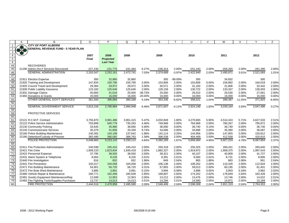|                 | A             | B                                            | $\Omega$     | P                | Q          | R         | S          |          | U          | $\mathsf{V}$ | W          | X      | Y          | Ζ        |
|-----------------|---------------|----------------------------------------------|--------------|------------------|------------|-----------|------------|----------|------------|--------------|------------|--------|------------|----------|
|                 |               | <b>CITY OF PORT ALBERNI</b>                  |              |                  |            |           |            |          |            |              |            |        |            |          |
|                 | $\frac{1}{3}$ | <b>GENERAL REVENUE FUND - 5 YEAR PLAN</b>    |              |                  |            |           |            |          |            |              |            |        |            |          |
|                 |               |                                              |              |                  |            |           |            |          |            |              |            |        |            |          |
| $\overline{a}$  |               |                                              | 2007         | 2008             | 2008       |           | 2009       |          | 2010       |              | 2011       |        | 2012       |          |
| $\overline{5}$  |               |                                              | <b>Final</b> | <b>Projected</b> |            |           |            |          |            |              |            |        |            |          |
| $\frac{6}{44}$  |               |                                              |              | <b>Last Year</b> |            |           |            |          |            |              |            |        |            |          |
|                 |               | <b>RECOVERIES</b>                            |              |                  |            |           |            |          |            |              |            |        |            |          |
| 45              |               | 21290 Admin./Acc't Services Recovered        | $-227,230$   | $-231,775$       | $-241,484$ | 6.27%     | $-246,314$ | 2.00%    | $-251,240$ | 2.00%        | $-256,265$ | 2.00%  | $-261,390$ | 2.00%    |
| 46              |               | <b>GENERAL ADMINISTRATION</b>                | 2,310,347    | 2,252,161        | 2,472,741  | 7.03%     | 2,374,689  | $-3.97%$ | 2,422,940  | 2.03%        | 2,495,871  | 3.01%  | 2,521,083  | 1.01%    |
| 47              |               |                                              |              |                  |            |           |            |          |            |              |            |        |            |          |
| 48              |               | 21911 Election Expense                       | 300          | 32,860           | 32,860     |           | 300        | -99.09%  | 300        |              | 34,832     |        | 300        |          |
| 49              |               | 21920 Training and Development               | 147,834      | 150,790          | 150,790    | 2.00%     | 153,806    | 2.00%    | 153,806    | 0.00%        | 156,882    | 2.00%  | 160,019    | 2.00%    |
| 50<br>51        |               | 21925 Council Travel and Development         | 29,384       | 29,972           | 29,972     | 2.00%     | 30,571     | 2.00%    | 31,183     | 2.00%        | 31,806     | 2.00%  | 32,442     | 2.00%    |
|                 |               | 21930 Public Liability Insurance             | 123,182      | 125,646          | 125,646    | 2.00%     | 128,159    | 2.00%    | 130,722    | 2.00%        | 133,337    | 2.00%  | 136,003    | 2.00%    |
|                 |               | 21931 Damage Claims                          | 40,800       | 41,616           | 25,000     | $-38.73%$ | 25,500     | 2.00%    | 26,010     | 2.00%        | 26,530     | 2.00%  | 27,061     | 2.00%    |
| 52<br>53        |               | 21950 Donations & Grants                     | 20,000       | 16,000           | 16,000     | -20.00%   | 16,000     | 0.00%    | 16,000     | 0.00%        | 16,000     | 0.00%  | 16,000     | 0.00%    |
| 55              |               | OTHER GENERAL GOV'T SERVICES                 | 361,500      | 396,884          | 380,268    | 5.19%     | 354,336    | $-6.82%$ | 358,021    | 1.04%        | 399,387    | 11.55% | 371,825    | $-6.90%$ |
|                 |               |                                              |              |                  |            |           |            |          |            |              |            |        |            |          |
| 56<br>57        |               | <b>GENERAL GOVERNMENT SERVICE</b>            | 2,813,156    | 2,790,984        | 2,994,948  | 6.46%     | 2,871,607  | $-4.12%$ | 2,924,198  | 1.83%        | 3,039,164  | 3.93%  | 3,047,496  | 0.27%    |
| 58              |               |                                              |              |                  |            |           |            |          |            |              |            |        |            |          |
| 59              |               | PROTECTIVE SERVICES                          |              |                  |            |           |            |          |            |              |            |        |            |          |
|                 |               |                                              |              |                  |            |           |            |          |            |              |            |        |            |          |
| 60<br>61        |               | 22121 R.C.M.P. Contract                      | 3,755,870    | 3,981,486        | 3,961,415  | 5.47%     | 4,032,849  | 1.80%    | 4,270,665  | 5.90%        | 4,514,424  | 5.71%  | 4,627,533  | 2.51%    |
| 62              |               | 22122 Police Service Administration          | 703,899      | 640,779          | 735,263    | 4.46%     | 749,968    | 2.00%    | 764,968    | 2.00%        | 780,267    | 2.00%  | 795,872    | 2.00%    |
| 63              |               | 22130 Community Policing                     | 34,645       | 35,990           | 36,690     | 5.90%     | 36,690     | 0.00%    | 36,740     | 0.14%        | 36,740     | 0.00%  | 36,740     | 0.00%    |
| 64              |               | 22140 Commissionaire Services                | 30,379       | 31,606           | 33,339     | 9.74%     | 34,006     | 2.00%    | 34,686     | 2.00%        | 35,380     | 2.00%  | 36,087     | 2.00%    |
| 65<br>66        |               | 22160 Police Building Maintenance            | 140,392      | 143,199          | 137,642    | $-1.96%$  | 142,114    | 3.25%    | 144,956    | 2.00%        | 147,855    | 2.00%  | 150,812    | 2.00%    |
|                 |               | 22180 Detention/Custody of Prisoner          | 383,480      | 390,082          | 388,763    | 1.38%     | 396,538    | 2.00%    | 404,469    | 2.00%        | 412,558    | 2.00%  | 420,810    | 2.00%    |
| 67              |               | POLICE PROTECTION                            | 5,048,665    | 5,223,142        | 5,293,112  | 4.84%     | 5,392,165  | 1.87%    | 5,656,484  | 4.90%        | 5,927,224  | 4.79%  | 6,067,854  | 2.37%    |
|                 |               |                                              |              |                  |            |           |            |          |            |              |            |        |            |          |
| 68<br>69        |               | 22411 Fire Protection Administration         | 240,598      | 245,410          | 245,410    | 2.00%     | 250,318    | 2.00%    | 255,325    | 2.00%        | 260,431    | 2.00%  | 265,640    | 2.00%    |
| 70              |               | 22421 Fire Crew                              | 1,809,233    | 1,823,834        | 1,845,418  | 2.00%     | 1,882,327  | 2.00%    | 1,919,972  | 2.00%        | 1,958,375  | 2.00%  | 1,997,543  | 2.00%    |
| $\overline{71}$ |               | 22422 Personnel Expense                      | 37,795       | 38,550           | 38,550     | 2.00%     | 39,321     | 2.00%    | 40,107     | 2.00%        | 40,909     | 2.00%  | 41,727     | 2.00%    |
| 72              |               | 22431 Alarm System & Telephone               | 8,064        | 8,226            | 8,226      | 2.01%     | 8,391      | 2.01%    | 8,560      | 2.01%        | 8,731      | 2.00%  | 8,906      | 2.00%    |
| 73              |               | 22440 Fire Investigation                     | 816          | 832              | 832        | 1.96%     | 849        | 2.04%    | 865        | 1.88%        | 883        | 2.08%  | 901        | 2.04%    |
| 74              |               | 22441 Fire Prevention                        | 102,017      | 104,058          | 104,058    | 2.00%     | 106.138    | 2.00%    | 108,262    | 2.00%        | 110.426    | 2.00%  | 112.634    | 2.00%    |
| 75              |               | 22471 Fire Building Maintenance              | 54,901       | 56,720           | 56,720     | 3.31%     | 57,855     | 2.00%    | 59,013     | 2.00%        | 60,195     | 2.00%  | 61,401     | 2.00%    |
| 76              |               | 22472 Fire Boat Shed Maintenance             | 3,885        | 3,891            | 3,891      | 0.15%     | 3,894      | 0.08%    | 3,896      | 0.05%        | 3,903      | 0.18%  | 3,982      | 2.02%    |
| 77              |               | 22480 Vehicle Repair & Maintenance           | 160,771      | 162,469          | 165,509    | 2.95%     | 169,807    | 2.60%    | 174,252    | 2.62%        | 178,849    | 2.64%  | 182,428    | 2.00%    |
| 78              |               | 22481 Sundry Equipment Maintenance/Rep       | 12,699       | 12,953           | 12,953     | 2.00%     | 13,212     | 2.00%    | 13,476     | 2.00%        | 13,746     | 2.00%  | 14,022     | 2.01%    |
| 79              |               | 22482 Fire Fighting Tools/Supplies Purchases | 13,737       | 14,013           | 14,013     | 2.01%     | 14,294     | 2.01%    | 14,580     | 2.00%        | 14,871     | 2.00%  | 15,169     | 2.00%    |
| $\overline{80}$ |               | <b>FIRE PROTECTION</b>                       | 2,444,516    | 2,470,956        | 2,495,580  | 2.09%     | 2,546,406  | 2.04%    | 2,598,308  | 2.04%        | 2,651,319  | 2.04%  | 2,704,353  | 2.00%    |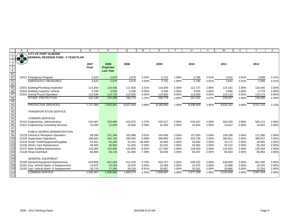|                                    |     | B                                         | $\circ$      | P                | Q         | R         | S         |       | U         |       | W         | Χ     | Y         | Z     |
|------------------------------------|-----|-------------------------------------------|--------------|------------------|-----------|-----------|-----------|-------|-----------|-------|-----------|-------|-----------|-------|
|                                    |     | <b>CITY OF PORT ALBERNI</b>               |              |                  |           |           |           |       |           |       |           |       |           |       |
|                                    | 3.8 | <b>GENERAL REVENUE FUND - 5 YEAR PLAN</b> |              |                  |           |           |           |       |           |       |           |       |           |       |
|                                    |     |                                           |              |                  |           |           |           |       |           |       |           |       |           |       |
|                                    |     |                                           | 2007         | 2008             | 2008      |           | 2009      |       | 2010      |       | 2011      |       | 2012      |       |
| $\overline{5}$                     |     |                                           | <b>Final</b> | <b>Projected</b> |           |           |           |       |           |       |           |       |           |       |
| 6                                  |     |                                           |              | <b>Last Year</b> |           |           |           |       |           |       |           |       |           |       |
| $\frac{81}{82}$                    |     |                                           |              |                  |           |           |           |       |           |       |           |       |           |       |
|                                    |     | 22512 Emergency Program                   | 2,625        | 2,678            | 2,678     | 2.02%     | 2,731     | 1.98% | 2,786     | 2.01% | 2,842     | 2.01% | 2,899     | 2.01% |
| $rac{1}{83}$<br>$rac{83}{85}$      |     | <b>EMERGENCY MEASURES</b>                 | 2,625        | 2,678            | 2,678     | 2.02%     | 2,731     | 1.98% | 2,786     | 2.01% | 2,842     | 2.01% | 2,899     | 2.01% |
|                                    |     |                                           |              |                  |           |           |           |       |           |       |           |       |           |       |
|                                    |     | 22921 Building/Plumbing Inspection        | 113,250      | 116,005          | 117,000   | 3.31%     | 119,340   | 2.00% | 121,727   | 2.00% | 124,161   | 2.00% | 126,645   | 2.00% |
| 86                                 |     | 22926 Building Inspector Vehicle          | 5,339        | 5,555            | 5,339     | 0.00%     | 5,446     | 2.00% | 5,555     | 2.00% | 5,666     | 2.00% | 5,779     | 2.00% |
| 87<br>88                           |     | 22931 Animal Pound Operation              | 113,599      | 113,725          | 113,935   | 0.30%     | 113,992   | 0.05% | 114,050   | 0.05% | 114,110   | 0.05% | 114,171   | 0.05% |
| $\overline{89}$                    |     | <b>OTHER PROTECTION</b>                   | 232,188      | 235,285          | 236,274   | 1.76%     | 238,778   | 1.06% | 241,331   | 1.07% | 243,937   | 1.08% | 246,595   | 1.09% |
| 90                                 |     |                                           |              |                  |           |           |           |       |           |       |           |       |           |       |
| $\overline{91}$                    |     | <b>PROTECTIVE SERVICES</b>                | 7,727,994    | 7,932,061        | 8,027,644 | 3.88%     | 8,180,080 | 1.90% | 8,498,909 | 3.90% | 8,825,322 | 3.84% | 9,021,701 | 2.23% |
|                                    |     | <b>TRANSPORTATION SERVICE</b>             |              |                  |           |           |           |       |           |       |           |       |           |       |
| $\frac{92}{93}$<br>$\frac{93}{94}$ |     |                                           |              |                  |           |           |           |       |           |       |           |       |           |       |
|                                    |     | <b>COMMON SERVICES</b>                    |              |                  |           |           |           |       |           |       |           |       |           |       |
| $\frac{1}{95}$                     |     | 23110 Engineering Administration          | 510,487      | 520,685          | 522,075   | 2.27%     | 532,517   | 2.00% | 543,167   | 2.00% | 554,030   | 2.00% | 565,111   | 2.00% |
| 96                                 |     | 23121 Engineering Consulting Services     | 10,000       | 10,000           | 10,000    | 0.00%     | 10,200    | 2.00% | 10,404    | 2.00% | 10,612    | 2.00% | 10,824    | 2.00% |
| 97                                 |     |                                           |              |                  |           |           |           |       |           |       |           |       |           |       |
| 98                                 |     | PUBLIC WORKS ADMINISTRATION               |              |                  |           |           |           |       |           |       |           |       |           |       |
| 99                                 |     | 23129 Clerical & Reception-Operation      | 99,398       | 101,386          | 102,898   | 3.52%     | 104,956   | 2.00% | 107,055   | 2.00% | 109,196   | 2.00% | 111,380   | 2.00% |
| $\overline{100}$                   |     | 23130 Supervision Operations              | 338,000      | 344,760          | 340,000   | 0.59%     | 346,800   | 2.00% | 353,736   | 2.00% | 360,811   | 2.00% | 368,027   | 2.00% |
| 101                                |     | 23134 Small Tools/Equipment/Supplies      | 54,201       | 55,285           | 32,201    | $-40.59%$ | 32,845    | 2.00% | 33,502    | 2.00% | 34,172    | 2.00% | 34.855    | 2.00% |
| 102                                |     | 23136 Works Yard Maintenance              | 48,000       | 48,960           | 51,000    | 6.25%     | 52,020    | 2.00% | 53,060    | 2.00% | 54,122    | 2.00% | 55,204    | 2.00% |
| 103                                |     | 23137 Main Building Maintenance           | 133,000      | 135,660          | 125,000   | $-6.02%$  | 127,500   | 2.00% | 130,050   | 2.00% | 132,651   | 2.00% | 135,304   | 2.00% |
| 104                                |     | 23138 Shop Overhead                       | 66,800       | 68,136           | 61,800    | $-7.49%$  | 63,036    | 2.00% | 64,297    | 2.00% | 65,583    | 2.00% | 66,894    | 2.00% |
| $\overline{105}$                   |     |                                           |              |                  |           |           |           |       |           |       |           |       |           |       |
| 106                                |     | <b>GENERAL EQUIPMENT</b>                  |              |                  |           |           |           |       |           |       |           |       |           |       |
| 107                                |     | 23160 General Equipment Maintenance       | 628,906      | 641,484          | 611,526   | $-2.76%$  | 623,757   | 2.00% | 636,232   | 2.00% | 648,956   | 2.00% | 661,935   | 2.00% |
| $\overline{108}$                   |     | 23161 Eng. Vehicle Maint. & Replacement   | 14,970       | 15,269           | 14,970    | 0.00%     | 15,269    | 2.00% | 15,575    | 2.00% | 15,886    | 2.00% | 16,204    | 2.00% |
| 109                                |     | 23162 Sup. Vehicle Maint. & Replacement   | 26,725       | 27,260           | 29,105    | 8.91%     | 29,687    | 2.00% | 30,281    | 2.00% | 30,886    | 2.00% | 31,504    | 2.00% |
| $\overline{110}$                   |     | <b>COMMON SERVICE</b>                     | 1,930,487    | 1,968,885        | 1,900,575 | $-1.55%$  | 1,938,587 | 2.00% | 1,977,358 | 2.00% | 2,016,905 | 2.00% | 2,057,244 | 2.00% |
| 111                                |     |                                           |              |                  |           |           |           |       |           |       |           |       |           |       |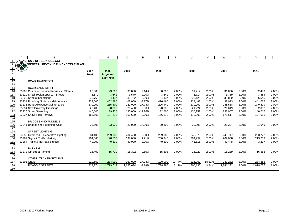|                                 |              | В                                         | $\circ$   | P                | Q         | R         | S         |        | U         |        | W         |       | $\checkmark$ | Z     |
|---------------------------------|--------------|-------------------------------------------|-----------|------------------|-----------|-----------|-----------|--------|-----------|--------|-----------|-------|--------------|-------|
|                                 |              | <b>CITY OF PORT ALBERNI</b>               |           |                  |           |           |           |        |           |        |           |       |              |       |
|                                 |              | <b>GENERAL REVENUE FUND - 5 YEAR PLAN</b> |           |                  |           |           |           |        |           |        |           |       |              |       |
|                                 |              |                                           |           |                  |           |           |           |        |           |        |           |       |              |       |
|                                 |              |                                           | 2007      | 2008             | 2008      |           | 2009      |        | 2010      |        | 2011      |       | 2012         |       |
| $\frac{5}{6}$                   |              |                                           | Final     | <b>Projected</b> |           |           |           |        |           |        |           |       |              |       |
|                                 |              |                                           |           | <b>Last Year</b> |           |           |           |        |           |        |           |       |              |       |
| $\frac{1}{112}$                 |              | <b>ROAD TRANSPORT</b>                     |           |                  |           |           |           |        |           |        |           |       |              |       |
| 113                             |              |                                           |           |                  |           |           |           |        |           |        |           |       |              |       |
| 114                             |              | ROADS AND STREETS                         |           |                  |           |           |           |        |           |        |           |       |              |       |
| 116                             |              | 23205 Customer Service Requests - Streets | 28,000    | 23,560           | 30,000    | 7.14%     | 30,600    | 2.00%  | 31,212    | 2.00%  | 31,836    | 2.00% | 32,473       | 2.00% |
| 117                             |              | 23210 Small Tools/Supplies - Streets      | 3,570     | 3,641            | 3,570     | 0.00%     | 3,641     | 2.00%  | 3.714     | 2.00%  | 3,789     | 2.00% | 3.864        | 2.00% |
| 118                             |              | 23220 Streets Inspections                 | 33,762    | 34,437           | 33,762    | 0.00%     | 34,437    | 2.00%  | 35,126    | 2.00%  | 35,829    | 2.00% | 36,545       | 2.00% |
| 119                             |              | 23231 Roadway Surfaces Maintenance        | 424,000   | 402,880          | 408,000   | $-3.77%$  | 416,160   | 2.00%  | 424,483   | 2.00%  | 432,973   | 2.00% | 441,632      | 2.00% |
| 120                             |              | 23233 Road Allowance Maintenance          | 270,000   | 265,400          | 222,000   | $-17.78%$ | 226,440   | 2.00%  | 230,969   | 2.00%  | 235,588   | 2.00% | 240,300      | 2.00% |
| 121                             |              | 23234 New Driveway Crossings              | 20,400    | 20,808           | 20,400    | 0.00%     | 20,808    | 2.00%  | 21,224    | 2.00%  | 21,649    | 2.00% | 22,082       | 2.00% |
| $\overline{122}$                |              | 23236 Street Sweeping                     | 146,500   | 139,430          | 130,000   | $-11.26%$ | 132,600   | 2.00%  | 135,252   | 2.00%  | 137,957   | 2.00% | 140,716      | 2.00% |
|                                 |              | 23237 Snow & Ice Removal                  | 163,600   | 137,272          | 163,600   | 0.00%     | 166,872   | 2.00%  | 170,209   | 2.00%  | 173,614   | 2.00% | 177,086      | 2.00% |
|                                 |              |                                           |           |                  |           |           |           |        |           |        |           |       |              |       |
|                                 |              | <b>BRIDGES AND TUNNELS</b>                |           |                  |           |           |           |        |           |        |           |       |              |       |
| 123<br>124<br>125<br>126<br>127 |              | 23241 Bridges and Retaining Walls         | 23,500    | 23,970           | 20,000    | $-14.89%$ | 20,400    | 2.00%  | 20,808    | 2.00%  | 21,224    | 2.00% | 21,649       | 2.00% |
|                                 |              |                                           |           |                  |           |           |           |        |           |        |           |       |              |       |
| 128                             |              | <b>STREET LIGHTING</b>                    |           |                  |           |           |           |        |           |        |           |       |              |       |
| $\frac{1}{129}$                 |              | 23250 Overhead & Decorative Lighting      | 234,400   | 239,088          | 234,400   | $0.00\%$  | 239,088   | 2.00%  | 243,870   | 2.00%  | 248,747   | 2.00% | 253,722      | 2.00% |
| 130                             |              | 23261 Signs & Traffic Marking             | 194,640   | 198,533          | 197,000   | 1.21%     | 200,940   | 2.00%  | 204,959   | 2.00%  | 209,058   | 2.00% | 213,239      | 2.00% |
| 131                             |              | 23264 Traffic & Railroad Signals          | 40,000    | 40,800           | 40,000    | 0.00%     | 40,800    | 2.00%  | 41,616    | 2.00%  | 42,448    | 2.00% | 43,297       | 2.00% |
| 132<br>133                      |              |                                           |           |                  |           |           |           |        |           |        |           |       |              |       |
|                                 |              | <b>PARKING</b>                            |           |                  |           |           |           |        |           |        |           |       |              |       |
|                                 |              | 23272 Off-Street Parking                  | 15,402    | 15,710           | 15,302    | $-0.65%$  | 15,608    | 2.00%  | 15,920    | 2.00%  | 16,239    | 2.00% | 16,563       | 2.00% |
|                                 |              |                                           |           |                  |           |           |           |        |           |        |           |       |              |       |
| <u>133</u><br>134<br>135<br>136 |              | OTHER TRANSPORTATION                      |           |                  |           |           |           |        |           |        |           |       |              |       |
| 137                             | 23291 Gravel |                                           | 229,500   | 234,090          | 167,000   | $-27.23%$ | 190,000   | 13.77% | 225,767   | 18.82% | 230,282   | 2.00% | 234,888      | 2.00% |
| 138                             |              | <b>ROADS &amp; STREETS</b>                | 1,827,274 | 1,779,619        | 1,685,034 | $-7.78%$  | 1,738,395 | 3.17%  | 1,805,130 | 3.84%  | 1,841,232 | 2.00% | 1,878,057    | 2.00% |
| 139                             |              |                                           |           |                  |           |           |           |        |           |        |           |       |              |       |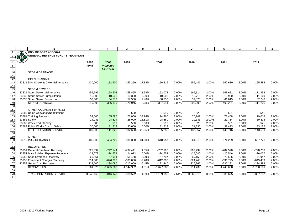|                   | A            | B                                                              | $\circ$                 | P                        | Q                        | R                 | S                      |                | U                        | $\mathcal{U}$  | W                      | X              | v                      | Ζ              |
|-------------------|--------------|----------------------------------------------------------------|-------------------------|--------------------------|--------------------------|-------------------|------------------------|----------------|--------------------------|----------------|------------------------|----------------|------------------------|----------------|
|                   |              | <b>CITY OF PORT ALBERNI</b>                                    |                         |                          |                          |                   |                        |                |                          |                |                        |                |                        |                |
|                   | 8.39         | <b>GENERAL REVENUE FUND - 5 YEAR PLAN</b>                      |                         |                          |                          |                   |                        |                |                          |                |                        |                |                        |                |
|                   |              |                                                                |                         | 2008                     |                          |                   |                        |                |                          |                |                        |                |                        |                |
| $\overline{5}$    |              |                                                                | 2007<br><b>Final</b>    | <b>Projected</b>         | 2008                     |                   | 2009                   |                | 2010                     |                | 2011                   |                | 2012                   |                |
| $6\overline{6}$   |              |                                                                |                         | <b>Last Year</b>         |                          |                   |                        |                |                          |                |                        |                |                        |                |
|                   |              | <b>STORM DRAINAGE</b>                                          |                         |                          |                          |                   |                        |                |                          |                |                        |                |                        |                |
| 140<br>141        |              |                                                                |                         |                          |                          |                   |                        |                |                          |                |                        |                |                        |                |
| 142               |              | <b>OPEN DRAINAGE</b>                                           |                         |                          |                          |                   |                        |                |                          |                |                        |                |                        |                |
| 143               |              | 23311 Ditch/Creek & Dyke Maintenance                           | 130,000                 | 132,600                  | 153.250                  | 17.88%            | 156,315                | 2.00%          | 159,441                  | 2.00%          | 162,630                | 2.00%          | 165,883                | 2.00%          |
|                   |              |                                                                |                         |                          |                          |                   |                        |                |                          |                |                        |                |                        |                |
| $\frac{114}{145}$ |              | <b>STORM SEWERS</b>                                            |                         |                          |                          |                   |                        |                |                          |                |                        |                |                        |                |
| 146               |              | 23331 Storm Sewer Maintenance                                  | 155,795                 | 158,503                  | 158,895                  | 1.99%             | 162,073                | 2.00%          | 165,314                  | 2.00%          | 168,621                | 2.00%          | 171,993                | 2.00%          |
| 147               |              | 23333 Storm Sewer Pump Station                                 | 10,300                  | 10,506                   | 10,300                   | 0.00%             | 10,506                 | 2.00%          | 10,716                   | 2.00%          | 10,930                 | 2.00%          | 11,149                 | 2.00%          |
| 148               |              | 23335 Storm Sewer Connections                                  | 53,500                  | 54,570                   | 57,500                   | 7.48%             | 58,650                 | 2.00%          | 59,823                   | 2.00%          | 61,019                 | 2.00%          | 62,240                 | 2.00%          |
| 149               |              | <b>STORM DRAINAGE</b>                                          | 349,595                 | 356,179                  | 379,945                  | 8.68%             | 387,544                | 2.00%          | 395,295                  | 2.00%          | 403,201                | 2.00%          | 411,265                | 2.00%          |
| $\overline{150}$  |              |                                                                |                         |                          |                          |                   |                        |                |                          |                |                        |                |                        |                |
| 151               |              | OTHER COMMON SERVICES                                          |                         |                          |                          |                   |                        |                |                          |                |                        |                |                        |                |
| 152               |              | 23880 Union Grievance/Negotiations                             |                         |                          | 500                      |                   | 510                    | 2.00%          | 520                      |                | 531                    |                | 541                    |                |
| 153               |              | 23881 Training Program                                         | 54,500                  | 55,590                   | 73,000                   | 33.94%            | 74.460                 | 2.00%          | 75,949                   | 2.00%          | 77.468                 | 2.00%          | 79,018                 | 2.00%          |
| 154               | 23882 Safety |                                                                | 24,033                  | 24,514                   | 28,000                   | 16.51%            | 28,560                 | 2.00%          | 29,131                   | 2.00%          | 29,714                 | 2.00%          | 30,308                 | 2.00%          |
| 155               |              | 23883 Week-End Standby                                         | 500                     | 510                      | 500                      | 0.00%             | 510                    | 2.00%          | 520                      | 2.00%          | 531                    | 2.00%          | 541                    | 2.00%          |
| 156               |              | 23884 Public Works Cost of Sales                               | 30,600                  | 31,212                   | 30,600                   | 0.00%             | 31,212                 | 2.00%          | 31,836                   | 2.00%          | 32,473                 | 2.00%          | 33,122                 | 2.00%          |
| $\frac{1}{157}$   |              | <b>OTHER COMMON SERVICES</b>                                   | 109,633                 | 111,826                  | 132,600                  | 20.95%            | 135,252                | 2.00%          | 137,957                  | 2.00%          | 140,716                | 2.00%          | 143,531                | 2.00%          |
| 158               |              |                                                                |                         |                          |                          |                   |                        |                |                          |                |                        |                |                        |                |
| 159               |              | <b>OTHER</b>                                                   |                         |                          |                          |                   |                        |                |                          |                |                        |                |                        |                |
| 160               |              | 23510 PUBLIC TRANSIT                                           | 485,000                 | 494,700                  | 635,350                  | 31.00%            | 648,057                | 2.00%          | 661,018                  | 2.00%          | 674,239                | 2.00%          | 687,723                | 2.00%          |
| 161               |              |                                                                |                         |                          |                          |                   |                        |                |                          |                |                        |                |                        |                |
| 162               |              | <b>RECOVERIES</b>                                              |                         |                          |                          |                   |                        |                |                          |                |                        |                |                        |                |
| 163<br>164        |              | 23951 General Overhead Recovery                                | $-727,592$              | $-742,144$               | $-737,441$               | 1.35%             | $-752,190$             | 2.00%          | $-767,234$               | 2.00%          | $-782,578$             | 2.00%          | -798,230               | 2.00%          |
| 165               |              | 23952 Main Building Expense Recovery                           | $-24,073$               | $-24,554$<br>$-67,994$   | $-24,073$                | 0.00%<br>$-0.29%$ | $-24,554$<br>$-67,797$ | 2.00%          | $-25,046$                | 2.00%<br>2.00% | $-25,546$<br>$-70,536$ | 2.00%          | $-26,057$<br>$-71,947$ | 2.00%<br>2.00% |
| 166               |              | 23953 Shop Overhead Recovery                                   | $-66,661$<br>$-614,000$ |                          | $-66,468$                | $-2.28%$          | $-612,000$             | 2.00%<br>2.00% | $-69,153$                | 2.00%          | $-636,725$             | 2.00%<br>2.00% | $-649,459$             | 2.00%          |
| 167               |              | 23958 Equipment Charges Recovery<br>23959 Gravel Cost Recovery | $-229,500$              | $-626,280$<br>$-234,090$ | $-600,000$<br>$-217,000$ | $-5.45%$          | $-221,340$             | 2.00%          | $-624,240$<br>$-225,767$ | 2.00%          | $-230,282$             | 2.00%          | $-234,888$             | 2.00%          |
| 168               |              | <b>RECOVERIES</b>                                              |                         | $-1,695,062$             | $-1,644,982$             | $-1.01%$          | $-1,677,882$           | 2.00%          | $-1,711,439$             | 2.00%          | $-1,745,668$           | 2.00%          | $-1,780,581$           | 2.00%          |
| 169               |              |                                                                | $-1,661,826$            |                          |                          |                   |                        |                |                          |                |                        |                |                        |                |
| 170               |              | <b>TRANSPORTATION SERVICE</b>                                  | 3,040,163               | 3,016,147                | 3,088,522                | 1.59%             | 3,169,952              | 2.64%          | 3,265,318                | 3.01%          | 3,330,625              | 2.00%          | 3,397,237              | 2.00%          |
| 171               |              |                                                                |                         |                          |                          |                   |                        |                |                          |                |                        |                |                        |                |
|                   |              |                                                                |                         |                          |                          |                   |                        |                |                          |                |                        |                |                        |                |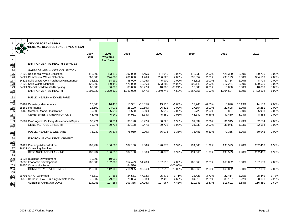|                        | A    | B                                              | $\Omega$     | P                | Q         | R         | S         |             | U         | $\mathcal{U}$ | W         | X      | Υ         | Z     |
|------------------------|------|------------------------------------------------|--------------|------------------|-----------|-----------|-----------|-------------|-----------|---------------|-----------|--------|-----------|-------|
|                        |      | <b>CITY OF PORT ALBERNI</b>                    |              |                  |           |           |           |             |           |               |           |        |           |       |
| 2                      | $+3$ | <b>GENERAL REVENUE FUND - 5 YEAR PLAN</b>      |              |                  |           |           |           |             |           |               |           |        |           |       |
| $\mathbf{3}$           |      |                                                |              |                  |           |           |           |             |           |               |           |        |           |       |
| $\overline{4}$         |      |                                                | 2007         | 2008             | 2008      |           | 2009      |             | 2010      |               | 2011      |        | 2012      |       |
|                        |      |                                                | <b>Final</b> |                  |           |           |           |             |           |               |           |        |           |       |
| $\overline{5}$         |      |                                                |              | Projected        |           |           |           |             |           |               |           |        |           |       |
| $6\overline{6}$        |      |                                                |              | <b>Last Year</b> |           |           |           |             |           |               |           |        |           |       |
| $\frac{1}{172}$<br>173 |      | ENVIRONMENTAL HEALTH SERVICES                  |              |                  |           |           |           |             |           |               |           |        |           |       |
|                        |      |                                                |              |                  |           |           |           |             |           |               |           |        |           |       |
| 174                    |      | <b>GARBAGE AND WASTE COLLECTION</b>            |              |                  |           |           |           |             |           |               |           |        |           |       |
| 175                    |      | 24320 Residential Waste Collection             | 415,500      | 423,810          | 397,000   | $-4.45%$  | 404,940   | 2.00%       | 413,039   | 2.00%         | 421,300   | 2.00%  | 429,726   | 2.00% |
| 176                    |      | 24321 Commercial Waste Collection              | 269,000      | 274,380          | 281,000   | 4.46%     | 286,620   | 2.00%       | 292,352   | 2.00%         | 298,199   | 2.00%  | 304,163   | 2.00% |
| $\overline{177}$       |      | 24322 Solid Waste Cont Purchase/Maintenance    | 33,520       | 34,190           | 45,000    | 34.25%    | 45,900    | 2.00%       | 46,818    | 2.00%         | 47,754    | 2.00%  | 48,709    | 2.00% |
| 178                    |      | 24323 Solid Waste Disposal                     | 422,000      | 430,440          | 475,000   | 12.56%    | 593,283   | 24.90%      | 605,149   | 2.00%         | 617,251   | 2.00%  | 629,596   | 2.00% |
| 179                    |      | 24324 Special Solid Waste-Recycling            | 65,000       | 66,300           | 85,000    | 30.77%    | 10,000    | $-88.24%$   | 10,000    | 0.00%         | 10,000    | 0.00%  | 10,000    | 0.00% |
| 180                    |      | ENVIRONMENTAL HEALTH                           | 1,205,020    | 1,229,120        | 1,283,000 | 6.47%     | 1,340,743 | 4.50%       | 1,367,358 | 1.99%         | 1,394,504 | 1.99%  | 1,422,194 | 1.99% |
| 181                    |      |                                                |              |                  |           |           |           |             |           |               |           |        |           |       |
| 182                    |      | PUBLIC HEALTH AND WELFARE                      |              |                  |           |           |           |             |           |               |           |        |           |       |
| 183                    |      |                                                |              |                  |           |           |           |             |           |               |           |        |           |       |
| 184                    |      | 25161 Cemetery Maintenance                     | 16,368       | 16,458           | 13,331    | $-18.55%$ | 13,118    | $-1.60%$    | 12,265    | $-6.50%$      | 13,876    | 13.13% | 14,153    | 2.00% |
| 185                    |      | 25162 Interments                               | 23,600       | 24,072           | 26,100    | 10.59%    | 26,622    | 2.00%       | 27,154    | 2.00%         | 27,698    | 2.00%  | 28,251    | 2.00% |
| 186                    |      | 25163 Memorial Marker Installation             | 5,500        | 5,610            | 5,500     | 0.00%     | 5,610     | 2.00%       | 5,722     | 2.00%         | 5,837     | 2.00%  | 5,953     | 2.00% |
| 187                    |      | <b>CEMETERIES &amp; CREMATORIUMS</b>           |              |                  |           |           |           | 0.93%       | 45.142    |               |           |        |           |       |
|                        |      |                                                | 45,468       | 46,140           | 44,931    | $-1.18%$  | 45,350    |             |           | $-0.46%$      | 47,410    | 5.03%  | 48,358    | 2.00% |
| 188                    |      |                                                |              |                  |           |           |           |             |           |               |           |        |           |       |
| 189                    |      | 25281 Gov't Agents Building Maintenance/Repair | 30,271       | 30,734           | 30,128    | $-0.47%$  | 30,725    | 1.98%       | 31,339    | 2.00%         | 31,945    | 1.93%  | 32,584    | 2.00% |
| 190                    |      | <b>GENERAL PUBLIC HEALTH</b>                   | 30,271       | 30,734           | 30,128    | $-0.47%$  | 30,725    | 1.98%       | 31,339    | 2.00%         | 31,945    | 1.93%  | 32,584    | 2.00% |
| 191                    |      |                                                |              |                  |           |           |           |             |           |               |           |        |           |       |
| 192                    |      | PUBLIC HEALTH & WELFARE                        | 75,739       | 76,874           | 75,059    | $-0.90%$  | 76,075    | 1.35%       | 76,481    | 0.53%         | 79,355    | 3.76%  | 80,942    | 2.00% |
| 193                    |      |                                                |              |                  |           |           |           |             |           |               |           |        |           |       |
| 194                    |      | ENVIRONMENTAL DEVELOPMENT                      |              |                  |           |           |           |             |           |               |           |        |           |       |
| 195                    |      |                                                |              |                  |           |           |           |             |           |               |           |        |           |       |
| 196                    |      | 26129 Planning Administration                  | 182,934      | 186,592          | 187.150   | 2.30%     | 190,872   | 1.99%       | 194,665   | 1.99%         | 198,529   | 1.98%  | 202,468   | 1.98% |
| 197                    |      | 26132 Consulting Services                      |              |                  |           |           |           |             |           |               |           |        |           |       |
| 198                    |      | <b>RESEARCH AND PLANNING</b>                   | 182,934      | 186,592          | 187,150   | 2.30%     | 190,872   | 1.99%       | 194,665   | 1.99%         | 198,529   | 1.98%  | 202,468   | 1.98% |
| 199                    |      |                                                |              |                  |           |           |           |             |           |               |           |        |           |       |
| 200                    |      | 26234 Business Development                     | 10,000       | 10,000           |           |           |           |             |           |               |           |        |           |       |
| 201                    |      | 26235 Economic Development                     | 100,000      | 102,000          | 154,429   | 54.43%    | 157,518   | 2.00%       | 160,668   | 2.00%         | 163,882   | 2.00%  | 167,159   | 2.00% |
| 203                    |      | 26450 Community Forest                         |              |                  | 64,536    |           |           | $-100.00\%$ |           |               |           |        |           |       |
| 204                    |      | <b>COMMUNITY DEVELOPMENT</b>                   | 110,000      | 112,000          | 218,965   | 99.06%    | 157,518   | $-28.06%$   | 160,668   | 2.00%         | 163,882   | 2.00%  | 167,159   | 2.00% |
|                        |      |                                                |              |                  |           |           |           |             |           |               |           |        |           |       |
| 205<br>206             |      | 26701 A.H.Q. Overhead                          | 46,619       | 27,355           | 24,561    | $-47.32%$ | 25,472    | 3.71%       | 26,423    | 3.73%         | 27,414    | 3.75%  | 28,449    | 3.78% |
| 207                    |      | 26770 Harbour Quay - Buildings Maintenance     | 78,332       | 79,899           | 78,824    | 0.63%     | 82,495    | 4.66%       | 84,318    | 2.21%         | 86,187    | 2.22%  | 88,101    | 2.22% |
| 208                    |      | ALBERNI HARBOUR QUAY                           |              |                  |           |           |           |             | 110.741   |               |           |        |           |       |
| 209                    |      |                                                | 124,951      | 107,254          | 103,385   | $-17.26%$ | 107,967   | 4.43%       |           | 2.57%         | 113,601   | 2.58%  | 116,550   | 2.60% |
|                        |      |                                                |              |                  |           |           |           |             |           |               |           |        |           |       |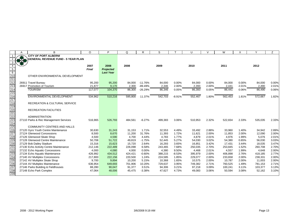|                  | A | B                                                               | $\circ$              | P                        | Q                 | R                 | S                 |                | U                 | $\vee$         | W                 | X              | Y                  | Ζ              |
|------------------|---|-----------------------------------------------------------------|----------------------|--------------------------|-------------------|-------------------|-------------------|----------------|-------------------|----------------|-------------------|----------------|--------------------|----------------|
|                  |   | <b>CITY OF PORT ALBERNI</b>                                     |                      |                          |                   |                   |                   |                |                   |                |                   |                |                    |                |
|                  |   | <b>GENERAL REVENUE FUND - 5 YEAR PLAN</b>                       |                      |                          |                   |                   |                   |                |                   |                |                   |                |                    |                |
| 3                |   |                                                                 |                      |                          |                   |                   |                   |                |                   |                |                   |                |                    |                |
| $\overline{5}$   |   |                                                                 | 2007<br><b>Final</b> | 2008<br><b>Projected</b> | 2008              |                   | 2009              |                | 2010              |                | 2011              |                | 2012               |                |
| $\overline{6}$   |   |                                                                 |                      | <b>Last Year</b>         |                   |                   |                   |                |                   |                |                   |                |                    |                |
| $\overline{210}$ |   | OTHER ENVIRONMENTAL DEVELOPMENT                                 |                      |                          |                   |                   |                   |                |                   |                |                   |                |                    |                |
| $\overline{211}$ |   |                                                                 |                      |                          |                   |                   |                   |                |                   |                |                   |                |                    |                |
| 212              |   | 26911 Travel Bureau                                             | 95,200               | 95,200                   | 84,000            | $-11.76%$         | 84,000            | 0.00%          | 84,000            | 0.00%          | 84,000            | 0.00%          | 84,000             | 0.00%          |
| 213              |   | 26917 Promotion of Tourism                                      | 21,877               | 9,170                    | 2,300             | $-89.49%$         | 2,346             | 2.00%          | 2,393             | 2.00%          | 2,441             | 2.01%          | 2,490              | 2.01%          |
| 214              |   | <b>TOURISM</b>                                                  | 117,077              | 104,370                  | 86,300            | $-26.29%$         | 86,346            | 0.05%          | 86,393            | 0.05%          | 86,441            | 0.06%          | 86,490             | 0.06%          |
| 215              |   |                                                                 |                      |                          |                   |                   |                   |                |                   |                |                   |                |                    |                |
| 216              |   | ENVIRONMENTAL DEVELOPMENT                                       | 534,962              | 510,216                  | 595,800           | 11.37%            | 542,703           | $-8.91%$       | 552,467           | 1.80%          | 562,453           | 1.81%          | 572,667            | 1.82%          |
| 217<br>218       |   |                                                                 |                      |                          |                   |                   |                   |                |                   |                |                   |                |                    |                |
|                  |   | <b>RECREATION &amp; CULTURAL SERVICE</b>                        |                      |                          |                   |                   |                   |                |                   |                |                   |                |                    |                |
| 219              |   |                                                                 |                      |                          |                   |                   |                   |                |                   |                |                   |                |                    |                |
| 220              |   | <b>RECREATION FACILITIES</b>                                    |                      |                          |                   |                   |                   |                |                   |                |                   |                |                    |                |
|                  |   | <b>ADMINISTRATION</b>                                           |                      |                          |                   |                   |                   |                |                   |                |                   |                |                    |                |
|                  |   | 27110 Parks & Rec Management Services                           | 516,965              | 526,793                  | 484.561           | $-6.27%$          | 499,383           | 3.06%          | 510,953           | 2.32%          | 522,834           | 2.33%          | 535,035            | 2.33%          |
|                  |   |                                                                 |                      |                          |                   |                   |                   |                |                   |                |                   |                |                    |                |
|                  |   | <b>COMMUNITY CENTRES AND HALLS</b>                              |                      |                          |                   |                   |                   |                |                   |                |                   |                |                    |                |
|                  |   | 27120 Gyro Youth Centre Maintenance                             | 30,630               | 31,243                   | 31,153            | 1.71%             | 32,553            | 4.49%          | 33,492            | 2.88%          | 33,960            | 1.40%          | 34,942             | 2.89%          |
|                  |   | 27124 Glenwood Concessions                                      | 8,500                | 8,670                    | 11,200            | 31.76%            | 11,393            | 1.72%          | 11,621            | 2.00%          | 11,853            | 2.00%          | 12,090             | 2.00%          |
|                  |   | 27126 Glenwood Skate Shop                                       | 4,500                | 4,590                    | 4,700             | 4.44%             | 4,783             | 1.77%          | 4,879             | 2.01%          | 4,976             | 1.99%          | 5,076              | 2.01%          |
|                  |   | 27128 Glenwood Centre Maintenance                               | 50,708               | 51,722                   | 49,819            | $-1.75%$          | 52,445            | 5.27%          | 54,030            | 3.02%          | 54,380            | 0.65%          | 56,030             | 3.03%          |
|                  |   | 27129 Bob Dailey Stadium                                        | 15,316               | 15,623                   | 15,720            | 2.64%             | 16,293            | 3.65%          | 16,851            | 3.42%          | 17,431            | 3.44%          | 18,035             | 3.47%          |
|                  |   | 27130 Echo Activity Centre Maintenance                          | 212,146              | 222,489                  | 226,098           | 6.58%             | 243,465           | 7.68%          | 250,035           | 2.70%          | 253,845           | 1.52%          | 260,708            | 2.70%          |
|                  |   | 27132 Echo Aquatic Concessions                                  | 4,000                | 4,080                    | 4,000             | 0.00%             | 4,380             | 9.50%          | 4,468             | 2.01%          | 4,557             | 1.99%          | 4,648              | 2.00%          |
|                  |   | 27134 Echo Aquatic Maintenance                                  | 426,992              | 434.512                  | 424,421           | $-0.60%$<br>1.24% | 388,215           | $-8.53%$       | 395,979           | 2.00%<br>2.00% | 406,898           | 2.76%<br>2.00% | 418,185<br>238,331 | 2.77%          |
|                  |   | 27140 AV Multiplex Concessions<br>27142 AV Multiplex Skate Shop | 217,800<br>9,700     | 222,156<br>9,894         | 220,500<br>10,200 | 5.15%             | 224,585<br>10,368 | 1.85%<br>1.65% | 229,077<br>10,575 | 2.00%          | 233,658<br>10,787 | 2.00%          | 11,003             | 2.00%<br>2.00% |
|                  |   | 27144 AV Multiplex Maintenance                                  | 636,954              | 649,693                  | 701,906           | 10.20%            | 729,637           | 3.95%          | 749,382           | 2.71%          | 760,525           | 1.49%          | 781,153            | 2.71%          |
|                  |   | 27146 Parks Building & Fieldhouses                              | 88,280               | 90,047                   | 91,377            | 3.51%             | 94,306            | 3.21%          | 97,218            | 3.09%          | 100,241           | 3.11%          | 103,377            | 3.13%          |
|                  |   | 27148 Echo Park Complex                                         | 47,064               | 48,006                   | 45,475            | $-3.38%$          | 47,627            | 4.73%          | 49,083            | 3.06%          | 50,594            | 3.08%          | 52,162             | 3.10%          |
|                  |   |                                                                 |                      |                          |                   |                   |                   |                |                   |                |                   |                |                    |                |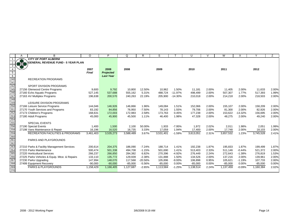|                   | Α | B                                             | $\circ$      | P                | Q         | R         | S         |           | U         | $\mathcal{U}$ | W         | х         | Υ         | Z     |
|-------------------|---|-----------------------------------------------|--------------|------------------|-----------|-----------|-----------|-----------|-----------|---------------|-----------|-----------|-----------|-------|
|                   |   | <b>CITY OF PORT ALBERNI</b>                   |              |                  |           |           |           |           |           |               |           |           |           |       |
| $\overline{2}$    |   | <b>GENERAL REVENUE FUND - 5 YEAR PLAN</b>     |              |                  |           |           |           |           |           |               |           |           |           |       |
| 3                 |   |                                               |              |                  |           |           |           |           |           |               |           |           |           |       |
|                   |   |                                               | 2007         | 2008             | 2008      |           | 2009      |           | 2010      |               | 2011      |           | 2012      |       |
| 5                 |   |                                               | <b>Final</b> | <b>Projected</b> |           |           |           |           |           |               |           |           |           |       |
| $6\overline{6}$   |   |                                               |              | <b>Last Year</b> |           |           |           |           |           |               |           |           |           |       |
|                   |   | <b>RECREATION PROGRAMS</b>                    |              |                  |           |           |           |           |           |               |           |           |           |       |
|                   |   |                                               |              |                  |           |           |           |           |           |               |           |           |           |       |
| $\frac{240}{241}$ |   | <b>SPORT DIVISION PROGRAMS</b>                |              |                  |           |           |           |           |           |               |           |           |           |       |
| 245               |   | 27156 Glenwood Centre Programs                | 9,600        | 9,792            | 10,800    | 12.50%    | 10,962    | 1.50%     | 11,181    | 2.00%         | 11,405    | 2.00%     | 11,633    | 2.00% |
| 246               |   | 27160 Echo Aquatic Programs                   | 527,145      | 537,688          | 555,162   | 5.31%     | 488.724   | $-11.97%$ | 498,499   | 2.00%         | 507,307   | 1.77%     | 517,393   | 1.99% |
| 247               |   | 27163 AV Multiplex Programs                   | 196,638      | 200,570          | 240,263   | 22.19%    | 205,900   | $-14.30%$ | 210,018   | 2.00%         | 214,218   | 2.00%     | 218,503   | 2.00% |
| 248<br>249        |   |                                               |              |                  |           |           |           |           |           |               |           |           |           |       |
|                   |   | LEISURE DIVISION PROGRAMS                     |              |                  |           |           |           |           |           |               |           |           |           |       |
| 250               |   | 27166 Leisure Service Programs                | 144,046      | 146,926          | 146,866   | 1.96%     | 149,084   | 1.51%     | 152,066   | 2.00%         | 155,107   | 2.00%     | 158,209   | 2.00% |
| 251               |   | 27170 Youth Services and Programs             | 83,192       | 84,856           | 76,950    | $-7.50%$  | 78,143    | 1.55%     | 79,706    | 2.00%         | 81,300    | 2.00%     | 82,926    | 2.00% |
| 252               |   | 27173 Children's Programs                     | 168,631      | 172,003          | 172,983   | 2.58%     | 173,763   | 0.45%     | 177,238   | 2.00%         | 153,622   | $-13.32%$ | 156,695   | 2.00% |
| 253               |   | 27180 Adult Programs                          | 45,000       | 45,900           | 45,500    | 1.11%     | 46,400    | 1.98%     | 47,328    | 2.00%         | 48,275    | 2.00%     | 49,240    | 2.00% |
| 254               |   |                                               |              |                  |           |           |           |           |           |               |           |           |           |       |
| 255               |   | <b>SPECIAL EVENTS</b>                         |              |                  |           |           |           |           |           |               |           |           |           |       |
| 256<br>258        |   | 27190 Special Events                          | 1,400        | 1,500            | 2,100     | 50.00%    | 1,933     | $-7.95%$  | 1,972     | 2.02%         | 2,011     | 1.98%     | 2,051     | 1.99% |
|                   |   | 27198 Vans Maintenance & Repair               | 16,196       | 16,520           | 16,735    | 3.33%     | 17,059    | 1.94%     | 17,400    | 2.00%         | 17,748    | 2.00%     | 18,103    | 2.00% |
| 259               |   | <b>RECREATION FACILITIES &amp; PROGRAMS</b>   | 3,461,403    | 3,535,273        | 3,588,489 | 3.67%     | 3,531,401 | $-1.59%$  | 3,613,051 | 2.31%         | 3,657,532 | 1.23%     | 3,745,528 | 2.41% |
| 260               |   |                                               |              |                  |           |           |           |           |           |               |           |           |           |       |
| 261               |   | <b>PARKS AND PLAYGROUNDS</b>                  |              |                  |           |           |           |           |           |               |           |           |           |       |
| 262               |   |                                               |              |                  |           |           |           |           |           |               |           |           |           |       |
| 263               |   | 27210 Parks & Facility Management Services    | 200,614      | 204,375          | 186,090   | $-7.24%$  | 188,714   | 1.41%     | 192,238   | 1.87%         | 195,833   | 1.87%     | 199,499   | 1.87% |
| 264               |   | 27215 Parks Maintenance                       | 500,474      | 501,338          | 494,708   | $-1.15%$  | 501,690   | 1.41%     | 513,403   | 2.33%         | 511,146   | $-0.44%$  | 521,372   | 2.00% |
| 265               |   | 27220 Horticultural Services                  | 266,237      | 266,850          | 284,382   | 6.82%     | 270.396   | $-4.92%$  | 276.449   | 2.24%         | 272,643   | $-1.38%$  | 276.819   | 1.53% |
| 266               |   | 27225 Parks Vehicles & Equip. Mtce. & Repairs | 133,110      | 135,772          | 129,939   | $-2.38%$  | 131,888   | 1.50%     | 134,526   | 2.00%         | 137,216   | 2.00%     | 139,961   | 2.00% |
| 267               |   | 27230 Parks Upgrading                         | 147,994      | 148,070          | 117,568   | $-20.56%$ | 105,896   | $-9.93%$  | 106,898   | 0.95%         | 105,621   | $-1.19%$  | 107,733   | 2.00% |
| 268               |   | 27499 Equipment Recovery                      | $-90,000$    | $-90,000$        | $-85,000$ | $-5.56%$  | $-85,000$ | 0.00%     | $-85,000$ | 0.00%         | $-85,000$ | $0.00\%$  | $-85,000$ | 0.00% |
| 269               |   | <b>PARKS &amp; PLAYGROUNDS</b>                | 1,158,429    | 1,166,405        | 1,127,687 | $-2.65%$  | 1,113,584 | $-1.25%$  | 1,138,514 | 2.24%         | 1,137,459 | $-0.09%$  | 1,160,384 | 2.02% |
| 270               |   |                                               |              |                  |           |           |           |           |           |               |           |           |           |       |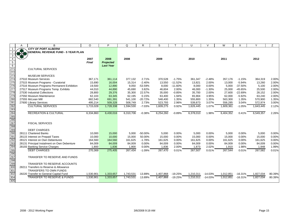|                   | A                   | B                                           | O            | P                | Q         | R         | S         |           | U         | $\vee$    | W         | X         | Y         | Ζ      |
|-------------------|---------------------|---------------------------------------------|--------------|------------------|-----------|-----------|-----------|-----------|-----------|-----------|-----------|-----------|-----------|--------|
|                   |                     | <b>CITY OF PORT ALBERNI</b>                 |              |                  |           |           |           |           |           |           |           |           |           |        |
|                   | $\bigoplus_{i=1}^n$ | <b>GENERAL REVENUE FUND - 5 YEAR PLAN</b>   |              |                  |           |           |           |           |           |           |           |           |           |        |
| 3                 |                     |                                             |              |                  |           |           |           |           |           |           |           |           |           |        |
| $\overline{4}$    |                     |                                             | 2007         | 2008             | 2008      |           | 2009      |           | 2010      |           | 2011      |           | 2012      |        |
| $\overline{5}$    |                     |                                             | <b>Final</b> | <b>Projected</b> |           |           |           |           |           |           |           |           |           |        |
| $6\overline{6}$   |                     |                                             |              | <b>Last Year</b> |           |           |           |           |           |           |           |           |           |        |
| 271               |                     | <b>CULTURAL SERVICES</b>                    |              |                  |           |           |           |           |           |           |           |           |           |        |
| 272               |                     |                                             |              |                  |           |           |           |           |           |           |           |           |           |        |
| 273               |                     | <b>MUSEUM SERVICES</b>                      |              |                  |           |           |           |           |           |           |           |           |           |        |
| 274               |                     | 27510 Museum Services                       | 367,171      | 361,114          | 377,132   | 2.71%     | 370,528   | $-1.75%$  | 361,347   | $-2.48%$  | 357.176   | $-1.15%$  | 364,319   | 2.00%  |
| 275               |                     | 27515 Museum Programs - Curatorial          | 15,690       | 16,004           | 15,314    | $-2.40%$  | 13,550    | $-11.52%$ | 13,821    | 2.00%     | 13,000    | $-5.94%$  | 13,260    | 2.00%  |
| 276               |                     | 27516 Museum Programs Permanent Exhibition  | 19,500       | 12,890           | 9,050     | $-53.59%$ | 8,000     | $-11.60%$ | 8,000     | 0.00%     | 5,000     | $-37.50%$ | 5,100     | 2.00%  |
| 277               |                     | 27517 Museum Programs Temp. Exhibits        | 44,010       | 44,890           | 45,690    | 3.82%     | 46,604    | 2.00%     | 46.000    | $-1.30%$  | 25,000    | $-45.65%$ | 25,500    | 2.00%  |
| 278               |                     | 27530 Industrial Collections                | 28,800       | 29,376           | 35,300    | 22.57%    | 35,000    | $-0.85%$  | 35,700    | 2.00%     | 27,600    | $-22.69%$ | 28,152    | 2.00%  |
| 279               |                     | 27550 Museum Maintenance                    | 62,103       | 63,345           | 62,195    | 0.15%     | 63,400    | 1.94%     | 65,904    | 3.95%     | 62,000    | $-5.92%$  | 63,240    | 2.00%  |
| 280               |                     | 27555 McLean Mill                           | 682,540      | 691,391          | 541,100   | $-20.72%$ | 548,400   | 1.35%     | 555,800   | 1.35%     | 563,300   | 1.35%     | 570,900   | 1.35%  |
| 281               |                     | 27600 Library Services                      | 495,214      | 509,328          | 508,749   | 2.73%     | 523,793   | 2.96%     | 539,873   | 3.07%     | 556,285   | 3.04%     | 572,974   | 3.00%  |
| 282               |                     | <b>CULTURAL SERVICES</b>                    | 1,715,028    | 1,728,338        | 1,594,530 | $-7.03%$  | 1,609,275 | 0.92%     | 1,626,445 | 1.07%     | 1,609,361 | $-1.05%$  | 1,643,445 | 2.12%  |
| 283               |                     |                                             |              |                  |           |           |           |           |           |           |           |           |           |        |
| 284               |                     | <b>RECREATION &amp; CULTURAL</b>            | 6,334,860    | 6,430,016        | 6,310,706 | $-0.38%$  | 6,254,260 | $-0.89%$  | 6,378,010 | 1.98%     | 6,404,352 | 0.41%     | 6,549,357 | 2.26%  |
|                   |                     |                                             |              |                  |           |           |           |           |           |           |           |           |           |        |
|                   |                     |                                             |              |                  |           |           |           |           |           |           |           |           |           |        |
| 285<br>286<br>287 |                     | <b>FISCAL SERVICES</b>                      |              |                  |           |           |           |           |           |           |           |           |           |        |
| 288               |                     |                                             |              |                  |           |           |           |           |           |           |           |           |           |        |
| 289               |                     | <b>DEBT CHARGES</b>                         |              |                  |           |           |           |           |           |           |           |           |           |        |
| 290               |                     | 28111 Chartered Banks                       | 10,000       | 15,000           | 5,000     | $-50.00%$ | 5,000     | 0.00%     | 5,000     | 0.00%     | 5,000     | 0.00%     | 5,000     | 0.00%  |
| 291               |                     | 28115 Interest on Prepaid Taxes             | 10,000       | 10,000           | 15,000    | 50.00%    | 15,000    | 0.00%     | 15,000    | 0.00%     | 15,000    | 0.00%     | 15,000    | 0.00%  |
| 292               |                     | 28121 Interest on Own Debentures            | 164,560      | 164,560          | 161,625   | $-1.78%$  | 161,625   | 0.00%     | 161,625   | 0.00%     | 161,625   | 0.00%     | 161,625   | 0.00%  |
| 293               |                     | 28131 Principal Instalment on Own Debenture | 84,009       | 84,009           | 84,009    | 0.00%     | 84,009    | 0.00%     | 84,009    | 0.00%     | 84,009    | 0.00%     | 84,009    | 0.00%  |
| 294               |                     | 28193 Banking Service Charges               | 1,800        | 1,836            | 1,800     | 0.00%     | 1,836     | 2.00%     | 1,873     | 2.02%     | 1,910     | 1.98%     | 1,948     | 1.99%  |
| 295               |                     | <b>DEBT CHARGES</b>                         | 270,369      | 275,405          | 267,434   | $-1.09%$  | 267,470   | 0.01%     | 267,507   | 0.01%     | 267,544   | 0.01%     | 267,582   | 0.01%  |
| 296<br>297        |                     |                                             |              |                  |           |           |           |           |           |           |           |           |           |        |
|                   |                     | TRANSFER TO RESERVE AND FUNDS               |              |                  |           |           |           |           |           |           |           |           |           |        |
| 298               |                     |                                             |              |                  |           |           |           |           |           |           |           |           |           |        |
| 299               |                     | TRANSFER TO RESERVE ACCOUNTS                |              |                  |           |           |           |           |           |           |           |           |           |        |
| 300               |                     | 28211 Transfers to Reserve & Allowance      |              |                  |           |           |           |           |           |           |           |           |           |        |
| 301               |                     | <b>TRANSFERS TO OWN FUNDS</b>               |              |                  |           |           |           |           |           |           |           |           |           |        |
| 302               |                     | 28220 Transfer to General Capital Fund      | 1,530,901    | 1,333,657        | 1,743,531 | 13.89%    | 1,407,868 | $-19.25%$ | 1,210,311 | $-14.03%$ | 1,012,851 | $-16.31%$ | 1,827,034 | 80.39% |
| 304               |                     | <b>TRANSFER TO RESERVE &amp; FUNDS</b>      | 1,530,901    | 1,333,657        | 1,743,531 | 13.89%    | 1.407.868 | $-19.25%$ | 1.210.311 | $-14.03%$ | 1,012,851 | $-16.31%$ | 1,827,034 | 80.39% |
| 305               |                     |                                             |              |                  |           |           |           |           |           |           |           |           |           |        |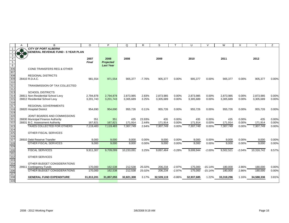|                                       | A             | B                                         | O            | P                | Q          | R        | S          |          | $\cup$     |                | W          | X              | Y          | Z     |
|---------------------------------------|---------------|-------------------------------------------|--------------|------------------|------------|----------|------------|----------|------------|----------------|------------|----------------|------------|-------|
|                                       |               | <b>CITY OF PORT ALBERNI</b>               |              |                  |            |          |            |          |            |                |            |                |            |       |
| 2                                     | $\frac{1}{2}$ | <b>GENERAL REVENUE FUND - 5 YEAR PLAN</b> |              |                  |            |          |            |          |            |                |            |                |            |       |
| 3                                     |               |                                           |              |                  |            |          |            |          |            |                |            |                |            |       |
|                                       |               |                                           | 2007         | 2008             | 2008       |          | 2009       |          | 2010       |                | 2011       |                | 2012       |       |
| $5\overline{)}$                       |               |                                           | <b>Final</b> | <b>Projected</b> |            |          |            |          |            |                |            |                |            |       |
| $rac{6}{306}$                         |               |                                           |              | <b>Last Year</b> |            |          |            |          |            |                |            |                |            |       |
|                                       |               | <b>COND TRANSFERS REG &amp; OTHER</b>     |              |                  |            |          |            |          |            |                |            |                |            |       |
| 307                                   |               |                                           |              |                  |            |          |            |          |            |                |            |                |            |       |
| 308                                   |               | <b>REGIONAL DISTRICTS</b>                 |              |                  |            |          |            |          |            |                |            |                |            |       |
| 309                                   |               | 28410 R.D.A.C.                            | 981,554      | 971,554          | 905,377    | $-7.76%$ | 905,377    | 0.00%    | 905,377    | 0.00%          | 905,377    | 0.00%          | 905,377    | 0.00% |
| $\frac{1}{310}$                       |               |                                           |              |                  |            |          |            |          |            |                |            |                |            |       |
| $\overline{311}$                      |               | TRANSMISSION OF TAX COLLECTED             |              |                  |            |          |            |          |            |                |            |                |            |       |
| $\overline{312}$                      |               |                                           |              |                  |            |          |            |          |            |                |            |                |            |       |
| 313                                   |               | <b>SCHOOL DISTRICTS</b>                   |              |                  |            |          |            |          |            |                |            |                |            |       |
| 314                                   |               | 28811 Non-Residential School Levy         | 2,794,878    | 2,794,878        | 2,873,985  | 2.83%    | 2,873,985  | 0.00%    | 2,873,985  | 0.00%          | 2,873,985  | 0.00%          | 2,873,985  | 0.00% |
| $\overline{315}$                      |               | 28812 Residential School Levy             | 3,201,743    | 3,201,743        | 3,305,689  | 3.25%    | 3,305,689  | 0.00%    | 3,305,689  | 0.00%          | 3,305,689  | 0.00%          | 3,305,689  | 0.00% |
| 316<br>317                            |               |                                           |              |                  |            |          |            |          |            |                |            |                |            |       |
|                                       |               | <b>REGIONAL GOVERNMENTS</b>               |              |                  |            | 0.11%    |            |          |            |                |            |                |            |       |
| 318                                   |               | 28820 Hospital District                   | 954,690      | 954,690          | 955,726    |          | 955,726    | 0.00%    | 955,726    | 0.00%          | 955,726    | 0.00%          | 955,726    | 0.00% |
| 319                                   |               | JOINT BOARDS AND COMMISSIONS              |              |                  |            |          |            |          |            |                |            |                |            |       |
|                                       |               | 28830 Municipal Finance Authority         | 351          | 351              | 435        | 23.93%   | 435        | 0.00%    | 435        |                | 435        |                | 435        | 0.00% |
| 320<br>321<br>322                     |               | 28831 B.C. Assessment Authority           | 167,821      | 167.821          | 171,914    | 2.44%    | 171,914    | 0.00%    | 171,914    | 0.00%<br>0.00% | 171,914    | 0.00%<br>0.00% | 171,914    | 0.00% |
|                                       |               | <b>TAXES COLLECTED FOR OTHERS</b>         |              |                  |            |          |            |          |            |                |            |                |            |       |
| 323<br>324                            |               |                                           | 7,119,483    | 7,119,483        | 7,307,749  | 2.64%    | 7,307,749  | 0.00%    | 7,307,749  | 0.00%          | 7,307,749  | 0.00%          | 7,307,749  | 0.00% |
|                                       |               | OTHER FISCAL SERVICES                     |              |                  |            |          |            |          |            |                |            |                |            |       |
|                                       |               |                                           |              |                  |            |          |            |          |            |                |            |                |            |       |
| $\frac{22}{325}$<br>$\frac{326}{327}$ |               | 28910 Debt Reserve Transfer               | 9,000        | 9,000            | 9,000      | 0.00%    | 9,000      | $0.00\%$ | 9,000      | 0.00%          | 9,000      | 0.00%          | 9,000      | 0.00% |
| 328                                   |               | <b>OTHER FISCAL SERVICES</b>              | 9,000        | 9,000            | 9,000      | 0.00%    | 9,000      | 0.00%    | 9,000      | 0.00%          | 9,000      | 0.00%          | 9,000      | 0.00% |
| 329                                   |               |                                           |              |                  |            |          |            |          |            |                |            |                |            |       |
| 330                                   |               | <b>FISCAL SERVICES</b>                    | 9,911,307    | 9,709,099        | 10,233,091 | 3.25%    | 9,897,464  | $-3.28%$ | 9,699,944  | $-2.00%$       | 9,502,521  | $-2.04%$       | 10,316,742 | 8.57% |
| 331                                   |               |                                           |              |                  |            |          |            |          |            |                |            |                |            |       |
| 332                                   |               | <b>OTHER SERVICES</b>                     |              |                  |            |          |            |          |            |                |            |                |            |       |
| 333                                   |               |                                           |              |                  |            |          |            |          |            |                |            |                |            |       |
|                                       |               | OTHER BUDGET CONSIDERATIONS               |              |                  |            |          |            |          |            |                |            |                |            |       |
| 334<br>335                            |               | 29911 Contingency Funds                   | 170,000      | 162,538          | 212,538    | 25.02%   | 206,234    | $-2.97%$ | 175.000    | $-15.14%$      | 180,000    | 2.86%          | 180,000    | 0.00% |
| 336                                   |               | OTHER BUDGET CONSIDERATIONS               | 170,000      | 162,538          | 212,538    | 25.02%   | 206,234    | $-2.97%$ | 175.000    | $-15.14%$      | 180,000    | 2.86%          | 180,000    | 0.00% |
| 337                                   |               |                                           |              |                  |            |          |            |          |            |                |            |                |            |       |
| 338                                   |               | <b>GENERAL FUND EXPENDITURE</b>           | 31,813,201   | 31,857,055       | 32,821,308 | 3.17%    | 32,539,119 | $-0.86%$ | 32,937,685 | 1.22%          | 33,318,296 | 1.16%          | 34,588,336 | 3.81% |
| 339                                   |               |                                           |              |                  |            |          |            |          |            |                |            |                |            |       |
|                                       |               |                                           |              |                  |            |          |            |          |            |                |            |                |            |       |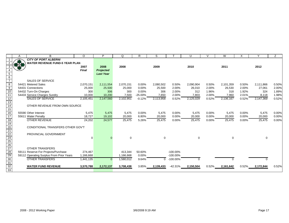|                                                                                 | A | В                                        | $\circ$      | P                | Q                    | R                  | S         |                            | U           | $\vee$ | W         | X     | Υ         | Z     |
|---------------------------------------------------------------------------------|---|------------------------------------------|--------------|------------------|----------------------|--------------------|-----------|----------------------------|-------------|--------|-----------|-------|-----------|-------|
|                                                                                 |   | <b>CITY OF PORT ALBERNI</b>              |              |                  |                      |                    |           |                            |             |        |           |       |           |       |
|                                                                                 |   | <b>WATER REVENUE FUND-5 YEAR PLAN</b>    |              |                  |                      |                    |           |                            |             |        |           |       |           |       |
|                                                                                 |   |                                          | 2007         | 2008             | 2008                 |                    | 2009      |                            | 2010        |        | 2011      |       | 2012      |       |
|                                                                                 |   |                                          | <b>Final</b> | <b>Projected</b> |                      |                    |           |                            |             |        |           |       |           |       |
| 5                                                                               |   |                                          |              | <b>Last Year</b> |                      |                    |           |                            |             |        |           |       |           |       |
| $\frac{6}{7}$                                                                   |   |                                          |              |                  |                      |                    |           |                            |             |        |           |       |           |       |
|                                                                                 |   | <b>SALES OF SERVICE</b>                  |              |                  |                      |                    |           |                            |             |        |           |       |           |       |
| 8                                                                               |   | 54421 Metered Sales                      | 2,070,151    | 2,111,554        | 2,070,151            | 0.00%              | 2,080,502 | 0.50%                      | 2,090,904   | 0.50%  | 2,101,359 | 0.50% | 2,111,866 | 0.50% |
| 9                                                                               |   | 54431 Connections                        | 25,000       | 25,500           | 25,000               | $0.00\%$           | 25,500    | 2.00%                      | 26,010      | 2.00%  | 26,530    | 2.00% | 27,061    | 2.00% |
| $\overline{10}$                                                                 |   | 54432 Turn-On Charges                    | 300          | 306              | 300                  | 0.00%              | 306       | 2.00%                      | 312         | 1.96%  | 318       | 1.92% | 324       | 1.89% |
| 11                                                                              |   | 54433 Service Charges Sundry             | 10,000       | 10,200           | 7,500                | $-25.00%$          | 7,650     | 2.00%                      | 7,803       | 2.00%  | 7,960     | 2.01% | 8,118     | 1.98% |
| $\overline{12}$                                                                 |   | <b>SALES OF SERVICE</b>                  | 2,105,451    | 2,147,560        | 2,102,951            | $-0.12%$           | 2,113,958 | 0.52%                      | 2,125,029   | 0.52%  | 2,136,167 | 0.52% | 2,147,369 | 0.52% |
| $\overline{13}$                                                                 |   |                                          |              |                  |                      |                    |           |                            |             |        |           |       |           |       |
| $\overline{14}$                                                                 |   | OTHER REVENUE FROM OWN SOURCE            |              |                  |                      |                    |           |                            |             |        |           |       |           |       |
| $\overline{15}$                                                                 |   |                                          |              |                  |                      |                    |           |                            |             |        |           |       |           |       |
| 16                                                                              |   | 55590 Other Interest                     | 5,475        | 5,475            | 5,475                | 0.00%              | 5.475     | 0.00%                      | 5,475       | 0.00%  | 5,475     | 0.00% | 5,475     | 0.00% |
| $\overline{17}$                                                                 |   | 55611 Water Penalty                      | 18.727       | 19,102           | 20,000               | 6.80%              | 20,000    | 0.00%                      | 20,000      | 0.00%  | 20,000    | 0.00% | 20,000    | 0.00% |
| 18                                                                              |   | <b>OTHER REVENUE</b>                     | 24,202       | 24,577           | 25,475               | 5.26%              | 25,475    | 0.00%                      | 25,475      | 0.00%  | 25,475    | 0.00% | 25,475    | 0.00% |
| 19                                                                              |   |                                          |              |                  |                      |                    |           |                            |             |        |           |       |           |       |
|                                                                                 |   | CONDITIONAL TRANSFERS OTHER GOV'T        |              |                  |                      |                    |           |                            |             |        |           |       |           |       |
|                                                                                 |   |                                          |              |                  |                      |                    |           |                            |             |        |           |       |           |       |
|                                                                                 |   | PROVINCIAL GOVERNMENT                    |              |                  |                      |                    |           |                            |             |        |           |       |           |       |
|                                                                                 |   |                                          | $\Omega$     |                  | $\mathbf 0$          |                    | $\Omega$  |                            | $\mathbf 0$ |        | $\Omega$  |       | $\Omega$  |       |
|                                                                                 |   |                                          |              |                  |                      |                    |           |                            |             |        |           |       |           |       |
|                                                                                 |   |                                          |              |                  |                      |                    |           |                            |             |        |           |       |           |       |
|                                                                                 |   | <b>OTHER TRANSFERS</b>                   |              |                  |                      |                    |           |                            |             |        |           |       |           |       |
| $\frac{20}{21}$ $\frac{22}{24}$ $\frac{24}{25}$ $\frac{26}{27}$ $\frac{28}{29}$ |   | 59111 Reserve For Projects/Purchase      | 274,467      |                  | 413,344<br>1,166,668 | 50.60%<br>$0.00\%$ |           | $-100.00\%$<br>$-100.00\%$ |             |        |           |       |           |       |
|                                                                                 |   | 59112 Operating Surplus From Prior Years | 1,166,668    |                  |                      |                    |           |                            |             |        |           |       |           |       |
| 30                                                                              |   | <b>OTHER TRANSFERS</b>                   | 1,441,135    | $\Omega$         | 1,580,012            | 9.64%              | $\Omega$  | $-100.00\%$                | 0           |        |           |       | $\Omega$  |       |
| 31<br>32<br>33                                                                  |   | <b>WATER FUND REVENUE</b>                | 3,570,788    | 2,172,137        |                      | 3.85%              |           | $-42.31%$                  |             | 0.52%  |           | 0.52% |           | 0.52% |
|                                                                                 |   |                                          |              |                  | 3,708,438            |                    | 2,139,433 |                            | 2,150,504   |        | 2,161,642 |       | 2,172,844 |       |
|                                                                                 |   |                                          |              |                  |                      |                    |           |                            |             |        |           |       |           |       |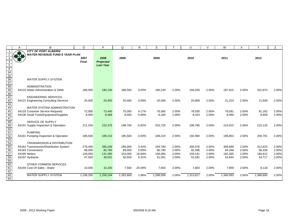|                                                                                                                                       | A | B                                      | $\circ$      | P                | Q         | R.        | S         |       | U         | $\vee$ | W         | X     | Y         | Z.    |
|---------------------------------------------------------------------------------------------------------------------------------------|---|----------------------------------------|--------------|------------------|-----------|-----------|-----------|-------|-----------|--------|-----------|-------|-----------|-------|
|                                                                                                                                       |   | <b>CITY OF PORT ALBERNI</b>            |              |                  |           |           |           |       |           |        |           |       |           |       |
|                                                                                                                                       |   | <b>WATER REVENUE FUND-5 YEAR PLAN</b>  |              |                  |           |           |           |       |           |        |           |       |           |       |
| 3                                                                                                                                     |   |                                        | 2007         | 2008             | 2008      |           | 2009      |       | 2010      |        | 2011      |       | 2012      |       |
| $\overline{4}$                                                                                                                        |   |                                        | <b>Final</b> | Projected        |           |           |           |       |           |        |           |       |           |       |
| $\overline{5}$                                                                                                                        |   |                                        |              | <b>Last Year</b> |           |           |           |       |           |        |           |       |           |       |
|                                                                                                                                       |   |                                        |              |                  |           |           |           |       |           |        |           |       |           |       |
|                                                                                                                                       |   |                                        |              |                  |           |           |           |       |           |        |           |       |           |       |
| $\begin{array}{r} 6 \\ \hline 34 \\ \hline 35 \\ \hline 36 \\ \hline 37 \\ \hline 38 \\ \hline 39 \\ \hline 40 \\ \hline \end{array}$ |   |                                        |              |                  |           |           |           |       |           |        |           |       |           |       |
|                                                                                                                                       |   | <b>WATER SUPPLY SYSTEM</b>             |              |                  |           |           |           |       |           |        |           |       |           |       |
|                                                                                                                                       |   |                                        |              |                  |           |           |           |       |           |        |           |       |           |       |
|                                                                                                                                       |   | ADMINISTRATION                         |              |                  |           |           |           |       |           |        |           |       |           |       |
|                                                                                                                                       |   | 64110 Water Administration & Other     | 186,500      | 190,230          | 186,500   | 0.00%     | 190,230   | 2.00% | 194,035   | 2.00%  | 197,915   | 2.00% | 201,874   | 2.00% |
| 41                                                                                                                                    |   | <b>ENGINEERING SERVICES</b>            |              |                  |           |           |           |       |           |        |           |       |           |       |
|                                                                                                                                       |   |                                        | 20,000       | 20,400           | 20,000    | 0.00%     | 20,400    | 2.00% | 20,808    | 2.00%  |           | 2.00% |           | 2.00% |
| $\frac{42}{43}$                                                                                                                       |   | 64121 Engineering Consulting Services  |              |                  |           |           |           |       |           |        | 21,224    |       | 21,649    |       |
| 44                                                                                                                                    |   | WATER SYSTEM ADMINISTRATION            |              |                  |           |           |           |       |           |        |           |       |           |       |
| 45                                                                                                                                    |   | 64133 Customer Service Requests        | 72,000       | 73,440           | 75,000    | 4.17%     | 76,500    | 2.00% | 78,030    | 2.00%  | 79,591    | 2.00% | 81,182    | 2.00% |
| 46                                                                                                                                    |   | 64136 Small Tools/Equipment/Supplies   | 8,000        | 8,489            | 8,000     | 0.00%     | 8,160     | 2.00% | 8,323     | 2.00%  | 8,490     | 2.00% | 8,659     | 2.00% |
| 47                                                                                                                                    |   |                                        |              |                  |           |           |           |       |           |        |           |       |           |       |
|                                                                                                                                       |   | SERVICE OF SUPPLY                      |              |                  |           |           |           |       |           |        |           |       |           |       |
|                                                                                                                                       |   | 64141 Supply Inspection & Operation    | 211,250      | 210,375          | 198,750   | $-5.92%$  | 202,725   | 2.00% | 206,780   | 2.00%  | 210,915   | 2.00% | 215,133   | 2.00% |
|                                                                                                                                       |   |                                        |              |                  |           |           |           |       |           |        |           |       |           |       |
|                                                                                                                                       |   | <b>PUMPING</b>                         |              |                  |           |           |           |       |           |        |           |       |           |       |
| $\frac{48}{49}$ $\frac{49}{50}$ $\frac{51}{52}$ $\frac{52}{53}$ $\frac{54}{55}$                                                       |   | 64161 Pumping Inspection & Operation   | 185,500      | 189,210          | 185,500   | 0.00%     | 189,210   | 2.00% | 192,994   | 2.00%  | 196,854   | 2.00% | 200,791   | 2.00% |
|                                                                                                                                       |   |                                        |              |                  |           |           |           |       |           |        |           |       |           |       |
|                                                                                                                                       |   | <b>TRANSMISSION &amp; DISTRIBUTION</b> |              |                  |           |           |           |       |           |        |           |       |           |       |
|                                                                                                                                       |   | 64181 Transmission/Distribution System | 279,450      | 285,039          | 289,000   | 3.42%     | 294,780   | 2.00% | 300,676   | 2.00%  | 306,689   | 2.00% | 312,823   | 2.00% |
| 56                                                                                                                                    |   | 64183 Connections                      | 89,000       | 90,780           | 89,000    | 0.00%     | 90,780    | 2.00% | 92,596    | 2.00%  | 94,448    | 2.00% | 96,336    | 2.00% |
| 57                                                                                                                                    |   | 64185 Meters                           | 129,000      | 131,580          | 153,000   | 18.60%    | 156,060   | 2.00% | 159,181   | 2.00%  | 162,365   | 2.00% | 165,612   | 2.00% |
|                                                                                                                                       |   | 64187 Hydrants                         | 47,550       | 48,501           | 50,550    | 6.31%     | 51,561    | 2.00% | 52,592    | 2.00%  | 53,644    | 2.00% | 54,717    | 2.00% |
| $\frac{58}{59}$ $\frac{60}{\sqrt{10}}$                                                                                                |   |                                        |              |                  |           |           |           |       |           |        |           |       |           |       |
|                                                                                                                                       |   | OTHER COMMON SERVICES                  |              |                  |           |           |           |       |           |        |           |       |           |       |
| 61                                                                                                                                    |   | 64194 Cost Of Sales - Water            | 10,000       | 10,200           | 7,500     | $-25.00%$ | 7,650     | 2.00% | 7,803     | 2.00%  | 7,959     | 2.00% | 8,118     | 2.00% |
| 62                                                                                                                                    |   |                                        |              |                  |           |           |           |       |           |        |           |       |           |       |
| 63                                                                                                                                    |   | <b>WATER SUPPLY SYSTEM</b>             | 1,238,250    | 1,258,244        | 1,262,800 | 1.98%     | 1,288,056 | 2.00% | 1,313,817 | 2.00%  | 1,340,093 | 2.00% | 1,366,895 | 2.00% |
| 64                                                                                                                                    |   |                                        |              |                  |           |           |           |       |           |        |           |       |           |       |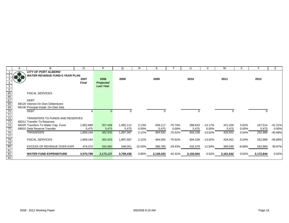|                                                                                               | A | B                                     | O            | P                | Q         | R        | S         |          | U         | V         | W         | X        |           | Ζ         |
|-----------------------------------------------------------------------------------------------|---|---------------------------------------|--------------|------------------|-----------|----------|-----------|----------|-----------|-----------|-----------|----------|-----------|-----------|
|                                                                                               |   | <b>CITY OF PORT ALBERNI</b>           |              |                  |           |          |           |          |           |           |           |          |           |           |
|                                                                                               |   | <b>WATER REVENUE FUND-5 YEAR PLAN</b> |              |                  |           |          |           |          |           |           |           |          |           |           |
|                                                                                               |   |                                       | 2007         | 2008             | 2008      |          | 2009      |          | 2010      |           | 2011      |          | 2012      |           |
|                                                                                               |   |                                       | <b>Final</b> | <b>Projected</b> |           |          |           |          |           |           |           |          |           |           |
| $5\overline{)}$                                                                               |   |                                       |              | <b>Last Year</b> |           |          |           |          |           |           |           |          |           |           |
| $\frac{6}{65}$<br>$\frac{65}{66}$<br>$\frac{67}{68}$                                          |   |                                       |              |                  |           |          |           |          |           |           |           |          |           |           |
|                                                                                               |   | <b>FISCAL SERVICES</b>                |              |                  |           |          |           |          |           |           |           |          |           |           |
|                                                                                               |   |                                       |              |                  |           |          |           |          |           |           |           |          |           |           |
|                                                                                               |   | <b>DEBT</b>                           |              |                  |           |          |           |          |           |           |           |          |           |           |
|                                                                                               |   | 68120 Interest On Own Debentures      |              |                  |           |          |           |          |           |           |           |          |           |           |
|                                                                                               |   | 68130 Principal Install. On Own Deb   |              |                  |           |          |           |          |           |           |           |          |           |           |
| $\overline{70}$                                                                               |   | <b>DEBT</b>                           |              |                  | 0         |          | 0         |          |           |           |           |          |           |           |
|                                                                                               |   |                                       |              |                  |           |          |           |          |           |           |           |          |           |           |
|                                                                                               |   | TRANSFERS TO FUNDS AND RESERVES       |              |                  |           |          |           |          |           |           |           |          |           |           |
|                                                                                               |   | 68211 Transfer To Reserves            |              |                  |           |          |           |          |           |           |           |          |           |           |
| 72<br>73<br>74<br>75                                                                          |   | 68220 Transfers To Water Cap. Fund    | 1,852,689    | 357,458          | 1,892,112 | 2.13%    | 459,117   | -75.74%  | 398,633   | $-13.17%$ | 421,026   | 5.62%    | 247,514   | $-41.21%$ |
|                                                                                               |   | 68910 Debt Reserve Transfer           | 5,475        | 5,475            | 5,475     | $0.00\%$ | 5,475     | $0.00\%$ | 5,475     | $0.00\%$  | 5,475     | 0.00%    | 5,475     | 0.00%     |
|                                                                                               |   | <b>TRANSFERS</b>                      | 1,858,164    | 362,933          | 1,897,587 | 2.12%    | 464,592   | -75.52%  | 404,108   | $-13.02%$ | 426,501   | 5.54%    | 252,989   | -40.68%   |
|                                                                                               |   |                                       |              |                  |           |          |           |          |           |           |           |          |           |           |
|                                                                                               |   | <b>FISCAL SERVICES</b>                | 1,858,164    | 362,933          | 1,897,587 | 2.12%    | 464,592   | -75.52%  | 404,108   | -13.02%   | 426,501   | 5.54%    | 252,989   | -40.68%   |
|                                                                                               |   |                                       |              |                  |           |          |           |          |           |           |           |          |           |           |
|                                                                                               |   | EXCESS OF REVENUE OVER EXPI           | 474,374      | 550,960          | 548,051   | 15.53%   | 386,785   | -29.43%  | 432,579   | 11.84%    | 395,048   | $-8.68%$ | 552,960   | 39.97%    |
|                                                                                               |   |                                       |              |                  |           |          |           |          |           |           |           |          |           |           |
| $\frac{76}{77} \cdot \frac{78}{79} \cdot \frac{1}{80} \cdot \frac{81}{82} \cdot \frac{1}{83}$ |   | <b>WATER FUND EXPENDITURE</b>         | 3,570,788    | 2,172,137        | 3,708,438 | 3.85%    | 2,139,433 | -42.31%  | 2,150,504 | 0.52%     | 2,161,642 | 0.52%    | 2,172,844 | 0.52%     |
|                                                                                               |   |                                       |              |                  |           |          |           |          |           |           |           |          |           |           |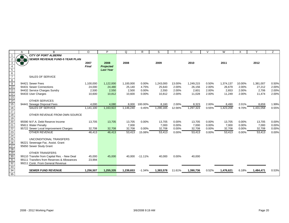|                                                            | Α | B                                           | $\circ$      | Þ                | Q         | R              | S         |        | U         |       | W         |        |           | Z     |
|------------------------------------------------------------|---|---------------------------------------------|--------------|------------------|-----------|----------------|-----------|--------|-----------|-------|-----------|--------|-----------|-------|
|                                                            |   | <b>CITY OF PORT ALBERNI</b>                 |              |                  |           |                |           |        |           |       |           |        |           |       |
|                                                            |   | <b>SEWER REVENUE FUND-5 YEAR PLAN</b>       |              |                  |           |                |           |        |           |       |           |        |           |       |
| 3                                                          |   |                                             | 2007         | 2008             | 2008      |                | 2009      |        | 2010      |       | 2011      |        | 2012      |       |
| 4                                                          |   |                                             | <b>Final</b> | <b>Projected</b> |           |                |           |        |           |       |           |        |           |       |
|                                                            |   |                                             |              | <b>Last Year</b> |           |                |           |        |           |       |           |        |           |       |
| $\begin{array}{c} 5 \\ 6 \\ 7 \end{array}$                 |   |                                             |              |                  |           |                |           |        |           |       |           |        |           |       |
|                                                            |   | <b>SALES OF SERVICE</b>                     |              |                  |           |                |           |        |           |       |           |        |           |       |
|                                                            |   |                                             |              |                  |           |                |           |        |           |       |           |        |           |       |
| $\begin{array}{c}\n 8 \\  9 \\  \hline\n 10\n \end{array}$ |   | 94421 Sewer Fees                            | 1,100,000    | 1,122,000        | 1,100,000 | 0.00%          | 1,243,000 | 13.00% | 1,249,215 | 0.50% | 1,374,137 | 10.00% | 1,381,007 | 0.50% |
|                                                            |   | 94431 Sewer Connections                     | 24,000       | 24,480           | 25,140    | 4.75%          | 25,643    | 2.00%  | 26,156    | 2.00% | 26,679    | 2.00%  | 27,212    | 2.00% |
| $\overline{11}$                                            |   | 94432 Service Charges Sundry                | 2,500        | 2,550            | 2,500     | 0.00%          | 2,550     | 2.00%  | 2,601     | 2.00% | 2,653     | 2.00%  | 2,706     | 2.00% |
| $\overline{12}$                                            |   | 94433 User Charges                          | 10,600       | 10,812           | 10,600    | 0.00%          | 10,812    | 2.00%  | 11,028    | 2.00% | 11,249    | 2.00%  | 11,474    | 2.00% |
|                                                            |   |                                             |              |                  |           |                |           |        |           |       |           |        |           |       |
|                                                            |   | <b>OTHER SERVICES</b>                       |              |                  |           |                |           |        |           |       |           |        |           |       |
| $\frac{11}{13}$<br>$\frac{14}{15}$                         |   | 94441 Sewage Disposal Fees                  | 4,000        | 4,080            | 8,000     | 100.00%        | 8,160     | 2.00%  | 8,323     | 2.00% | 8,490     | 2.01%  | 8,659     | 1.99% |
| $\overline{16}$                                            |   | <b>SALES OF SERVICE</b>                     | 1,141,100    | 1,163,922        | 1,146,240 | 0.45%          | 1,290,165 | 12.56% | 1,297,323 | 0.55% | 1,423,208 | 9.70%  | 1,431,058 | 0.55% |
| 17                                                         |   |                                             |              |                  |           |                |           |        |           |       |           |        |           |       |
| 18                                                         |   | OTHER REVENUE FROM OWN SOURCE               |              |                  |           |                |           |        |           |       |           |        |           |       |
| 19                                                         |   |                                             |              |                  |           |                |           |        |           |       |           |        |           |       |
| $\overline{20}$                                            |   | 95590 M.F.A. Debt Reserve Income            | 13,705       | 13,705           | 13,705    | 0.00%          | 13,705    | 0.00%  | 13,705    | 0.00% | 13,705    | 0.00%  | 13,705    | 0.00% |
|                                                            |   | 95611 Water Penalty                         |              |                  | 7,000     |                | 7,000     | 0.00%  | 7,000     | 0.00% | 7,000     | 0.00%  | 7,000     | 0.00% |
|                                                            |   | 95722 Sewer Local Improvement Charges       | 32,708       | 32,708           | 32,708    | 0.00%          | 32,708    | 0.00%  | 32,708    | 0.00% | 32,708    | 0.00%  | 32,708    | 0.00% |
| 21<br>22<br>23<br>24<br>25<br>26<br>27<br>28<br>29<br>30   |   | <b>OTHER REVENUE</b>                        | 46,413       | 46,413           | 53,413    | 15.08%         | 53,413    | 0.00%  | 53,413    | 0.00% | 53,413    | 0.00%  | 53,413    | 0.00% |
|                                                            |   |                                             |              |                  |           |                |           |        |           |       |           |        |           |       |
|                                                            |   | UNCONDITIONAL TRANSFERS                     |              |                  |           |                |           |        |           |       |           |        |           |       |
|                                                            |   | 96221 Sewerage Fac. Assist. Grant           |              |                  |           |                |           |        |           |       |           |        |           |       |
|                                                            |   | 95650 Sewer Study Grant                     |              |                  |           |                |           |        |           |       |           |        |           |       |
|                                                            |   |                                             |              |                  |           |                |           |        |           |       |           |        |           |       |
|                                                            |   | <b>OTHER TRANSFERS</b>                      |              |                  |           |                |           |        |           |       |           |        |           |       |
|                                                            |   | 99110 Transfer from Capital Res. - New Deal | 45,000       | 45,000           |           | 40.000 -11.11% | 40,000    | 0.00%  | 40,000    |       |           |        |           |       |
| 31                                                         |   | 99111 Transfers from Reserves & Allowances  | 23,994       |                  |           |                |           |        |           |       |           |        |           |       |
| 32                                                         |   | 99211 Contr. From General Revenue           |              |                  |           |                |           |        |           |       |           |        |           |       |
| $\frac{33}{34}$                                            |   |                                             |              |                  |           |                |           |        |           |       |           |        |           |       |
|                                                            |   | <b>SEWER FUND REVENUE</b>                   | 1,256,507    | 1,255,335        | 1,239,653 | $-1.34%$       | 1,383,578 | 11.61% | 1,390,736 | 0.52% | 1,476,621 | 6.18%  | 1,484,471 | 0.53% |
| 35                                                         |   |                                             |              |                  |           |                |           |        |           |       |           |        |           |       |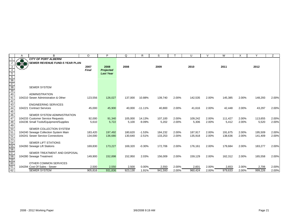|                                                                                          | A   | B                                     | $\circ$ | P                | Q       | R         | S       |       | U       |       | W       | X     | $\checkmark$ | Z     |
|------------------------------------------------------------------------------------------|-----|---------------------------------------|---------|------------------|---------|-----------|---------|-------|---------|-------|---------|-------|--------------|-------|
|                                                                                          | æ   | <b>CITY OF PORT ALBERNI</b>           |         |                  |         |           |         |       |         |       |         |       |              |       |
|                                                                                          | 878 | SEWER REVENUE FUND-5 YEAR PLAN        |         |                  |         |           |         |       |         |       |         |       |              |       |
| 3                                                                                        | 83  |                                       | 2007    | 2008             | 2008    |           | 2009    |       | 2010    |       | 2011    |       | 2012         |       |
| $\overline{4}$                                                                           |     |                                       | Final   | <b>Projected</b> |         |           |         |       |         |       |         |       |              |       |
|                                                                                          |     |                                       |         | <b>Last Year</b> |         |           |         |       |         |       |         |       |              |       |
|                                                                                          |     |                                       |         |                  |         |           |         |       |         |       |         |       |              |       |
| $\frac{5}{6}$<br>$\frac{6}{36}$<br>$\frac{36}{37}$<br>$\frac{33}{39}$<br>$\frac{39}{40}$ |     |                                       |         |                  |         |           |         |       |         |       |         |       |              |       |
|                                                                                          |     |                                       |         |                  |         |           |         |       |         |       |         |       |              |       |
|                                                                                          |     | <b>SEWER SYSTEM</b>                   |         |                  |         |           |         |       |         |       |         |       |              |       |
|                                                                                          |     |                                       |         |                  |         |           |         |       |         |       |         |       |              |       |
|                                                                                          |     | <b>ADMINISTRATION</b>                 |         |                  |         |           |         |       |         |       |         |       |              |       |
| 41                                                                                       |     | 104210 Sewer Administration & Other   | 123,556 | 126,027          | 137,000 | 10.88%    | 139,740 | 2.00% | 142,535 | 2.00% | 145,385 | 2.00% | 148,293      | 2.00% |
| $\overline{42}$                                                                          |     |                                       |         |                  |         |           |         |       |         |       |         |       |              |       |
| 43                                                                                       |     | <b>ENGINEERING SERVICES</b>           |         |                  |         |           |         |       |         |       |         |       |              |       |
| 44                                                                                       |     | 104221 Contract Services              | 45,000  | 45,900           | 40,000  | $-11.11%$ | 40,800  | 2.00% | 41,616  | 2.00% | 42,448  | 2.00% | 43,297       | 2.00% |
| 45                                                                                       |     |                                       |         |                  |         |           |         |       |         |       |         |       |              |       |
| 46                                                                                       |     | SEWER SYSTEM ADMINISTRATION           |         |                  |         |           |         |       |         |       |         |       |              |       |
| 47                                                                                       |     | 104233 Customer Service Requests      | 92,000  | 91,340           | 105,000 | 14.13%    | 107,100 | 2.00% | 109,242 | 2.00% | 111,427 | 2.00% | 113,655      | 2.00% |
| 48                                                                                       |     | 104236 Small Tools/Equipment/Supplies | 5,610   | 5,722            | 5,100   | $-9.09%$  | 5,202   | 2.00% | 5,306   | 2.00% | 5,412   | 2.00% | 5,520        | 2.00% |
| 49                                                                                       |     |                                       |         |                  |         |           |         |       |         |       |         |       |              |       |
| $\frac{50}{51}$                                                                          |     | SEWER COLLECTION SYSTEM               |         |                  |         |           |         |       |         |       |         |       |              |       |
|                                                                                          |     | 104240 Sewage Collection System Main  | 183,420 | 197,492          | 180,620 | $-1.53%$  | 184,232 | 2.00% | 187,917 | 2.00% | 191,675 | 2.00% | 195,509      | 2.00% |
| 52<br>53                                                                                 |     | 104241 Sewer Service Connections      | 134,000 | 136,680          | 130,640 | $-2.51%$  | 133,253 | 2.00% | 135,918 | 2.00% | 138,636 | 2.00% | 141,409      | 2.00% |
| 54                                                                                       |     | <b>SEWER LIFT STATIONS</b>            |         |                  |         |           |         |       |         |       |         |       |              |       |
| 55                                                                                       |     | 104260 Sewage Lift Stations           | 169,830 | 173,227          | 169,320 | $-0.30%$  | 172,706 | 2.00% | 176,161 | 2.00% | 179,684 | 2.00% | 183,277      | 2.00% |
|                                                                                          |     |                                       |         |                  |         |           |         |       |         |       |         |       |              |       |
| $\frac{56}{56}$<br>57<br>58                                                              |     | SEWER TREATMENT AND DISPOSAL          |         |                  |         |           |         |       |         |       |         |       |              |       |
|                                                                                          |     | 104280 Sewage Treatment               | 149,900 | 152,898          | 152,950 | 2.03%     | 156,009 | 2.00% | 159,129 | 2.00% | 162,312 | 2.00% | 165,558      | 2.00% |
| 59                                                                                       |     |                                       |         |                  |         |           |         |       |         |       |         |       |              |       |
|                                                                                          |     | OTHER COMMON SERVICES                 |         |                  |         |           |         |       |         |       |         |       |              |       |
| $\frac{60}{61}$                                                                          |     | 104294 Cost Of Sales - Sewer          | 2,500   | 2,550            | 2,500   | 0.00%     | 2,550   | 2.00% | 2,601   | 2.00% | 2,653   | 2.00% | 2,706        | 2.00% |
| 62                                                                                       |     | <b>SEWER SYSTEM</b>                   | 905,816 | 931,836          | 923,130 | 1.91%     | 941,593 | 2.00% | 960,424 | 2.00% | 979,633 | 2.00% | 999,226      | 2.00% |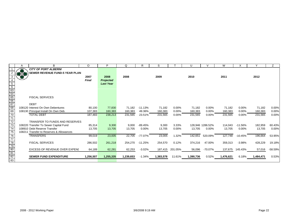|                                                               | A     | B                                        | $\circ$      | P                | Q         | R         | S         |          | U         |                  | W         |           |           | Ζ         |
|---------------------------------------------------------------|-------|------------------------------------------|--------------|------------------|-----------|-----------|-----------|----------|-----------|------------------|-----------|-----------|-----------|-----------|
|                                                               |       | <b>CITY OF PORT ALBERNI</b>              |              |                  |           |           |           |          |           |                  |           |           |           |           |
|                                                               | 33768 | SEWER REVENUE FUND-5 YEAR PLAN           |              |                  |           |           |           |          |           |                  |           |           |           |           |
|                                                               | 83    |                                          | 2007         | 2008             | 2008      |           | 2009      |          | 2010      |                  | 2011      |           | 2012      |           |
|                                                               |       |                                          | <b>Final</b> | <b>Projected</b> |           |           |           |          |           |                  |           |           |           |           |
|                                                               |       |                                          |              | <b>Last Year</b> |           |           |           |          |           |                  |           |           |           |           |
|                                                               |       |                                          |              |                  |           |           |           |          |           |                  |           |           |           |           |
| $rac{5}{6}$<br>$rac{6}{64}$<br>$rac{63}{66}$<br>$rac{66}{67}$ |       |                                          |              |                  |           |           |           |          |           |                  |           |           |           |           |
|                                                               |       |                                          |              |                  |           |           |           |          |           |                  |           |           |           |           |
|                                                               |       | <b>FISCAL SERVICES</b>                   |              |                  |           |           |           |          |           |                  |           |           |           |           |
|                                                               |       |                                          |              |                  |           |           |           |          |           |                  |           |           |           |           |
|                                                               |       | <b>DEBT</b>                              |              |                  |           |           |           |          |           |                  |           |           |           |           |
| 68                                                            |       | 108120 Interest On Own Debentures        | 80,100       | 77,830           | 71,182    | $-11.13%$ | 71,182    | $0.00\%$ | 71,182    | 0.00%            | 71,182    | 0.00%     | 71,182    | 0.00%     |
| 69                                                            |       | 108130 Principal Install On Own Deb.     | 107.383      | 160.383          | 160,383   | 49.36%    | 160,383   | $0.00\%$ | 160,383   | $0.00\%$         | 160,383   | 0.00%     | 160,383   | 0.00%     |
| $\overline{70}$                                               |       | <b>TOTAL DEBT</b>                        | 187.483      | 238,213          | 231,565   | 23.51%    | 231,565   | 0.00%    | 231,565   | 0.00%            | 231,565   | 0.00%     | 231,565   | 0.00%     |
|                                                               |       |                                          |              |                  |           |           |           |          |           |                  |           |           |           |           |
| 72                                                            |       | <b>TRANSFER TO FUNDS AND RESERVES</b>    |              |                  |           |           |           |          |           |                  |           |           |           |           |
| 73                                                            |       | 108220 Transfer To Sewer Capital Fund    | 85,314       | 9,300            | 9,000     | $-89.45%$ | 9,300     | 3.33%    |           | 128.946 1286.52% | 114.043   | $-11.56%$ | 182,959   | 60.43%    |
|                                                               |       | 108910 Debt Reserve Transfer             | 13,705       | 13,705           | 13,705    | $0.00\%$  | 13,705    | $0.00\%$ | 13,705    | 0.00%            | 13,705    | 0.00%     | 13,705    | 0.00%     |
| $\overline{75}$                                               |       | 108211 Transfer to Reserves & Allowances |              |                  |           |           |           |          |           |                  |           |           |           |           |
| 76                                                            |       | <b>TRANSFERS</b>                         | 99,019       | 23,005           | 22,705    | -77.07%   | 23,005    | 1.32%    | 142,651   | 520.09%          | 127,748   | $-10.45%$ | 196,664   | 53.95%    |
|                                                               |       |                                          |              |                  |           |           |           |          |           |                  |           |           |           |           |
|                                                               |       | <b>FISCAL SERVICES</b>                   | 286,502      | 261,218          | 254,270   | $-11.25%$ | 254,570   | 0.12%    | 374,216   | 47.00%           | 359,313   | $-3.98%$  | 428,229   | 19.18%    |
| 77<br>78<br>79<br>80                                          |       |                                          |              |                  |           |           |           |          |           |                  |           |           |           |           |
|                                                               |       | <b>EXCESS OF REVENUE OVER EXPENI</b>     | 64,189       | 62,281           | 62,253    | $-3.02%$  | 187,415   | 201.05%  | 56,096    | -70.07%          | 137,675   | 145.43%   | 57,016    | $-58.59%$ |
|                                                               |       |                                          |              |                  |           |           |           |          |           |                  |           |           |           |           |
| $\frac{81}{82}$                                               |       | <b>SEWER FUND EXPENDITURE</b>            | 1.256.507    | 1,255,335        | 1,239,653 | $-1.34\%$ | 1,383,578 | 11.61%   | 1,390,736 | 0.52%            | 1,476,621 | 6.18%     | 1,484,471 | 0.53%     |
|                                                               |       |                                          |              |                  |           |           |           |          |           |                  |           |           |           |           |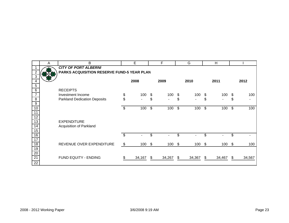|                 | A | В                                          | E                 |                            | F           |                            | G                 |                           | H                 |     |        |
|-----------------|---|--------------------------------------------|-------------------|----------------------------|-------------|----------------------------|-------------------|---------------------------|-------------------|-----|--------|
|                 |   | <b>CITY OF PORT ALBERNI</b>                |                   |                            |             |                            |                   |                           |                   |     |        |
| $\overline{2}$  |   | PARKS ACQUISITION RESERVE FUND-5 YEAR PLAN |                   |                            |             |                            |                   |                           |                   |     |        |
| $\sqrt{3}$      |   |                                            |                   |                            |             |                            |                   |                           |                   |     |        |
| 4               |   |                                            | 2008              |                            | 2009        |                            | 2010              |                           | 2011              |     | 2012   |
| 5               |   |                                            |                   |                            |             |                            |                   |                           |                   |     |        |
| $\overline{6}$  |   | <b>RECEIPTS</b>                            |                   |                            |             |                            |                   |                           |                   |     |        |
| $\overline{7}$  |   | Investment Income                          | \$<br>100         | \$                         | 100         | \$                         | 100               | S                         | 100               | \$  | 100    |
| $\, 8$          |   | <b>Parkland Dedication Deposits</b>        | \$                | \$                         |             | \$                         |                   | \$                        |                   | \$  |        |
| $\overline{9}$  |   |                                            |                   |                            |             |                            |                   |                           |                   |     |        |
| 10              |   |                                            | \$<br>100         | $\boldsymbol{\mathcal{F}}$ | 100         | $\boldsymbol{\mathcal{F}}$ | 100               | $\boldsymbol{\mathsf{S}}$ | 100               | \$  | 100    |
| 11              |   |                                            |                   |                            |             |                            |                   |                           |                   |     |        |
| 12              |   |                                            |                   |                            |             |                            |                   |                           |                   |     |        |
| 13              |   | <b>EXPENDITURE</b>                         |                   |                            |             |                            |                   |                           |                   |     |        |
| $\overline{14}$ |   | Acquisition of Parkland                    |                   |                            |             |                            |                   |                           |                   |     |        |
| 15              |   |                                            |                   |                            |             |                            |                   |                           |                   |     |        |
| 16              |   |                                            | \$                | \$                         |             | \$                         |                   | \$                        |                   | \$  |        |
| 17              |   |                                            |                   |                            |             |                            |                   |                           |                   |     |        |
| 18              |   | REVENUE OVER EXPENDITURE                   | \$<br>$100 \,$ \$ |                            | $100 \,$ \$ |                            | $100 \text{ }$ \$ |                           | $100 \text{ }$ \$ |     | 100    |
| 19              |   |                                            |                   |                            |             |                            |                   |                           |                   |     |        |
| $\overline{20}$ |   |                                            |                   |                            |             |                            |                   |                           |                   |     |        |
| 21              |   | FUND EQUITY - ENDING                       | 34,167            | \$                         | 34,267      | S                          | 34,367            | \$                        | 34,467            | \$. | 34,567 |
| $\overline{22}$ |   |                                            |                   |                            |             |                            |                   |                           |                   |     |        |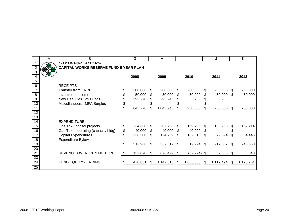|                 | A | B                                             |                         | G       |                | H         |      |                |                | J         |      | K         |
|-----------------|---|-----------------------------------------------|-------------------------|---------|----------------|-----------|------|----------------|----------------|-----------|------|-----------|
|                 |   | <b>CITY OF PORT ALBERNI</b>                   |                         |         |                |           |      |                |                |           |      |           |
| $\overline{2}$  |   | <b>CAPITAL WORKS RESERVE FUND-5 YEAR PLAN</b> |                         |         |                |           |      |                |                |           |      |           |
| $\overline{3}$  |   |                                               |                         |         |                |           |      |                |                |           |      |           |
| 4               |   |                                               |                         | 2008    |                | 2009      |      | 2010           |                | 2011      |      | 2012      |
| $\sqrt{5}$      |   |                                               |                         |         |                |           |      |                |                |           |      |           |
| 6               |   | <b>RECEIPTS</b>                               |                         |         |                |           |      |                |                |           |      |           |
| $\overline{7}$  |   | <b>Transfer from ERRF</b>                     |                         | 200,000 | \$             | 200,000   | S    | 200,000        | \$.            | 200,000   | -SS  | 200,000   |
| $\overline{8}$  |   | Investment Income                             | \$                      | 50,000  | \$             | 50,000    | \$.  | 50,000         | \$             | 50,000    | -\$  | 50,000    |
| $\overline{9}$  |   | New Deal Gas Tax Funds                        | \$                      | 395,770 | \$.            | 793,946   |      |                |                |           |      |           |
| 10              |   | Miscellaneous - MFA Surplus                   | $\frac{1}{2}$           |         |                |           |      |                |                |           |      |           |
| $\overline{11}$ |   |                                               | $\overline{\mathbb{S}}$ | 645,770 | \$             | 1,043,946 | \$   | 250,000        | $\mathfrak{L}$ | 250,000   | \$   | 250,000   |
| 12              |   |                                               |                         |         |                |           |      |                |                |           |      |           |
| 13              |   |                                               |                         |         |                |           |      |                |                |           |      |           |
| 14              |   | <b>EXPENDITURE</b>                            |                         |         |                |           |      |                |                |           |      |           |
| 15              |   | Gas Tax - capital projects                    | \$                      | 234,600 | \$             | 202,758   | \$.  | 169,706        | \$             | 138,268   | S    | 182,214   |
| 16              |   | Gas Tax - operating (capacity bldg)           | \$                      | 40,000  | \$             | 40,000    | S    | 40,000         | \$             |           |      |           |
| $\overline{17}$ |   | <b>Capital Expenditures</b>                   | \$                      | 238,300 | \$             | 124,759   | \$   | 102,518        | \$             | 79,394    | \$   | 64,446    |
| $\overline{18}$ |   | <b>Expenditure Bylaws</b>                     |                         |         |                |           |      |                |                |           |      |           |
| 19              |   |                                               | $\mathfrak{S}$          | 512,900 | $\mathfrak{F}$ | 367,517   | \$   | 312,224        | \$             | 217,662   | -\$  | 246,660   |
| 20              |   |                                               |                         |         |                |           |      |                |                |           |      |           |
| 21              |   | REVENUE OVER EXPENDITURE                      | \$                      | 132,870 | -\$            | 676,429   | - \$ | $(62, 224)$ \$ |                | 32,338    | - \$ | 3,340     |
| $\overline{23}$ |   |                                               |                         |         |                |           |      |                |                |           |      |           |
| 24              |   | <b>FUND EQUITY - ENDING</b>                   |                         | 470,881 | \$.            | 1,147,310 | S    | 1,085,086      | -\$            | 1,117,424 | -\$  | 1,120,764 |
| $\overline{25}$ |   |                                               |                         |         |                |           |      |                |                |           |      |           |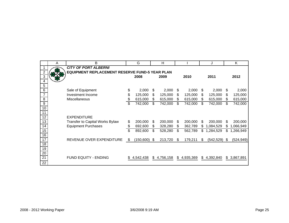|                 | A | B                                              | G                    |     | H           |     |           |     | J           |     | K          |
|-----------------|---|------------------------------------------------|----------------------|-----|-------------|-----|-----------|-----|-------------|-----|------------|
|                 |   | <b>CITY OF PORT ALBERNI</b>                    |                      |     |             |     |           |     |             |     |            |
| $\overline{2}$  |   | EQUIPMENT REPLACEMENT RESERVE FUND-5 YEAR PLAN |                      |     |             |     |           |     |             |     |            |
| 3               |   |                                                | 2008                 |     | 2009        |     | 2010      |     | 2011        |     | 2012       |
| 4               |   |                                                |                      |     |             |     |           |     |             |     |            |
| 5               |   |                                                |                      |     |             |     |           |     |             |     |            |
| $6\phantom{1}6$ |   | Sale of Equipment                              | \$<br>2,000          | S   | 2,000       | S   | 2,000     | \$  | 2,000       | S   | 2,000      |
| $\overline{7}$  |   | Investment Income                              | \$<br>125,000        | \$  | 125,000     | S   | 125,000   | \$  | 125,000     | S.  | 125,000    |
| $\, 8$          |   | Miscellaneous                                  | 615,000              | \$. | 615,000     | \$  | 615,000   | \$  | 615,000     | S   | 615,000    |
| 9               |   |                                                | 742,000              | \$  | 742,000     | \$  | 742,000   | \$  | 742,000     | \$. | 742,000    |
| 10              |   |                                                |                      |     |             |     |           |     |             |     |            |
| 11              |   |                                                |                      |     |             |     |           |     |             |     |            |
| 12              |   | <b>EXPENDITURE</b>                             |                      |     |             |     |           |     |             |     |            |
| 13              |   | Transfer to Capital Works Bylaw                | \$<br>200,000        | S   | 200,000     | S   | 200,000   | S   | 200,000     | S   | 200,000    |
| 14              |   | <b>Equipment Purchases</b>                     | 692,600              | S.  | 328,280     | S   | 362,789   | \$. | 1,084,529   | S   | 1,066,949  |
| 15              |   |                                                | 892,600              | \$. | 528,280     | \$  | 562,789   | \$  | 1,284,529   | \$. | 1,266,949  |
| 16              |   |                                                |                      |     |             |     |           |     |             |     |            |
| $\overline{17}$ |   | REVENUE OVER EXPENDITURE                       | \$<br>$(150,600)$ \$ |     | 213,720     | \$  | 179,211   | \$  | (542, 529)  | \$. | (524, 949) |
| 18              |   |                                                |                      |     |             |     |           |     |             |     |            |
| 19              |   |                                                |                      |     |             |     |           |     |             |     |            |
| 20              |   |                                                |                      |     |             |     |           |     |             |     |            |
| $\overline{21}$ |   | <b>FUND EQUITY - ENDING</b>                    | 4,542,438            |     | \$4,756,158 | \$. | 4,935,369 |     | \$4,392,840 | \$  | 3,867,891  |
| 22              |   |                                                |                      |     |             |     |           |     |             |     |            |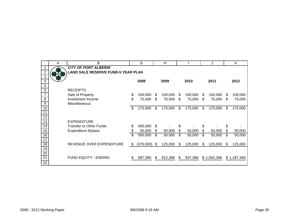|                 | Α | B                                         |     | G         |      | H       |    |         |     | J           |    | K           |
|-----------------|---|-------------------------------------------|-----|-----------|------|---------|----|---------|-----|-------------|----|-------------|
|                 |   | <b>CITY OF PORT ALBERNI</b>               |     |           |      |         |    |         |     |             |    |             |
| $\overline{2}$  |   | <b>LAND SALE RESERVE FUND-5 YEAR PLAN</b> |     |           |      |         |    |         |     |             |    |             |
| $\overline{3}$  |   |                                           |     |           |      |         |    |         |     |             |    |             |
| 4<br>5          |   |                                           |     | 2008      |      | 2009    |    | 2010    |     | 2011        |    | 2012        |
| 6               |   | <b>RECEIPTS</b>                           |     |           |      |         |    |         |     |             |    |             |
| $\overline{7}$  |   | Sale of Property                          | \$  | 100,000   | S    | 100,000 | \$ | 100,000 | \$  | 100,000     | \$ | 100,000     |
| 8               |   | Investment Income                         | \$  | 75,000    | \$   | 75,000  | \$ | 75,000  | \$  | 75,000      | \$ | 75,000      |
| 9               |   | Miscellaneous                             |     |           |      |         |    |         |     |             |    |             |
| 10              |   |                                           | \$  | 175,000   | \$   | 175,000 | \$ | 175,000 | \$  | 175,000     | \$ | 175,000     |
| 11              |   |                                           |     |           |      |         |    |         |     |             |    |             |
| $\overline{12}$ |   |                                           |     |           |      |         |    |         |     |             |    |             |
| 13              |   | <b>EXPENDITURE</b>                        |     |           |      |         |    |         |     |             |    |             |
| $\overline{14}$ |   | <b>Transfer to Other Funds</b>            | \$  | 500,000   | \$   |         | \$ |         | \$  |             | \$ |             |
| 15              |   | <b>Expenditure Bylaws</b>                 | \$  | 50,000    | \$   | 50,000  | \$ | 50,000  | \$  | 50,000      | \$ | 50,000      |
| 16              |   |                                           | S   | 550,000   | \$   | 50,000  | \$ | 50,000  | \$  | 50,000      | \$ | 50,000      |
| 17              |   |                                           |     |           |      |         |    |         |     |             |    |             |
| $\overline{18}$ |   | REVENUE OVER EXPENDITURE                  | \$  | (375,000) | - \$ | 125,000 | \$ | 125,000 | \$. | 125,000     | S  | 125,000     |
| 19              |   |                                           |     |           |      |         |    |         |     |             |    |             |
| $\overline{20}$ |   |                                           |     |           |      |         |    |         |     |             |    |             |
| $\overline{21}$ |   | FUND EQUITY - ENDING                      | \$. | 687,366   | S    | 812,366 | S  | 937,366 |     | \$1,062,366 |    | \$1,187,366 |
| $\overline{22}$ |   |                                           |     |           |      |         |    |         |     |             |    |             |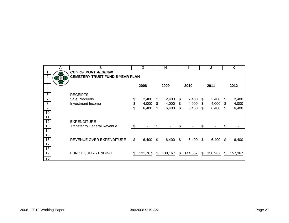|                  | A | B                                      | G           |     | Н       |    |         |    | J       |     | K       |
|------------------|---|----------------------------------------|-------------|-----|---------|----|---------|----|---------|-----|---------|
|                  |   | <b>CITY OF PORT ALBERNI</b>            |             |     |         |    |         |    |         |     |         |
| $\overline{c}$   |   | <b>CEMETERY TRUST FUND-5 YEAR PLAN</b> |             |     |         |    |         |    |         |     |         |
| 3                |   |                                        |             |     |         |    |         |    |         |     |         |
| 4                |   |                                        | 2008        |     | 2009    |    | 2010    |    | 2011    |     | 2012    |
| 5                |   |                                        |             |     |         |    |         |    |         |     |         |
| $\,6$            |   | <b>RECEIPTS</b>                        |             |     |         |    |         |    |         |     |         |
| $\overline{7}$   |   | Sale Proceeds                          | \$<br>2,400 | \$  | 2,400   | \$ | 2,400   | S  | 2,400   | \$  | 2,400   |
| 8                |   | Investment Income                      | \$<br>4,000 | \$  | 4,000   | \$ | 4,000   | \$ | 4,000   | \$  | 4,000   |
| $\boldsymbol{9}$ |   |                                        | \$<br>6,400 | \$  | 6,400   | \$ | 6,400   | \$ | 6,400   | \$  | 6,400   |
| 10               |   |                                        |             |     |         |    |         |    |         |     |         |
| 11               |   |                                        |             |     |         |    |         |    |         |     |         |
| $\overline{12}$  |   | <b>EXPENDITURE</b>                     |             |     |         |    |         |    |         |     |         |
| $\overline{13}$  |   | <b>Transfer to General Revenue</b>     | \$          | \$  |         | \$ |         | \$ |         | \$  |         |
| 14               |   |                                        |             |     |         |    |         |    |         |     |         |
| 15               |   |                                        |             |     |         |    |         |    |         |     |         |
| 16               |   | REVENUE OVER EXPENDITURE               | \$<br>6,400 | \$. | 6,400   | S  | 6,400   | S  | 6,400   | \$. | 6,400   |
| 17               |   |                                        |             |     |         |    |         |    |         |     |         |
| 18               |   |                                        |             |     |         |    |         |    |         |     |         |
| 19               |   | FUND EQUITY - ENDING                   | 131,767     | S   | 138,167 | \$ | 144,567 | \$ | 150,967 | S   | 157,367 |
| 20               |   |                                        |             |     |         |    |         |    |         |     |         |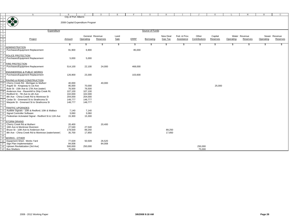|               |                                                      | $\mathbf{B}$                     | $\mathcal{C}$ |                 | E    | F           | G               |                | T            |               | K        |           | M             | N         | $\circ$       |
|---------------|------------------------------------------------------|----------------------------------|---------------|-----------------|------|-------------|-----------------|----------------|--------------|---------------|----------|-----------|---------------|-----------|---------------|
|               | Α                                                    | City of Port Alberni             |               | D               |      |             |                 | Н              |              | J             |          | L         |               |           |               |
|               | <b>OBA</b>                                           |                                  |               |                 |      |             |                 |                |              |               |          |           |               |           |               |
|               |                                                      | 2008 Capital Expenditure Program |               |                 |      |             |                 |                |              |               |          |           |               |           |               |
|               |                                                      |                                  |               |                 |      |             |                 |                |              |               |          |           |               |           |               |
| 5             |                                                      |                                  |               |                 |      |             |                 |                |              |               |          |           |               |           |               |
|               | Expenditure                                          |                                  |               |                 |      |             | Source of Funds |                |              |               |          |           |               |           |               |
| $\frac{6}{7}$ |                                                      |                                  |               |                 |      |             |                 |                |              |               |          |           |               |           |               |
|               |                                                      |                                  |               | General Revenue | Land |             |                 | New Deal       | Fed. & Prov. | Other         | Capital  |           | Water Revenue |           | Sewer Revenue |
| $\frac{8}{9}$ | Project                                              | Amount                           | Operating     | Reserves        | Sale | <b>ERRF</b> | Borrowing       | <b>Gas Tax</b> | Assistance   | Contributions | Reserves | Operating | Reserves      | Operating | Reserves      |
| 10            |                                                      |                                  |               |                 |      |             |                 |                |              |               |          |           |               |           |               |
| 11            |                                                      | -S                               | \$            | S               | \$   | Ŝ.          |                 | \$.            | S            | S             | \$.      | \$        | \$            | \$.       | S             |
|               | <b>ADMINISTRATION</b>                                |                                  |               |                 |      |             |                 |                |              |               |          |           |               |           |               |
| 13            | Purchases/Equipment Replacement                      | 91,900                           | 6,900         |                 |      | 85,000      |                 |                |              |               |          |           |               |           |               |
|               |                                                      |                                  |               |                 |      |             |                 |                |              |               |          |           |               |           |               |
|               | POLICE PROTECTION                                    |                                  |               |                 |      |             |                 |                |              |               |          |           |               |           |               |
|               | Purchases/Equipment Replacement                      | 5,000                            | 5,000         |                 |      |             |                 |                |              |               |          |           |               |           |               |
|               |                                                      |                                  |               |                 |      |             |                 |                |              |               |          |           |               |           |               |
| 18            | <b>THRE PROTECTION</b>                               |                                  |               |                 |      |             |                 |                |              |               |          |           |               |           |               |
| 19            | Purchases/Equipment Replacement                      | 514,100                          | 22,100        | 24,000          |      | 468,000     |                 |                |              |               |          |           |               |           |               |
| 20            |                                                      |                                  |               |                 |      |             |                 |                |              |               |          |           |               |           |               |
|               | <b>ENGINEERING &amp; PUBLIC WORKS</b>                |                                  |               |                 |      |             |                 |                |              |               |          |           |               |           |               |
| 22            | Purchases/Equipment Replacement                      | 126,900                          | 23,300        |                 |      | 103,600     |                 |                |              |               |          |           |               |           |               |
| 23            |                                                      |                                  |               |                 |      |             |                 |                |              |               |          |           |               |           |               |
|               | 24 PAVING & ROAD CONSTRUCTION                        |                                  |               |                 |      |             |                 |                |              |               |          |           |               |           |               |
| 25            | Cherry Creek Rd - Michigan to Mulherr                | 40,000                           |               | 40,000          |      |             |                 |                |              |               |          |           |               |           |               |
| 26            | Argyle St - Kingsway to 1st Ave                      | 95,000                           | 70,000        |                 |      |             |                 |                |              |               | 25,000   |           |               |           |               |
|               | Bute St - 15th Ave to 17th Ave (water)               | 76,500                           | 76,500        |                 |      |             |                 |                |              |               |          |           |               |           |               |
|               | Anderson Ave - Ravenhill to Ship Creek Rc            | 107,100                          | 107,100       |                 |      |             |                 |                |              |               |          |           |               |           |               |
|               | Redford St - 7th Ave to oth Ave                      | 102,000                          | 102,000       |                 |      |             |                 |                |              |               |          |           |               |           |               |
|               | 8th Ave - China Creek Rd to Montrose St              | 204,000                          | 204,000       |                 |      |             |                 |                |              |               |          |           |               |           |               |
|               | Cedar St - Greenard St to Strathcona St              | 148,777                          | 148,777       |                 |      |             |                 |                |              |               |          |           |               |           |               |
| 32            | Marpole St - Greenard St to Strathcona St            | 148,777                          | 148,777       |                 |      |             |                 |                |              |               |          |           |               |           |               |
|               |                                                      |                                  |               |                 |      |             |                 |                |              |               |          |           |               |           |               |
|               | <b>TRAFFIC UPGRADES</b>                              |                                  |               |                 |      |             |                 |                |              |               |          |           |               |           |               |
|               | Audible Signals - 10th & Redford; 10th & Wallace     | 7,140                            | 7,140         |                 |      |             |                 |                |              |               |          |           |               |           |               |
|               | Signal Controller Software                           | 3,060                            | 3,060         |                 |      |             |                 |                |              |               |          |           |               |           |               |
|               | Pedestrian Activiated Signal - Redford St & 11th Ave | 15,300                           | 15,300        |                 |      |             |                 |                |              |               |          |           |               |           |               |
| 38            |                                                      |                                  |               |                 |      |             |                 |                |              |               |          |           |               |           |               |
|               | <b>STORM DRAINS</b>                                  |                                  |               |                 |      |             |                 |                |              |               |          |           |               |           |               |
| 40            | Cherry Creek Rd at Mulherr                           | 20,400                           |               | 20,400          |      |             |                 |                |              |               |          |           |               |           |               |
| 41            | 16th Ave & Montrose Diversion                        | 27,540                           | 27,540        |                 |      |             |                 |                |              |               |          |           |               |           |               |
|               | Bruce St - 10th Ave to Anderson Ave                  | 178,500                          | 89,250        |                 |      |             |                 | 89,250         |              |               |          |           |               |           |               |
| 43            | 8th Ave - China Creek Rd to Montrose (water/sewer)   | 35,700                           | 17,850        |                 |      |             |                 | 17,850         |              |               |          |           |               |           |               |
| 44            |                                                      |                                  |               |                 |      |             |                 |                |              |               |          |           |               |           |               |
| 45            | <b>WORKS - OTHER</b>                                 |                                  |               |                 |      |             |                 |                |              |               |          |           |               |           |               |
|               | Equipment Shed - Works Yard                          | 77,029                           | 50,509        | 26,520          |      |             |                 |                |              |               |          |           |               |           |               |
| 47            | Sign Plan Implementation                             | 84,008                           |               | 84,008          |      |             |                 |                |              |               |          |           |               |           |               |
|               | Uptown Revitalization (3rd Ave)                      | 500,000                          | 250,000       |                 |      |             |                 |                |              | 250,000       |          |           |               |           |               |
| 49            | <b>Bus Shelters</b>                                  | 75,000                           |               |                 |      |             |                 |                |              | 75,000        |          |           |               |           |               |
|               |                                                      |                                  |               |                 |      |             |                 |                |              |               |          |           |               |           |               |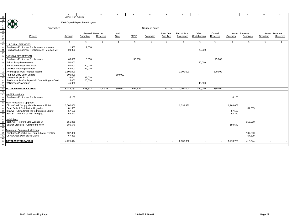|                            | Α                                                                           | $\, {\bf B}$                     | $\mathcal{C}$   | D        | Ε             | F           | G               | H                        |              | $\cdot$ T     | K                        | T,                       | M                 | N         | $\Omega$      |
|----------------------------|-----------------------------------------------------------------------------|----------------------------------|-----------------|----------|---------------|-------------|-----------------|--------------------------|--------------|---------------|--------------------------|--------------------------|-------------------|-----------|---------------|
| 50<br>51                   |                                                                             | City of Port Alberni             |                 |          |               |             |                 |                          |              |               |                          |                          |                   |           |               |
|                            |                                                                             | 2008 Capital Expenditure Program |                 |          |               |             |                 |                          |              |               |                          |                          |                   |           |               |
|                            | 878                                                                         |                                  |                 |          |               |             |                 |                          |              |               |                          |                          |                   |           |               |
| 54                         | Expenditure                                                                 |                                  |                 |          |               |             | Source of Funds |                          |              |               |                          |                          |                   |           |               |
|                            |                                                                             |                                  |                 |          |               |             |                 |                          |              |               |                          |                          |                   |           |               |
|                            |                                                                             |                                  | General Revenue |          | Land          |             |                 | New Deal                 | Fed. & Prov. | Other         | Capital                  |                          | Water Revenue     |           | Sewer Revenue |
|                            | Project                                                                     | Amount                           | Operating       | Reserves | Sale          | <b>ERRF</b> | Borrowing       | Gas Tax                  | Assistance   | Contributions | Reserves                 | Operating                | Reserves          | Operating | Reserves      |
| 55<br>56<br>57<br>58<br>59 |                                                                             |                                  |                 |          |               |             |                 |                          |              |               |                          |                          |                   |           |               |
|                            |                                                                             | $\mathfrak s$                    | \$              | s.       | $\sqrt[6]{3}$ | \$.         | \$.             | \$                       | \$.          | \$            | \$                       | \$.                      | \$.               | £.        |               |
|                            | <b>CULTURAL SERVICES</b>                                                    |                                  |                 |          |               |             |                 |                          |              |               |                          |                          |                   |           |               |
|                            | Purchases/Equipment Replacement - Museum                                    | 1,500                            | 1,500           |          |               |             |                 |                          |              |               |                          |                          |                   |           |               |
|                            | Purchases/Equipment Replacement - McLean Mil                                | 29,900                           |                 |          |               |             |                 |                          |              | 29,900        |                          |                          |                   |           |               |
|                            |                                                                             |                                  |                 |          |               |             |                 |                          |              |               |                          |                          |                   |           |               |
|                            | <b>PARKS &amp; RECREATION</b>                                               |                                  |                 |          |               |             |                 |                          |              |               |                          |                          |                   |           |               |
|                            | Purchases/Equipment Replacement                                             | 66,000                           | 5,000           |          |               | 36,000      |                 |                          |              |               | 25,000                   |                          |                   |           |               |
|                            | <b>Echo Library Renovations</b>                                             | 50,000                           |                 |          |               |             |                 |                          |              | 50,000        |                          |                          |                   |           |               |
|                            | Echo Centre Rear Pool Roof                                                  | 50,000                           | 50,000          |          |               |             |                 |                          |              |               |                          |                          |                   |           |               |
|                            | City Hall Roof Replacement                                                  | 54,000                           | 54,000          |          |               |             |                 |                          |              |               |                          |                          |                   |           |               |
|                            | AV Multiplex Multi-Purpose Rooms                                            | 1,500,000                        |                 |          |               |             |                 |                          | 1,000,000    |               | 500,000                  |                          |                   |           |               |
|                            | Harbour Quay Spirit Square                                                  | 500,000                          |                 |          | 500,000       |             |                 |                          |              |               |                          |                          |                   |           |               |
|                            | Museum Upper Roof                                                           | 38,000                           | 38,000          |          |               |             |                 |                          |              |               |                          |                          |                   |           |               |
|                            | Fieldhouse Roofs - Paper Mill Dam & Rogers Creek                            | 25,000                           | 25,000          |          |               |             |                 |                          |              |               |                          |                          |                   |           |               |
|                            | Williamson Playground                                                       | 45,000                           |                 |          |               |             |                 |                          |              | 45,000        |                          |                          |                   |           |               |
|                            |                                                                             |                                  |                 |          |               |             |                 |                          |              |               |                          |                          |                   |           |               |
|                            | TOTAL GENERAL CAPITAL                                                       | 5,043,131                        | 1,548,603       | 194,928  | 500,000       | 692,600     | $\sim$          | 107,100                  | 1,000,000    | 449,900       | 550,000                  | $\overline{\phantom{a}}$ | $\sim$            |           |               |
|                            |                                                                             |                                  |                 |          |               |             |                 |                          |              |               |                          |                          |                   |           |               |
|                            | <b>WATER WORKS</b>                                                          |                                  |                 |          |               |             |                 |                          |              |               |                          |                          |                   |           |               |
|                            | Purchases/Equipment Replacement                                             | 6,100                            |                 |          |               |             |                 |                          |              |               |                          | 6,100                    |                   |           |               |
|                            | Main Renewals & Upgrades                                                    |                                  |                 |          |               |             |                 |                          |              |               |                          |                          |                   |           |               |
|                            | China Creek Supply Main Renewal - Ph I & I                                  | 3,500,000                        |                 |          |               |             |                 |                          | 2,333,332    |               |                          | 1,166,668                |                   |           |               |
|                            | Dead Ends & Distribution Upgrades                                           | 81,655                           |                 |          |               |             |                 |                          |              |               |                          |                          | 81,655            |           |               |
|                            | 8th Ave - China Creek Rd to Montrose St (ptp)                               | 57,120                           |                 |          |               |             |                 |                          |              |               |                          | 57,120                   |                   |           |               |
|                            | Bute St - 15th Ave to 17th Ave (ptp)                                        | 68,340                           |                 |          |               |             |                 |                          |              |               |                          | 68,340                   |                   |           |               |
|                            |                                                                             |                                  |                 |          |               |             |                 |                          |              |               |                          |                          |                   |           |               |
|                            | Installations                                                               |                                  |                 |          |               |             |                 |                          |              |               |                          |                          |                   |           |               |
|                            | 21st Ave - Redford St to Wallace St                                         | 156,060                          |                 |          |               |             |                 |                          |              |               |                          |                          | 156,060           |           |               |
|                            | Beaver Creek Rd - Compton to north                                          | 180,540                          |                 |          |               |             |                 |                          |              |               |                          | 180,540                  |                   |           |               |
|                            |                                                                             |                                  |                 |          |               |             |                 |                          |              |               |                          |                          |                   |           |               |
|                            | Treatment, Pumping & Metering<br>Bainbridge Pumphouse - Pum & Motor Replace |                                  |                 |          |               |             |                 |                          |              |               |                          |                          |                   |           |               |
|                            | China Creek Dam Sluice Gates                                                | 107.800<br>67,829                |                 |          |               |             |                 |                          |              |               |                          |                          | 107.800<br>67,829 |           |               |
|                            |                                                                             |                                  |                 |          |               |             |                 |                          |              |               |                          |                          |                   |           |               |
|                            | <b>TOTAL WATER CAPITAL</b>                                                  | 4,225,444                        | $\sim$          | $\sim$   | $\sim$        | $\sim$      | $\sim$          | $\overline{\phantom{a}}$ | 2,333,332    | $\sim$        | $\overline{\phantom{a}}$ | 1,478,768                | 413,344           | $\sim$    |               |
|                            |                                                                             |                                  |                 |          |               |             |                 |                          |              |               |                          |                          |                   |           |               |
|                            |                                                                             |                                  |                 |          |               |             |                 |                          |              |               |                          |                          |                   |           |               |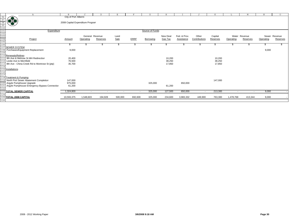|                                                                                                | Α                                             | B.                               | $\sim$         | D.              | Е       | F                        | G               | Н        |              | $\cdot$ T                | K        |           | M                        | N         | $\circ$       |
|------------------------------------------------------------------------------------------------|-----------------------------------------------|----------------------------------|----------------|-----------------|---------|--------------------------|-----------------|----------|--------------|--------------------------|----------|-----------|--------------------------|-----------|---------------|
|                                                                                                |                                               | City of Port Alberni             |                |                 |         |                          |                 |          |              |                          |          |           |                          |           |               |
|                                                                                                |                                               |                                  |                |                 |         |                          |                 |          |              |                          |          |           |                          |           |               |
|                                                                                                | **                                            | 2008 Capital Expenditure Program |                |                 |         |                          |                 |          |              |                          |          |           |                          |           |               |
|                                                                                                |                                               |                                  |                |                 |         |                          |                 |          |              |                          |          |           |                          |           |               |
|                                                                                                | Expenditure                                   |                                  |                |                 |         |                          | Source of Funds |          |              |                          |          |           |                          |           |               |
|                                                                                                |                                               |                                  |                |                 |         |                          |                 |          |              |                          |          |           |                          |           |               |
|                                                                                                |                                               |                                  |                | General Revenue | Land    |                          |                 | New Deal | Fed. & Prov. | Other                    | Capital  |           | Water Revenue            |           | Sewer Revenue |
|                                                                                                | Project                                       | Amount                           | Operating      | Reserves        | Sale    | <b>ERRF</b>              | Borrowing       | Gas Tax  | Assistance   | Contributions            | Reserves | Operating | Reserves                 | Operating | Reserves      |
| $\begin{array}{r} 96 \\ 97 \\ 98 \\ 100 \\ 101 \\ 102 \\ 103 \\ 104 \\ 105 \\ 106 \end{array}$ |                                               |                                  |                |                 |         |                          |                 |          |              |                          |          |           |                          |           |               |
|                                                                                                |                                               |                                  |                |                 |         |                          |                 |          |              |                          |          |           |                          |           |               |
|                                                                                                | 107 SEWER SYSTEM                              |                                  |                |                 |         |                          |                 |          |              |                          |          |           |                          |           |               |
|                                                                                                | Purchases/Equipment Replacement               | 9,000                            |                |                 |         |                          |                 |          |              |                          |          |           |                          | 9,000     |               |
|                                                                                                |                                               |                                  |                |                 |         |                          |                 |          |              |                          |          |           |                          |           |               |
|                                                                                                | 110 Renewals/Relines                          |                                  |                |                 |         |                          |                 |          |              |                          |          |           |                          |           |               |
|                                                                                                | 9th Ave & Melrose St MH Redirection           | 20,400                           |                |                 |         |                          |                 | 10,200   |              |                          | 10,200   |           |                          |           |               |
|                                                                                                | Leslie Ave to Merrifield                      | 76,500                           |                |                 |         |                          |                 | 38,250   |              |                          | 38,250   |           |                          |           |               |
|                                                                                                | 8th Ave - China Creek Rd to Montrose St (ptp) | 35,700                           |                |                 |         |                          |                 | 17,850   |              |                          | 17,850   |           |                          |           |               |
| 114                                                                                            | 115 Installations                             |                                  |                |                 |         |                          |                 |          |              |                          |          |           |                          |           |               |
|                                                                                                |                                               |                                  |                |                 |         |                          |                 |          |              |                          |          |           |                          |           |               |
| 116<br>117                                                                                     |                                               |                                  |                |                 |         |                          |                 |          |              |                          |          |           |                          |           |               |
|                                                                                                | 118 Treatment & Pumping                       |                                  |                |                 |         |                          |                 |          |              |                          |          |           |                          |           |               |
|                                                                                                | North Port Sewer Abatement Completion         | 147,000                          |                |                 |         |                          |                 |          |              |                          | 147,000  |           |                          |           |               |
|                                                                                                | 120 Argyle Pumphouse Upgrade                  | 975,000                          |                |                 |         |                          | 325,000         |          | 650,000      |                          |          |           |                          |           |               |
| 121                                                                                            | Argyle Pumphouse Emergency Bypass Connectior  | 61,200                           |                |                 |         |                          |                 | 61,200   |              |                          |          |           |                          |           |               |
| 122                                                                                            |                                               |                                  |                |                 |         |                          |                 |          |              |                          |          |           |                          |           |               |
|                                                                                                | 123 TOTAL SEWER CAPITAL                       | 1,324,800                        | $\blacksquare$ |                 |         | $\overline{\phantom{a}}$ | 325,000         | 127,500  | 650,000      | $\overline{\phantom{a}}$ | 213,300  |           | $\overline{\phantom{a}}$ | 9,000     |               |
| 124                                                                                            |                                               |                                  |                |                 |         |                          |                 |          |              |                          |          |           |                          |           |               |
|                                                                                                | 125 TOTAL 2008 CAPITAL                        | 10,593,375                       | 1,548,603      | 194,928         | 500,000 | 692,600                  | 325,000         | 234,600  | 3,983,332    | 449,900                  | 763,300  | 1,478,768 | 413,344                  | 9,000     |               |
| 126                                                                                            |                                               |                                  |                |                 |         |                          |                 |          |              |                          |          |           |                          |           |               |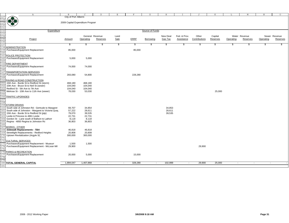|                                                                    | $\mathbb{A}$                                                            | $\mathbf{B}$                     | $\Gamma$        | D        | E      | F           | G               | H        |                   | $\cdot$ T     | K             | т.        | M             | $\, {\rm N}$ | $\circ$       |
|--------------------------------------------------------------------|-------------------------------------------------------------------------|----------------------------------|-----------------|----------|--------|-------------|-----------------|----------|-------------------|---------------|---------------|-----------|---------------|--------------|---------------|
|                                                                    |                                                                         | City of Port Alberni             |                 |          |        |             |                 |          |                   |               |               |           |               |              |               |
| 127<br>128<br>129<br>130<br>131<br>132<br>133<br>134<br>135<br>136 | 1979                                                                    |                                  |                 |          |        |             |                 |          |                   |               |               |           |               |              |               |
|                                                                    |                                                                         | 2009 Capital Expenditure Program |                 |          |        |             |                 |          |                   |               |               |           |               |              |               |
|                                                                    |                                                                         |                                  |                 |          |        |             |                 |          |                   |               |               |           |               |              |               |
|                                                                    |                                                                         |                                  |                 |          |        |             |                 |          |                   |               |               |           |               |              |               |
|                                                                    | Expenditure                                                             |                                  |                 |          |        |             | Source of Funds |          |                   |               |               |           |               |              |               |
|                                                                    |                                                                         |                                  |                 |          |        |             |                 |          |                   |               |               |           |               |              |               |
|                                                                    |                                                                         |                                  | General Revenue |          | Land   |             |                 | New Deal | Fed. & Prov.      | Other         | Capital       |           | Water Revenue |              | Sewer Revenue |
|                                                                    | Project                                                                 | Amount                           | Operating       | Reserves | Sale   | <b>ERRF</b> | Borrowing       | Gas Tax  | <b>Assistance</b> | Contributions | Reserves      | Operating | Reserves      | Operating    | Reserves      |
|                                                                    |                                                                         |                                  |                 |          |        |             |                 |          |                   |               |               |           |               |              |               |
|                                                                    |                                                                         | \$                               | \$              | \$       | \$     | \$          | S               | \$       | \$                | \$            | $\frac{1}{2}$ | \$        | \$            | \$           | \$            |
| 138                                                                | <b>ADMINISTRATION</b>                                                   |                                  |                 |          |        |             |                 |          |                   |               |               |           |               |              |               |
| 139                                                                | Purchases/Equipment Replacement                                         | 85,000                           |                 |          |        | 85,000      |                 |          |                   |               |               |           |               |              |               |
| 140                                                                |                                                                         |                                  |                 |          |        |             |                 |          |                   |               |               |           |               |              |               |
|                                                                    | 141 POLICE PROTECTION                                                   |                                  |                 |          |        |             |                 |          |                   |               |               |           |               |              |               |
| 142                                                                | Purchases/Equipment Replacement                                         | 5,000                            | 5,000           |          |        |             |                 |          |                   |               |               |           |               |              |               |
| 143                                                                | 144 FIRE DEPARTMENT                                                     |                                  |                 |          |        |             |                 |          |                   |               |               |           |               |              |               |
| 145                                                                | Purchases/Equipment Replacement                                         | 74,000                           | 74,000          |          |        |             |                 |          |                   |               |               |           |               |              |               |
| 146                                                                |                                                                         |                                  |                 |          |        |             |                 |          |                   |               |               |           |               |              |               |
| 147                                                                | <b>TRANSPORTATION SERVICES</b>                                          |                                  |                 |          |        |             |                 |          |                   |               |               |           |               |              |               |
| 148                                                                | Purchases/Equipment Replacement                                         | 283,080                          | 54,800          |          |        | 228,280     |                 |          |                   |               |               |           |               |              |               |
| 149                                                                |                                                                         |                                  |                 |          |        |             |                 |          |                   |               |               |           |               |              |               |
|                                                                    | 150 PAVING & ROAD CONSTRUCTION                                          |                                  |                 |          |        |             |                 |          |                   |               |               |           |               |              |               |
| 151                                                                | 15th Ave - Burde St to Redford St (storm)                               | 468,180                          | 468,180         |          |        |             |                 |          |                   |               |               |           |               |              |               |
| 152                                                                | 10th Ave - Bruce St to Neil St (sewer)                                  | 104,040                          | 104,040         |          |        |             |                 |          |                   |               |               |           |               |              |               |
|                                                                    | Redford St - 5th Ave to 7th Ave                                         | 104,040                          | 104,040         |          |        |             |                 |          |                   |               |               |           |               |              |               |
| 154                                                                | Melrose St - 10th Ave to 11th Ave (sewer)                               | 78,030                           | 53,030          |          |        |             |                 |          |                   |               | 25,000        |           |               |              |               |
|                                                                    |                                                                         |                                  |                 |          |        |             |                 |          |                   |               |               |           |               |              |               |
|                                                                    | <b>156 TRAFFIC UPGRADES</b>                                             |                                  |                 |          |        |             |                 |          |                   |               |               |           |               |              |               |
| 157                                                                |                                                                         |                                  |                 |          |        |             |                 |          |                   |               |               |           |               |              |               |
| 158                                                                |                                                                         |                                  |                 |          |        |             |                 |          |                   |               |               |           |               |              |               |
| 159                                                                | <b>STORM DRAINS</b><br>South side of Johnston Rd - Gertrude to Margaret | 69,707                           | 34,854          |          |        |             |                 | 34,853   |                   |               |               |           |               |              |               |
| 160<br>161                                                         | South side of Johnston - Margaret to Victoria Quay                      | 57,222                           | 28,611          |          |        |             |                 | 28,611   |                   |               |               |           |               |              |               |
| 162                                                                | 15th Ave - Burde St to Redford St (ptp)                                 | 79,070                           | 39,535          |          |        |             |                 | 39,535   |                   |               |               |           |               |              |               |
| 163                                                                | Leslie & Princess to 4861 Leslie                                        | 22,731                           | 22,731          |          |        |             |                 |          |                   |               |               |           |               |              |               |
| 164                                                                | Gordon St - Lane south of Ballson to Lathom                             | 8,118                            | 8,118           |          |        |             |                 |          |                   |               |               |           |               |              |               |
| 165                                                                | Regina - 4850 Regina to Johnston Ro                                     | 36,803                           | 36,803          |          |        |             |                 |          |                   |               |               |           |               |              |               |
| 166                                                                |                                                                         |                                  |                 |          |        |             |                 |          |                   |               |               |           |               |              |               |
| 167                                                                | WORKS - OTHER                                                           |                                  |                 |          |        |             |                 |          |                   |               |               |           |               |              |               |
| 168                                                                | <b>Sidewalk Replacements - TBA</b>                                      | 46,818                           | 46,818          |          |        |             |                 |          |                   |               |               |           |               |              |               |
| 169                                                                | Streetlight Replacements - Redford Heights                              | 20,808                           | 20,808          |          |        |             |                 |          |                   |               |               |           |               |              |               |
| 170                                                                | Uptown Revitalization (Argyle St)                                       | 300,000                          | 300,000         |          |        |             |                 |          |                   |               |               |           |               |              |               |
| 171                                                                |                                                                         |                                  |                 |          |        |             |                 |          |                   |               |               |           |               |              |               |
|                                                                    | 172 CULTURAL SERVICES                                                   |                                  |                 |          |        |             |                 |          |                   |               |               |           |               |              |               |
|                                                                    | 173 Purchases/Equipment Replacement - Museum                            | 1,500                            | 1,500           |          |        |             |                 |          |                   |               |               |           |               |              |               |
|                                                                    | 174 Purchases/Equipment Replacement - McLean Mil                        | 29,900                           |                 |          |        |             |                 |          |                   | 29,900        |               |           |               |              |               |
| 175                                                                | 176 PARKS & RECREATION                                                  |                                  |                 |          |        |             |                 |          |                   |               |               |           |               |              |               |
| 177                                                                | Purchases/Equipment Replacement                                         | 20,000                           | 5,000           |          |        | 15,000      |                 |          |                   |               |               |           |               |              |               |
| 178                                                                |                                                                         |                                  |                 |          |        |             |                 |          |                   |               |               |           |               |              |               |
| 179                                                                |                                                                         |                                  |                 |          |        |             |                 |          |                   |               |               |           |               |              |               |
|                                                                    | 180 TOTAL GENERAL CAPITAL                                               | 1,894,047                        | 1,407,868       | $\sim$   | $\sim$ | 328,280     | $\sim$          | 102,999  | $\sim$            | 29,900        | 25,000        | $\sim$    | $\sim$        | $\sim$       |               |
| 181                                                                |                                                                         |                                  |                 |          |        |             |                 |          |                   |               |               |           |               |              |               |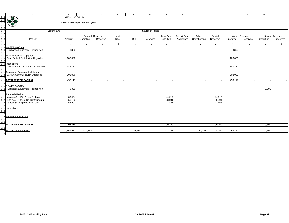|                                                                    | $\mathbb{A}$                                                                                                                              | B                                                        | $\mathcal{C}$ | D                        | Ε                        | F           | G               |                  |              | $\mathbf{J}$  |                  | L                        | М                        | $\, {\rm N}$ | $\circ$       |
|--------------------------------------------------------------------|-------------------------------------------------------------------------------------------------------------------------------------------|----------------------------------------------------------|---------------|--------------------------|--------------------------|-------------|-----------------|------------------|--------------|---------------|------------------|--------------------------|--------------------------|--------------|---------------|
| 182<br>183<br>184<br>185<br>186<br>187<br>188<br>189<br>190<br>191 | 佛書                                                                                                                                        | City of Port Alberni<br>2009 Capital Expenditure Program |               |                          |                          |             |                 |                  |              |               |                  |                          |                          |              |               |
|                                                                    |                                                                                                                                           |                                                          |               |                          |                          |             |                 |                  |              |               |                  |                          |                          |              |               |
|                                                                    | Expenditure                                                                                                                               |                                                          |               |                          |                          |             | Source of Funds |                  |              |               |                  |                          |                          |              |               |
|                                                                    |                                                                                                                                           |                                                          |               |                          |                          |             |                 |                  |              |               |                  |                          |                          |              |               |
|                                                                    |                                                                                                                                           |                                                          |               | General Revenue          | Land                     |             |                 | New Deal         | Fed. & Prov. | Other         | Capital          |                          | Water Revenue            |              | Sewer Revenue |
|                                                                    | Project                                                                                                                                   | Amount                                                   | Operating     | Reserves                 | Sale                     | <b>ERRF</b> | Borrowing       | Gas Tax          | Assistance   | Contributions | Reserves         | Operating                | Reserves                 | Operating    | Reserves      |
|                                                                    |                                                                                                                                           |                                                          |               |                          |                          |             |                 |                  |              |               |                  |                          |                          |              |               |
|                                                                    |                                                                                                                                           | S                                                        | S             | S.                       | \$                       | S           | æ.              | S                | S            | 5             | S                | S                        |                          |              |               |
|                                                                    | 193 WATER WORKS                                                                                                                           |                                                          |               |                          |                          |             |                 |                  |              |               |                  |                          |                          |              |               |
| 194<br>195                                                         | Purchases/Equipment Replacement                                                                                                           | 3,300                                                    |               |                          |                          |             |                 |                  |              |               |                  | 3,300                    |                          |              |               |
|                                                                    | 196 Main Renewals & Upgrades                                                                                                              |                                                          |               |                          |                          |             |                 |                  |              |               |                  |                          |                          |              |               |
| 197                                                                | Dead Ends & Distribution Upgrades                                                                                                         | 100,000                                                  |               |                          |                          |             |                 |                  |              |               |                  | 100,000                  |                          |              |               |
|                                                                    |                                                                                                                                           |                                                          |               |                          |                          |             |                 |                  |              |               |                  |                          |                          |              |               |
|                                                                    | <mark>198</mark><br>199 <mark>Installations</mark>                                                                                        |                                                          |               |                          |                          |             |                 |                  |              |               |                  |                          |                          |              |               |
| 200                                                                | Anderson Ave - Burde St to 12th Ave                                                                                                       | 147,737                                                  |               |                          |                          |             |                 |                  |              |               |                  | 147,737                  |                          |              |               |
| 201<br>202                                                         |                                                                                                                                           |                                                          |               |                          |                          |             |                 |                  |              |               |                  |                          |                          |              |               |
|                                                                    | Treatment, Pumping & Metering                                                                                                             |                                                          |               |                          |                          |             |                 |                  |              |               |                  |                          |                          |              |               |
| 203<br>204                                                         | <b>SCADA Communication Upgrades I</b>                                                                                                     | 208,080                                                  |               |                          |                          |             |                 |                  |              |               |                  | 208,080                  |                          |              |               |
|                                                                    | 205 TOTAL WATER CAPITAL                                                                                                                   | 459,117                                                  | $\sim$        | $\sim$                   | $\sim$                   | $\sim$      | $\sim$          | $\sim$           | $\sim$       | $\sim$        | $\sim$           | 459,117                  | $\sim$                   | $\sim$       |               |
| 206                                                                |                                                                                                                                           |                                                          |               |                          |                          |             |                 |                  |              |               |                  |                          |                          |              |               |
|                                                                    | 207 SEWER SYSTEM                                                                                                                          |                                                          |               |                          |                          |             |                 |                  |              |               |                  |                          |                          |              |               |
| 208<br>209                                                         | Purchases/Equipment Replacement                                                                                                           | 9,300                                                    |               |                          |                          |             |                 |                  |              |               |                  |                          |                          | 9,300        |               |
|                                                                    |                                                                                                                                           |                                                          |               |                          |                          |             |                 |                  |              |               |                  |                          |                          |              |               |
|                                                                    | 210 Renewals/Relines                                                                                                                      |                                                          |               |                          |                          |             |                 |                  |              |               |                  |                          |                          |              |               |
|                                                                    | 211 Melrose St - 11th Ave to 12th Ave<br>10th Ave - 2525 to Neill St (twin) (ptp)                                                         | 88,434<br>56,182                                         |               |                          |                          |             |                 | 44,217<br>28,091 |              |               | 44,217<br>28,091 |                          |                          |              |               |
| 212<br>213                                                         | Dunbar St - Argyle to 10th reline                                                                                                         | 54,902                                                   |               |                          |                          |             |                 | 27,451           |              |               | 27,451           |                          |                          |              |               |
|                                                                    |                                                                                                                                           |                                                          |               |                          |                          |             |                 |                  |              |               |                  |                          |                          |              |               |
|                                                                    |                                                                                                                                           |                                                          |               |                          |                          |             |                 |                  |              |               |                  |                          |                          |              |               |
|                                                                    |                                                                                                                                           |                                                          |               |                          |                          |             |                 |                  |              |               |                  |                          |                          |              |               |
|                                                                    |                                                                                                                                           |                                                          |               |                          |                          |             |                 |                  |              |               |                  |                          |                          |              |               |
|                                                                    | $\frac{214}{215}$ Sunsain of Principle 1<br>$\frac{214}{215}$ Installations<br>$\frac{216}{217}$<br>$\frac{218}{218}$ Treatment & Pumping |                                                          |               |                          |                          |             |                 |                  |              |               |                  |                          |                          |              |               |
| 219<br>220                                                         |                                                                                                                                           |                                                          |               |                          |                          |             |                 |                  |              |               |                  |                          |                          |              |               |
|                                                                    |                                                                                                                                           |                                                          |               |                          |                          |             |                 |                  |              |               |                  |                          |                          |              |               |
|                                                                    | 221 TOTAL SEWER CAPITAL                                                                                                                   | 208,818                                                  | $\sim$        | $\sim$                   | $\sim$                   | $\sim$      | $\sim$          | 99,759           | $\sim$       | $\sim$        | 99,759           | $\overline{\phantom{a}}$ | $\sim$                   | 9,300        |               |
| 222                                                                | 223 TOTAL 2009 CAPITAL                                                                                                                    | 2,561,982                                                | 1,407,868     | $\overline{\phantom{a}}$ | $\overline{\phantom{a}}$ | 328,280     | $\sim$          | 202,758          | $\sim$       | 29,900        | 124,759          | 459,117                  | $\overline{\phantom{a}}$ | 9,300        |               |
| 224                                                                |                                                                                                                                           |                                                          |               |                          |                          |             |                 |                  |              |               |                  |                          |                          |              |               |
|                                                                    |                                                                                                                                           |                                                          |               |                          |                          |             |                 |                  |              |               |                  |                          |                          |              |               |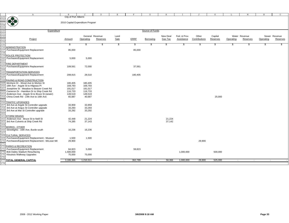|                                                                                  | $\mathbb{A}$                                                                      | B                                | $\mathcal{C}$   | <sup>D</sup> | Ε      | F           | G               | H              |              | $\mathbf{J}$  | K        |           | М             | $\, {\rm N}$ | $\circ$       |
|----------------------------------------------------------------------------------|-----------------------------------------------------------------------------------|----------------------------------|-----------------|--------------|--------|-------------|-----------------|----------------|--------------|---------------|----------|-----------|---------------|--------------|---------------|
|                                                                                  |                                                                                   | City of Port Alberni             |                 |              |        |             |                 |                |              |               |          |           |               |              |               |
| 225<br>226<br>227<br>228<br>229<br>230<br>231<br>232<br>232<br>233<br>234<br>235 | 870                                                                               |                                  |                 |              |        |             |                 |                |              |               |          |           |               |              |               |
|                                                                                  |                                                                                   | 2010 Capital Expenditure Program |                 |              |        |             |                 |                |              |               |          |           |               |              |               |
|                                                                                  |                                                                                   |                                  |                 |              |        |             |                 |                |              |               |          |           |               |              |               |
|                                                                                  |                                                                                   |                                  |                 |              |        |             |                 |                |              |               |          |           |               |              |               |
|                                                                                  | Expenditure                                                                       |                                  |                 |              |        |             | Source of Funds |                |              |               |          |           |               |              |               |
|                                                                                  |                                                                                   |                                  | General Revenue |              | Land   |             |                 | New Deal       | Fed. & Prov. | Other         | Capital  |           | Water Revenue |              | Sewer Revenue |
|                                                                                  | Project                                                                           | Amount                           | Operating       | Reserves     | Sale   | <b>ERRF</b> | Borrowing       | <b>Gas Tax</b> | Assistance   | Contributions | Reserves | Operating | Reserves      | Operating    | Reserves      |
|                                                                                  |                                                                                   |                                  |                 |              |        |             |                 |                |              |               |          |           |               |              |               |
|                                                                                  |                                                                                   | \$                               | \$              | S            | \$     | \$          | S               | \$             | S            | S.            | \$       | \$        | \$            | - 35         | S             |
|                                                                                  | <b>ADMINISTRATION</b>                                                             |                                  |                 |              |        |             |                 |                |              |               |          |           |               |              |               |
| 237                                                                              | Purchases/Equipment Replacement                                                   | 85,000                           |                 |              |        | 85,000      |                 |                |              |               |          |           |               |              |               |
|                                                                                  | 239 POLICE PROTECTION                                                             |                                  |                 |              |        |             |                 |                |              |               |          |           |               |              |               |
|                                                                                  | Purchases/Equipment Replacement                                                   | 5,000                            | 5,000           |              |        |             |                 |                |              |               |          |           |               |              |               |
|                                                                                  |                                                                                   |                                  |                 |              |        |             |                 |                |              |               |          |           |               |              |               |
|                                                                                  | 242 FIRE DEPARTMENT                                                               |                                  |                 |              |        |             |                 |                |              |               |          |           |               |              |               |
|                                                                                  | Purchases/Equipment Replacement                                                   | 109,561                          | 72,000          |              |        | 37,561      |                 |                |              |               |          |           |               |              |               |
|                                                                                  |                                                                                   |                                  |                 |              |        |             |                 |                |              |               |          |           |               |              |               |
|                                                                                  | TRANSPORTATION SERVICES                                                           |                                  |                 |              |        |             |                 |                |              |               |          |           |               |              |               |
| 246                                                                              | Purchases/Equipment Replacement                                                   | 208,915                          | 28,510          |              |        | 180,405     |                 |                |              |               |          |           |               |              |               |
|                                                                                  | PAVING & ROAD CONSTRUCTION                                                        |                                  |                 |              |        |             |                 |                |              |               |          |           |               |              |               |
| 248                                                                              | McIntyre Dr - Wood Ave to Morton St                                               | 180,405                          | 180,405         |              |        |             |                 |                |              |               |          |           |               |              |               |
| 250                                                                              | 18th Ave - Argyle St to Hilgrass PI                                               | 169,793                          | 169,793         |              |        |             |                 |                |              |               |          |           |               |              |               |
|                                                                                  | Josephine St - Meadow to Beaver Creek Rc                                          | 191,017                          | 191,017         |              |        |             |                 |                |              |               |          |           |               |              |               |
|                                                                                  | Cameron Dr - Hamilton Dr to Ship Creek Rd                                         | 116,733                          | 116,733         |              |        |             |                 |                |              |               |          |           |               |              |               |
|                                                                                  | Anderson Ave - Argyle St to Bruce St (sewer)                                      | 149,519                          | 149,519         |              |        |             |                 |                |              |               |          |           |               |              |               |
| 254                                                                              | China Creek Rd - 14th Ave to 16th Ave                                             | 65,687                           | 40,687          |              |        |             |                 |                |              |               | 25,000   |           |               |              |               |
|                                                                                  |                                                                                   |                                  |                 |              |        |             |                 |                |              |               |          |           |               |              |               |
|                                                                                  | <b>TRAFFIC UPGRADES</b>                                                           |                                  | 33,959          |              |        |             |                 |                |              |               |          |           |               |              |               |
| 257                                                                              | 3rd Ave at Argyle St Controller upgrade<br>3rd Ave at Angus St Controller upgrade | 33,959<br>33,293                 | 33,293          |              |        |             |                 |                |              |               |          |           |               |              |               |
|                                                                                  | 3rd Ave at Mar St Controller upgrade                                              | 33,292                           | 33,292          |              |        |             |                 |                |              |               |          |           |               |              |               |
| 260                                                                              |                                                                                   |                                  |                 |              |        |             |                 |                |              |               |          |           |               |              |               |
| 261                                                                              | <b>STORM DRAINS</b>                                                               |                                  |                 |              |        |             |                 |                |              |               |          |           |               |              |               |
|                                                                                  | Anderson Ave - Bruce St to Neill St                                               | 42,448                           | 21,224          |              |        |             |                 | 21,224         |              |               |          |           |               |              |               |
| 263                                                                              | 3rd Ave Culverts at Ship Creek Rd                                                 | 74,285                           | 37,143          |              |        |             |                 | 37,142         |              |               |          |           |               |              |               |
|                                                                                  |                                                                                   |                                  |                 |              |        |             |                 |                |              |               |          |           |               |              |               |
|                                                                                  | <b><i>NORKS - OTHER</i></b><br>Streetlights - 16th Ave, Burde south               | 16,236                           | 16,236          |              |        |             |                 |                |              |               |          |           |               |              |               |
| 266<br>267                                                                       |                                                                                   |                                  |                 |              |        |             |                 |                |              |               |          |           |               |              |               |
|                                                                                  | 268 CULTURAL SERVICES                                                             |                                  |                 |              |        |             |                 |                |              |               |          |           |               |              |               |
| 269                                                                              | Purchases/Equipment Replacement - Museum                                          | 1,500                            | 1,500           |              |        |             |                 |                |              |               |          |           |               |              |               |
|                                                                                  | Purchases/Equipment Replacement - McLean Mil                                      | 29,900                           |                 |              |        |             |                 |                |              | 29,900        |          |           |               |              |               |
|                                                                                  |                                                                                   |                                  |                 |              |        |             |                 |                |              |               |          |           |               |              |               |
|                                                                                  | PARKS & RECREATION                                                                |                                  |                 |              |        |             |                 |                |              |               |          |           |               |              |               |
|                                                                                  | Purchases/Equipment Replacement                                                   | 64,823                           | 5,000           |              |        | 59,823      |                 |                |              |               |          |           |               |              |               |
|                                                                                  | Bob Dailey Stadium Resurfacing<br>Kitsuksis Walkway Upgrades                      | 1,500,000<br>75,000              | 75,000          |              |        |             |                 |                | 1,000,000    |               | 500,000  |           |               |              |               |
|                                                                                  |                                                                                   |                                  |                 |              |        |             |                 |                |              |               |          |           |               |              |               |
|                                                                                  | 277 TOTAL GENERAL CAPITAL                                                         | 3,186,366                        | 1,210,311       | $\sim$       | $\sim$ | 362,789     | $\sim$          | 58,366         | 1,000,000    | 29,900        | 525,000  | $\sim$    | $\sim$        | $\sim$       |               |
| 278                                                                              |                                                                                   |                                  |                 |              |        |             |                 |                |              |               |          |           |               |              |               |
|                                                                                  |                                                                                   |                                  |                 |              |        |             |                 |                |              |               |          |           |               |              |               |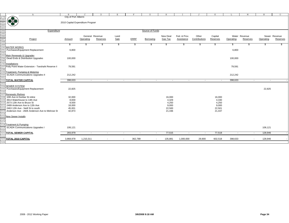|      | $\mathbb{A}$                                                                                                                                                                                                                                                                                                                                                                                                                    | $\mathbf{B}$                     | $\Gamma$  | $\mathbb{D}$             | Е             | F                        |         | G               | $\, {\rm H}$   | T                 | J                        | K        | L                        | М                        | N         | $\circ$                  |
|------|---------------------------------------------------------------------------------------------------------------------------------------------------------------------------------------------------------------------------------------------------------------------------------------------------------------------------------------------------------------------------------------------------------------------------------|----------------------------------|-----------|--------------------------|---------------|--------------------------|---------|-----------------|----------------|-------------------|--------------------------|----------|--------------------------|--------------------------|-----------|--------------------------|
|      |                                                                                                                                                                                                                                                                                                                                                                                                                                 | City of Port Alberni             |           |                          |               |                          |         |                 |                |                   |                          |          |                          |                          |           |                          |
|      |                                                                                                                                                                                                                                                                                                                                                                                                                                 |                                  |           |                          |               |                          |         |                 |                |                   |                          |          |                          |                          |           |                          |
|      |                                                                                                                                                                                                                                                                                                                                                                                                                                 | 2010 Capital Expenditure Program |           |                          |               |                          |         |                 |                |                   |                          |          |                          |                          |           |                          |
|      |                                                                                                                                                                                                                                                                                                                                                                                                                                 |                                  |           |                          |               |                          |         |                 |                |                   |                          |          |                          |                          |           |                          |
|      |                                                                                                                                                                                                                                                                                                                                                                                                                                 |                                  |           |                          |               |                          |         |                 |                |                   |                          |          |                          |                          |           |                          |
|      |                                                                                                                                                                                                                                                                                                                                                                                                                                 |                                  |           |                          |               |                          |         |                 |                |                   |                          |          |                          |                          |           |                          |
|      | Expenditure                                                                                                                                                                                                                                                                                                                                                                                                                     |                                  |           |                          |               |                          |         | Source of Funds |                |                   |                          |          |                          |                          |           |                          |
|      |                                                                                                                                                                                                                                                                                                                                                                                                                                 |                                  |           |                          |               |                          |         |                 |                |                   |                          |          |                          |                          |           |                          |
|      |                                                                                                                                                                                                                                                                                                                                                                                                                                 |                                  |           | General Revenue          | Land          |                          |         |                 | New Deal       | Fed. & Prov.      | Other                    | Capital  |                          | Water Revenue            |           | Sewer Revenue            |
|      | Project                                                                                                                                                                                                                                                                                                                                                                                                                         | Amount                           | Operating | Reserves                 | Sale          | <b>ERRF</b>              |         | Borrowing       | <b>Gas Tax</b> | <b>Assistance</b> | Contributions            | Reserves | Operating                | Reserves                 | Operating | Reserves                 |
|      |                                                                                                                                                                                                                                                                                                                                                                                                                                 |                                  |           |                          |               |                          |         |                 |                |                   |                          |          |                          |                          |           |                          |
|      | $\begin{array}{ c } \hline 279 \\ \hline 280 \\ \hline 281 \\ \hline 281 \\ \hline 282 \\ \hline 283 \\ \hline 285 \\ \hline 286 \\ \hline 289 \\ \hline 290 \\ \hline 291 \\ \hline 291 \\ \hline 291 \\ \hline \end{array} \hline \begin{array}{ c } \hline \textbf{1} & \textbf{1} & \textbf{1} & \textbf{1} & \textbf{1} \\ \hline \textbf{2} & \textbf{1} & \textbf{1} & \textbf{1} \\ \hline \textbf{3} & \textbf{1} & \$ | \$                               | æ.        | \$                       | $\frac{1}{2}$ |                          | \$      | S               | \$             | S                 | \$                       | \$       | \$                       |                          |           | SS.                      |
|      |                                                                                                                                                                                                                                                                                                                                                                                                                                 |                                  |           |                          |               |                          |         |                 |                |                   |                          |          |                          |                          |           |                          |
|      | Purchases/Equipment Replacement                                                                                                                                                                                                                                                                                                                                                                                                 | 6,800                            |           |                          |               |                          |         |                 |                |                   |                          |          | 6,800                    |                          |           |                          |
|      |                                                                                                                                                                                                                                                                                                                                                                                                                                 |                                  |           |                          |               |                          |         |                 |                |                   |                          |          |                          |                          |           |                          |
| 292  |                                                                                                                                                                                                                                                                                                                                                                                                                                 |                                  |           |                          |               |                          |         |                 |                |                   |                          |          |                          |                          |           |                          |
|      | 293 Main Renewals & Upgrades                                                                                                                                                                                                                                                                                                                                                                                                    |                                  |           |                          |               |                          |         |                 |                |                   |                          |          |                          |                          |           |                          |
| 294  | Dead Ends & Distribution Upgrades                                                                                                                                                                                                                                                                                                                                                                                               | 100,000                          |           |                          |               |                          |         |                 |                |                   |                          |          | 100,000                  |                          |           |                          |
|      |                                                                                                                                                                                                                                                                                                                                                                                                                                 |                                  |           |                          |               |                          |         |                 |                |                   |                          |          |                          |                          |           |                          |
|      | <u>295</u><br>296 <mark>Installations</mark><br>297 <mark>Polly Point Water Extension - Tseshaht Reserve II</mark>                                                                                                                                                                                                                                                                                                              |                                  |           |                          |               |                          |         |                 |                |                   |                          |          |                          |                          |           |                          |
|      |                                                                                                                                                                                                                                                                                                                                                                                                                                 | 79,591                           |           |                          |               |                          |         |                 |                |                   |                          |          | 79,591                   |                          |           |                          |
| 298  |                                                                                                                                                                                                                                                                                                                                                                                                                                 |                                  |           |                          |               |                          |         |                 |                |                   |                          |          |                          |                          |           |                          |
| 299  | Treatment, Pumping & Metering                                                                                                                                                                                                                                                                                                                                                                                                   |                                  |           |                          |               |                          |         |                 |                |                   |                          |          |                          |                          |           |                          |
| 300  | <b>SCADA Communications Upgrades II</b>                                                                                                                                                                                                                                                                                                                                                                                         | 212,242                          |           |                          |               |                          |         |                 |                |                   |                          |          | 212,242                  |                          |           |                          |
|      |                                                                                                                                                                                                                                                                                                                                                                                                                                 |                                  |           |                          |               |                          |         |                 |                |                   |                          |          |                          |                          |           |                          |
| 301  |                                                                                                                                                                                                                                                                                                                                                                                                                                 |                                  |           |                          |               |                          |         |                 |                |                   |                          |          |                          |                          |           |                          |
| 302  | TOTAL WATER CAPITAL                                                                                                                                                                                                                                                                                                                                                                                                             | 398,633                          | $\sim$    | $\overline{\phantom{a}}$ |               | $\overline{\phantom{a}}$ | $\sim$  |                 |                |                   | $\overline{\phantom{a}}$ |          | 398,633                  | $\overline{\phantom{a}}$ |           | $\overline{\phantom{a}}$ |
| 303  |                                                                                                                                                                                                                                                                                                                                                                                                                                 |                                  |           |                          |               |                          |         |                 |                |                   |                          |          |                          |                          |           |                          |
| 304  | <b>SEWER SYSTEM</b>                                                                                                                                                                                                                                                                                                                                                                                                             |                                  |           |                          |               |                          |         |                 |                |                   |                          |          |                          |                          |           |                          |
| 305  | Purchases/Equipment Replacement                                                                                                                                                                                                                                                                                                                                                                                                 | 22,825                           |           |                          |               |                          |         |                 |                |                   |                          |          |                          |                          | 22,825    |                          |
| 306  |                                                                                                                                                                                                                                                                                                                                                                                                                                 |                                  |           |                          |               |                          |         |                 |                |                   |                          |          |                          |                          |           |                          |
|      | 307 Renewals / Relines                                                                                                                                                                                                                                                                                                                                                                                                          |                                  |           |                          |               |                          |         |                 |                |                   |                          |          |                          |                          |           |                          |
| 308  | 10th Ave & Dunbar St reline                                                                                                                                                                                                                                                                                                                                                                                                     | 32,000                           |           |                          |               |                          |         |                 | 16,000         |                   |                          | 16,000   |                          |                          |           |                          |
|      |                                                                                                                                                                                                                                                                                                                                                                                                                                 |                                  |           |                          |               |                          |         |                 |                |                   |                          |          |                          |                          |           |                          |
| 309  | 3914 Waterhouse to 14th Ave                                                                                                                                                                                                                                                                                                                                                                                                     | 8,659                            |           |                          |               |                          |         |                 | 4,329          |                   |                          | 4,330    |                          |                          |           |                          |
| 31 C | 2573 12th Ave to Bruce St                                                                                                                                                                                                                                                                                                                                                                                                       | 8,500                            |           |                          |               |                          |         |                 | 4,250          |                   |                          | 4,250    |                          |                          |           |                          |
| 311  | 2489 Anderson Ave to 12th Ave                                                                                                                                                                                                                                                                                                                                                                                                   | 18,000                           |           |                          |               |                          |         |                 | 9,000          |                   |                          | 9,000    |                          |                          |           |                          |
| 312  | 2463 12th Ave - Neill St to south                                                                                                                                                                                                                                                                                                                                                                                               | 45,001                           |           |                          |               |                          |         |                 | 22,500         |                   |                          | 22,501   |                          |                          |           |                          |
|      | Anderson Ave - 2605 Anderson Ave to Melrose St                                                                                                                                                                                                                                                                                                                                                                                  | 42,873                           |           |                          |               |                          |         |                 | 21,436         |                   |                          | 21,437   |                          |                          |           |                          |
| 314  |                                                                                                                                                                                                                                                                                                                                                                                                                                 |                                  |           |                          |               |                          |         |                 |                |                   |                          |          |                          |                          |           |                          |
|      | 315 New Sewer Installs                                                                                                                                                                                                                                                                                                                                                                                                          |                                  |           |                          |               |                          |         |                 |                |                   |                          |          |                          |                          |           |                          |
| 316  |                                                                                                                                                                                                                                                                                                                                                                                                                                 |                                  |           |                          |               |                          |         |                 |                |                   |                          |          |                          |                          |           |                          |
| 317  |                                                                                                                                                                                                                                                                                                                                                                                                                                 |                                  |           |                          |               |                          |         |                 |                |                   |                          |          |                          |                          |           |                          |
|      |                                                                                                                                                                                                                                                                                                                                                                                                                                 |                                  |           |                          |               |                          |         |                 |                |                   |                          |          |                          |                          |           |                          |
| 318  | <b>Treatment &amp; Pumping</b>                                                                                                                                                                                                                                                                                                                                                                                                  |                                  |           |                          |               |                          |         |                 |                |                   |                          |          |                          |                          |           |                          |
| 319  | <b>SCADA Communications Upgrades I</b>                                                                                                                                                                                                                                                                                                                                                                                          | 106,121                          |           |                          |               |                          |         |                 |                |                   |                          |          |                          |                          | 106,121   |                          |
|      |                                                                                                                                                                                                                                                                                                                                                                                                                                 |                                  |           |                          |               |                          |         |                 |                |                   |                          |          |                          |                          |           |                          |
| 321  | <b>TOTAL SEWER CAPITAL</b>                                                                                                                                                                                                                                                                                                                                                                                                      | 283,979                          | $\sim$    | $\sim$                   |               | $\sim$                   | $\sim$  | $\sim$          | 77,515         | $\sim$            | $\sim$                   | 77,518   | $\overline{\phantom{a}}$ | $\sim$                   | 128,946   |                          |
| 322  |                                                                                                                                                                                                                                                                                                                                                                                                                                 |                                  |           |                          |               |                          |         |                 |                |                   |                          |          |                          |                          |           |                          |
| 323  | <b>TOTAL 2010 CAPITAL</b>                                                                                                                                                                                                                                                                                                                                                                                                       | 3,868,978                        | 1,210,311 |                          |               | $\overline{\phantom{a}}$ | 362,789 | $\sim$          | 135,881        | 1,000,000         | 29,900                   | 602,518  | 398,633                  | $\overline{\phantom{a}}$ | 128,946   |                          |
| 324  |                                                                                                                                                                                                                                                                                                                                                                                                                                 |                                  |           |                          |               |                          |         |                 |                |                   |                          |          |                          |                          |           |                          |
|      |                                                                                                                                                                                                                                                                                                                                                                                                                                 |                                  |           |                          |               |                          |         |                 |                |                   |                          |          |                          |                          |           |                          |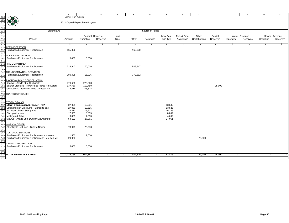|                   | $\mathbb{A}$                                                                   | B                                | $\mathcal{C}$    | $\mathbb{D}$    | $\mathbf E$ | $\rm F$     | G               | $\,$ H           | T            | J             | K        | L         | M             | $\mathbb N$ | $\circ$       |
|-------------------|--------------------------------------------------------------------------------|----------------------------------|------------------|-----------------|-------------|-------------|-----------------|------------------|--------------|---------------|----------|-----------|---------------|-------------|---------------|
| 325               | 47.8                                                                           | City of Port Alberni             |                  |                 |             |             |                 |                  |              |               |          |           |               |             |               |
| $\frac{326}{327}$ |                                                                                |                                  |                  |                 |             |             |                 |                  |              |               |          |           |               |             |               |
|                   | S                                                                              | 2011 Capital Expenditure Program |                  |                 |             |             |                 |                  |              |               |          |           |               |             |               |
|                   |                                                                                |                                  |                  |                 |             |             |                 |                  |              |               |          |           |               |             |               |
| 329               |                                                                                |                                  |                  |                 |             |             |                 |                  |              |               |          |           |               |             |               |
| 330               | Expenditure                                                                    |                                  |                  |                 |             |             | Source of Funds |                  |              |               |          |           |               |             |               |
| 331<br>332        |                                                                                |                                  |                  |                 |             |             |                 |                  |              |               |          |           |               |             |               |
|                   |                                                                                |                                  |                  | General Revenue | Land        | <b>ERRF</b> |                 | New Deal         | Fed. & Prov. | Other         | Capital  |           | Water Revenue |             | Sewer Revenue |
| 333<br>334        | Project                                                                        | <b>Amount</b>                    | Operating        | Reserves        | Sale        |             | Borrowing       | <b>Gas Tax</b>   | Assistance   | Contributions | Reserves | Operating | Reserves      | Operating   | Reserves      |
| 335               |                                                                                | \$                               | \$               | \$              | \$          | \$          | \$              | \$               | S            | \$            | \$       | S         | \$.           | \$          | \$.           |
|                   | 336 ADMINISTRATION                                                             |                                  |                  |                 |             |             |                 |                  |              |               |          |           |               |             |               |
| 337               | Purchases/Equipment Replacement                                                | 165,000                          |                  |                 |             | 165,000     |                 |                  |              |               |          |           |               |             |               |
| 338               |                                                                                |                                  |                  |                 |             |             |                 |                  |              |               |          |           |               |             |               |
|                   | 339 POLICE PROTECTION                                                          |                                  |                  |                 |             |             |                 |                  |              |               |          |           |               |             |               |
|                   | 340 Purchases/Equipment Replacement                                            | 5,000                            | 5,000            |                 |             |             |                 |                  |              |               |          |           |               |             |               |
| 341               |                                                                                |                                  |                  |                 |             |             |                 |                  |              |               |          |           |               |             |               |
|                   | 342 FIRE DEPARTMENT                                                            |                                  |                  |                 |             |             |                 |                  |              |               |          |           |               |             |               |
|                   | 343 Purchases/Equipment Replacement                                            | 716,947                          | 170,000          |                 |             | 546,947     |                 |                  |              |               |          |           |               |             |               |
| 344               |                                                                                |                                  |                  |                 |             |             |                 |                  |              |               |          |           |               |             |               |
|                   | 345 TRANSPORTATION SERVICES                                                    |                                  |                  |                 |             |             |                 |                  |              |               |          |           |               |             |               |
|                   | 346 Purchases/Equipment Replacement                                            | 389,408                          | 16,826           |                 |             | 372,582     |                 |                  |              |               |          |           |               |             |               |
| 347               |                                                                                |                                  |                  |                 |             |             |                 |                  |              |               |          |           |               |             |               |
|                   | 348 PAVING & ROAD CONSTRUCTION                                                 |                                  |                  |                 |             |             |                 |                  |              |               |          |           |               |             |               |
|                   | 349 6th Ave - Argyle St to Dunbar St                                           | 270,608                          | 270,608          |                 |             |             |                 |                  |              |               |          |           |               |             |               |
| 350               | Beaver Creek Rd - River Rd to Pierce Rd (water)                                | 137,750                          | 112,750          |                 |             |             |                 |                  |              |               | 25,000   |           |               |             |               |
| 351               | Gertrude St - Johnston Rd to Compton Rd                                        | 273,314                          | 273,314          |                 |             |             |                 |                  |              |               |          |           |               |             |               |
| 352               |                                                                                |                                  |                  |                 |             |             |                 |                  |              |               |          |           |               |             |               |
|                   | 353 TRAFFIC UPGRADES                                                           |                                  |                  |                 |             |             |                 |                  |              |               |          |           |               |             |               |
| 354               |                                                                                |                                  |                  |                 |             |             |                 |                  |              |               |          |           |               |             |               |
| 355               |                                                                                |                                  |                  |                 |             |             |                 |                  |              |               |          |           |               |             |               |
|                   | 356 STORM DRAINS                                                               |                                  |                  |                 |             |             |                 |                  |              |               |          |           |               |             |               |
| 357               | Storm Drain Renewal Project - TBA                                              | 27,061                           | 13,531           |                 |             |             |                 | 13,530           |              |               |          |           |               |             |               |
|                   | 358 South Morgan Cres Lane - Bishop to east<br>359 Railway Culvert - Stamp Ave | 27,050<br>32,473                 | 13,525<br>16,237 |                 |             |             |                 | 13,525<br>16,236 |              |               |          |           |               |             |               |
|                   | 360 Bishop & Haslam                                                            | 17,665                           | 8,833            |                 |             |             |                 | 8,832            |              |               |          |           |               |             |               |
| 361               | Michigan & Tebo                                                                | 9,385                            | 4,693            |                 |             |             |                 | 4,692            |              |               |          |           |               |             |               |
| 362               | 6th Ave - Argyle St to Dunbar St (water/ptp)                                   | 54,122                           | 27,061           |                 |             |             |                 | 27,061           |              |               |          |           |               |             |               |
| 363               |                                                                                |                                  |                  |                 |             |             |                 |                  |              |               |          |           |               |             |               |
|                   | 364 WORKS - OTHER                                                              |                                  |                  |                 |             |             |                 |                  |              |               |          |           |               |             |               |
| 365               | Streetlights - 4th Ave - Bute to Napier                                        | 73,973                           | 73,973           |                 |             |             |                 |                  |              |               |          |           |               |             |               |
| 366               |                                                                                |                                  |                  |                 |             |             |                 |                  |              |               |          |           |               |             |               |
|                   | 367 CULTURAL SERVICES                                                          |                                  |                  |                 |             |             |                 |                  |              |               |          |           |               |             |               |
|                   | 368 Purchases/Equipment Replacement - Museum                                   | 1,500                            | 1,500            |                 |             |             |                 |                  |              |               |          |           |               |             |               |
| 369               | Purchases/Equipment Replacement - McLean Mil                                   | 29,900                           |                  |                 |             |             |                 |                  |              | 29,900        |          |           |               |             |               |
| 370               |                                                                                |                                  |                  |                 |             |             |                 |                  |              |               |          |           |               |             |               |
|                   | 371 PARKS & RECREATION                                                         |                                  |                  |                 |             |             |                 |                  |              |               |          |           |               |             |               |
|                   | 372 Purchases/Equipment Replacement                                            | 5,000                            | 5,000            |                 |             |             |                 |                  |              |               |          |           |               |             |               |
| 373               |                                                                                |                                  |                  |                 |             |             |                 |                  |              |               |          |           |               |             |               |
| 374               |                                                                                |                                  |                  |                 |             |             |                 |                  |              |               |          |           |               |             |               |
|                   | 375 TOTAL GENERAL CAPITAL                                                      | 2,236,156                        | 1,012,851        | $\sim$          | $\sim$      | 1,084,529   | $\sim$          | 83,876           | $\sim$       | 29,900        | 25,000   | $\sim$    | $\sim$        | $\sim$      |               |
| 376               |                                                                                |                                  |                  |                 |             |             |                 |                  |              |               |          |           |               |             |               |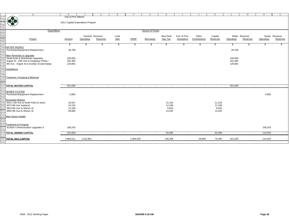|                                                             | $\mathbb{A}$                                 | $\mathbf{B}$                     | $\mathsf{C}$ | $\mathbb{D}$    | $\,$ E $\,$              |        | F           | G                | H              | T            | J             | K        | L                        | М             | $_{\rm N}$                          | $\circ$       |
|-------------------------------------------------------------|----------------------------------------------|----------------------------------|--------------|-----------------|--------------------------|--------|-------------|------------------|----------------|--------------|---------------|----------|--------------------------|---------------|-------------------------------------|---------------|
| 377                                                         |                                              | City of Port Alberni             |              |                 |                          |        |             |                  |                |              |               |          |                          |               |                                     |               |
|                                                             | 佛教                                           |                                  |              |                 |                          |        |             |                  |                |              |               |          |                          |               |                                     |               |
|                                                             |                                              | 2011 Capital Expenditure Program |              |                 |                          |        |             |                  |                |              |               |          |                          |               |                                     |               |
|                                                             |                                              |                                  |              |                 |                          |        |             |                  |                |              |               |          |                          |               |                                     |               |
|                                                             |                                              |                                  |              |                 |                          |        |             |                  |                |              |               |          |                          |               |                                     |               |
|                                                             |                                              |                                  |              |                 |                          |        |             |                  |                |              |               |          |                          |               |                                     |               |
|                                                             | Expenditure                                  |                                  |              |                 |                          |        |             | Source of Funds  |                |              |               |          |                          |               |                                     |               |
|                                                             |                                              |                                  |              |                 |                          |        |             |                  |                |              |               |          |                          |               |                                     |               |
|                                                             |                                              |                                  |              | General Revenue |                          |        |             |                  |                | Fed. & Prov. | Other         |          |                          | Water Revenue |                                     | Sewer Revenue |
|                                                             |                                              |                                  |              |                 | Land                     |        |             |                  | New Deal       |              |               | Capital  |                          |               |                                     |               |
|                                                             | Project                                      | <b>Amount</b>                    | Operating    | Reserves        | Sale                     |        | <b>ERRF</b> | Borrowing        | <b>Gas Tax</b> | Assistance   | Contributions | Reserves | Operating                | Reserves      | Operating                           | Reserves      |
|                                                             |                                              |                                  |              |                 |                          |        |             |                  |                |              |               |          |                          |               |                                     |               |
| 378<br>379<br>380<br>381<br>382<br>383<br>385<br>385<br>385 |                                              | S.                               | S            | \$              | \$                       |        | \$          | \$               | \$             | S.           | \$            | \$       | S                        |               |                                     |               |
|                                                             | 388 WATER WORKS                              |                                  |              |                 |                          |        |             |                  |                |              |               |          |                          |               |                                     |               |
|                                                             |                                              |                                  |              |                 |                          |        |             |                  |                |              |               |          |                          |               |                                     |               |
| 389                                                         | Purchases/Equipment Replacement              | 28,769                           |              |                 |                          |        |             |                  |                |              |               |          | 28,769                   |               |                                     |               |
| 390                                                         |                                              |                                  |              |                 |                          |        |             |                  |                |              |               |          |                          |               |                                     |               |
|                                                             | 391 Main Renewals & Upgrades                 |                                  |              |                 |                          |        |             |                  |                |              |               |          |                          |               |                                     |               |
| 392                                                         | Dead Ends & Distribution Upgrades            | 100,000                          |              |                 |                          |        |             |                  |                |              |               |          | 100,000                  |               |                                     |               |
| 393                                                         | Argyle St - 10th Ave to Kingsway Phase I     | 162,365                          |              |                 |                          |        |             |                  |                |              |               |          | 162,365                  |               |                                     |               |
| 394                                                         |                                              |                                  |              |                 |                          |        |             |                  |                |              |               |          |                          |               |                                     |               |
|                                                             | 6th Ave - Argyle St to Dunbar St (storm/ptp) | 129,892                          |              |                 |                          |        |             |                  |                |              |               |          | 129,892                  |               |                                     |               |
| 395                                                         |                                              |                                  |              |                 |                          |        |             |                  |                |              |               |          |                          |               |                                     |               |
| 396                                                         | <b>Installations</b>                         |                                  |              |                 |                          |        |             |                  |                |              |               |          |                          |               |                                     |               |
|                                                             |                                              |                                  |              |                 |                          |        |             |                  |                |              |               |          |                          |               |                                     |               |
| 397<br>398                                                  |                                              |                                  |              |                 |                          |        |             |                  |                |              |               |          |                          |               |                                     |               |
| 399                                                         | Treatment, Pumping & Metering                |                                  |              |                 |                          |        |             |                  |                |              |               |          |                          |               |                                     |               |
|                                                             |                                              |                                  |              |                 |                          |        |             |                  |                |              |               |          |                          |               |                                     |               |
| 400<br>401                                                  |                                              |                                  |              |                 |                          |        |             |                  |                |              |               |          |                          |               |                                     |               |
|                                                             |                                              |                                  |              |                 |                          |        |             |                  |                |              |               |          |                          |               |                                     |               |
|                                                             | <b>402 TOTAL WATER CAPITAL</b>               | 421,026                          | $\sim$       |                 | $\sim$                   | $\sim$ |             | $\sim$<br>$\sim$ | $\sim$         | $\sim$       | $\sim$        | $\sim$   | 421,026                  |               | $\sim$<br>$\sim$                    |               |
| 403                                                         |                                              |                                  |              |                 |                          |        |             |                  |                |              |               |          |                          |               |                                     |               |
| 404                                                         | <b>SEWER SYSTEM</b>                          |                                  |              |                 |                          |        |             |                  |                |              |               |          |                          |               |                                     |               |
| 405                                                         | Purchases/Equipment Replacement              | 5,800                            |              |                 |                          |        |             |                  |                |              |               |          |                          |               | 5,800                               |               |
|                                                             |                                              |                                  |              |                 |                          |        |             |                  |                |              |               |          |                          |               |                                     |               |
| 406                                                         |                                              |                                  |              |                 |                          |        |             |                  |                |              |               |          |                          |               |                                     |               |
| 407                                                         | Renewals / Relines                           |                                  |              |                 |                          |        |             |                  |                |              |               |          |                          |               |                                     |               |
| 408                                                         | 3541 11th Ave to North Park Dr (twin)        | 42,637                           |              |                 |                          |        |             |                  | 21,318         |              |               | 21,319   |                          |               |                                     |               |
|                                                             | 409 2673 9th Ave (replace)                   | 24,216                           |              |                 |                          |        |             |                  | 12,108         |              |               | 12,108   |                          |               |                                     |               |
|                                                             | 410 3819 9th Ave to Morton St                | 13,249                           |              |                 |                          |        |             |                  | 6,624          |              |               | 6,625    |                          |               |                                     |               |
| 411                                                         | 3855 9th Ave to Morton St                    | 28,684                           |              |                 |                          |        |             |                  | 14,342         |              |               | 14,342   |                          |               |                                     |               |
|                                                             |                                              |                                  |              |                 |                          |        |             |                  |                |              |               |          |                          |               |                                     |               |
| 412<br>413                                                  |                                              |                                  |              |                 |                          |        |             |                  |                |              |               |          |                          |               |                                     |               |
|                                                             | <b>New Sewer Installs</b>                    |                                  |              |                 |                          |        |             |                  |                |              |               |          |                          |               |                                     |               |
| 414<br>415<br>416                                           |                                              |                                  |              |                 |                          |        |             |                  |                |              |               |          |                          |               |                                     |               |
|                                                             |                                              |                                  |              |                 |                          |        |             |                  |                |              |               |          |                          |               |                                     |               |
|                                                             | <b>Treatment &amp; Pumping</b>               |                                  |              |                 |                          |        |             |                  |                |              |               |          |                          |               |                                     |               |
| 417                                                         | <b>SCADA Communication Upgrades II</b>       | 108,243                          |              |                 |                          |        |             |                  |                |              |               |          |                          |               | 108,243                             |               |
| 418                                                         |                                              |                                  |              |                 |                          |        |             |                  |                |              |               |          |                          |               |                                     |               |
|                                                             |                                              |                                  |              |                 |                          |        |             |                  |                |              |               |          |                          |               | 114,043                             |               |
|                                                             | <b>419 TOTAL SEWER CAPITAL</b>               | 222,829                          | $\sim$       |                 | $\sim$                   | $\sim$ |             | $\sim$<br>$\sim$ | 54,392         | $\sim$       | $\sim$        | 54,394   | $\overline{\phantom{a}}$ |               | $\sim$                              |               |
| 420                                                         |                                              |                                  |              |                 |                          |        |             |                  |                |              |               |          |                          |               |                                     |               |
| 421                                                         | <b>TOTAL 2011 CAPITAL</b>                    | 2,880,011                        | 1,012,851    |                 | $\overline{\phantom{a}}$ | $\sim$ | 1,084,529   | $\sim$           | 138,268        | $\sim$       | 29,900        | 79,394   | 421,026                  |               | 114,043<br>$\overline{\phantom{a}}$ |               |
| 422                                                         |                                              |                                  |              |                 |                          |        |             |                  |                |              |               |          |                          |               |                                     |               |
|                                                             |                                              |                                  |              |                 |                          |        |             |                  |                |              |               |          |                          |               |                                     |               |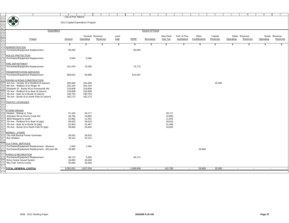|                                                                                                                                                                                                | $\mathbb{A}$                                          | B                                |           | <sup>D</sup>    | E.     | $\mathbf{F}$ | G               | H        |              |               |          |           | M             | $\, {\rm N}$ | $\circ$       |
|------------------------------------------------------------------------------------------------------------------------------------------------------------------------------------------------|-------------------------------------------------------|----------------------------------|-----------|-----------------|--------|--------------|-----------------|----------|--------------|---------------|----------|-----------|---------------|--------------|---------------|
| $\begin{array}{r}423 \\ 424 \\ \hline 425 \\ \hline 426 \\ \hline 427 \\ \hline 428 \\ \hline 429 \\ \hline 430 \\ \hline 431 \\ \hline 432 \\ \hline 433 \\ \hline 434 \\ \hline \end{array}$ |                                                       | City of Port Alberni             |           |                 |        |              |                 |          |              |               |          |           |               |              |               |
|                                                                                                                                                                                                | <b>OF BY</b>                                          |                                  |           |                 |        |              |                 |          |              |               |          |           |               |              |               |
|                                                                                                                                                                                                |                                                       | 2012 Capital Expenditure Program |           |                 |        |              |                 |          |              |               |          |           |               |              |               |
|                                                                                                                                                                                                |                                                       |                                  |           |                 |        |              |                 |          |              |               |          |           |               |              |               |
|                                                                                                                                                                                                |                                                       |                                  |           |                 |        |              |                 |          |              |               |          |           |               |              |               |
|                                                                                                                                                                                                | Expenditure                                           |                                  |           |                 |        |              | Source of Funds |          |              |               |          |           |               |              |               |
|                                                                                                                                                                                                |                                                       |                                  |           |                 |        |              |                 |          |              |               |          |           |               |              |               |
|                                                                                                                                                                                                |                                                       |                                  |           | General Revenue | Land   |              |                 | New Deal | Fed. & Prov. | Other         | Capital  |           | Water Revenue |              | Sewer Revenue |
|                                                                                                                                                                                                | Project                                               | Amount                           | Operating | <b>Reserves</b> | Sale   | <b>ERRF</b>  | Borrowing       | Gas Tax  | Assistance   | Contributions | Reserves | Operating | Reserves      | Operating    | Reserves      |
|                                                                                                                                                                                                |                                                       |                                  |           |                 |        |              |                 |          |              |               |          |           |               |              |               |
|                                                                                                                                                                                                |                                                       | \$                               | \$        | \$              | \$     | \$           | \$              | \$       | \$           | \$            | S.       | \$        | \$            | S            | S             |
|                                                                                                                                                                                                | <b>ADMINISTRATION</b>                                 |                                  |           |                 |        |              |                 |          |              |               |          |           |               |              |               |
| 435                                                                                                                                                                                            | Purchases/Equipment Replacement                       | 85,000                           |           |                 |        | 85,000       |                 |          |              |               |          |           |               |              |               |
| 436                                                                                                                                                                                            |                                                       |                                  |           |                 |        |              |                 |          |              |               |          |           |               |              |               |
| 437                                                                                                                                                                                            | POLICE PROTECTION                                     |                                  |           |                 |        |              |                 |          |              |               |          |           |               |              |               |
| 438                                                                                                                                                                                            | Purchases/Equipment Replacement                       | 5,000                            | 5,000     |                 |        |              |                 |          |              |               |          |           |               |              |               |
| 439                                                                                                                                                                                            |                                                       |                                  |           |                 |        |              |                 |          |              |               |          |           |               |              |               |
| 440                                                                                                                                                                                            | FIRE DEPARTMENT                                       |                                  |           |                 |        |              |                 |          |              |               |          |           |               |              |               |
| 441                                                                                                                                                                                            | Purchases/Equipment Replacement                       | 151,970                          | 76,200    |                 |        | 75,770       |                 |          |              |               |          |           |               |              |               |
| 442                                                                                                                                                                                            |                                                       |                                  |           |                 |        |              |                 |          |              |               |          |           |               |              |               |
| 443                                                                                                                                                                                            | <b>TRANSPORTATION SERVICES</b>                        |                                  |           |                 |        |              |                 |          |              |               |          |           |               |              |               |
| 444                                                                                                                                                                                            | Purchases/Equipment Replacement                       | 858,815                          | 46,808    |                 |        | 812,007      |                 |          |              |               |          |           |               |              |               |
| 445                                                                                                                                                                                            |                                                       |                                  |           |                 |        |              |                 |          |              |               |          |           |               |              |               |
| 446                                                                                                                                                                                            | PAVING & ROAD CONSTRUCTION                            |                                  |           |                 |        |              |                 |          |              |               |          |           |               |              |               |
| 447                                                                                                                                                                                            | 3rd Ave - Dunbar St to Redford St (sewer)             | 259,459                          | 234,459   |                 |        |              |                 |          |              |               | 25,000   |           |               |              |               |
|                                                                                                                                                                                                | 448 6th Ave - Wallace St to Roger St                  | 331,224                          | 331,224   |                 |        |              |                 |          |              |               |          |           |               |              |               |
| 449                                                                                                                                                                                            | Elizabeth St - Burke Rd to Arrowsmith Rd              | 218,608                          | 218,608   |                 |        |              |                 |          |              |               |          |           |               |              |               |
| 450                                                                                                                                                                                            | 7th Ave - Redford St to Bute St (storm)               | 218,608                          | 218,608   |                 |        |              |                 |          |              |               |          |           |               |              |               |
| 451                                                                                                                                                                                            | 7th Ave - Bute St to Burde St (storm)                 | 230,753                          | 230,753   |                 |        |              |                 |          |              |               |          |           |               |              |               |
| 452                                                                                                                                                                                            | 7th Ave - Burde St to North Park Dr (storm)           | 182,173                          | 182,173   |                 |        |              |                 |          |              |               |          |           |               |              |               |
| 453                                                                                                                                                                                            |                                                       |                                  |           |                 |        |              |                 |          |              |               |          |           |               |              |               |
| 454                                                                                                                                                                                            | <b>TRAFFIC UPGRADES</b>                               |                                  |           |                 |        |              |                 |          |              |               |          |           |               |              |               |
| 455                                                                                                                                                                                            |                                                       |                                  |           |                 |        |              |                 |          |              |               |          |           |               |              |               |
| 456                                                                                                                                                                                            |                                                       |                                  |           |                 |        |              |                 |          |              |               |          |           |               |              |               |
| 457                                                                                                                                                                                            | <b>STORM DRAINS</b>                                   |                                  |           |                 |        |              |                 |          |              |               |          |           |               |              |               |
| 458                                                                                                                                                                                            | Haslam - Bishop to Tebo                               | 57,434                           | 28,717    |                 |        |              |                 | 28,717   |              |               |          |           |               |              |               |
| 459                                                                                                                                                                                            | Johnston Rd at Cherry Creek Rd                        | 33,784                           | 16,892    |                 |        |              |                 | 16,892   |              |               |          |           |               |              |               |
| 460                                                                                                                                                                                            | 4829 Margaret to south                                | 22,082                           | 11,041    |                 |        |              |                 | 11,041   |              |               |          |           |               |              |               |
| 461                                                                                                                                                                                            | 7th Ave - Redford St to Bute St (ptp)                 | 59,620                           | 29,810    |                 |        |              |                 | 29,810   |              |               |          |           |               |              |               |
| 462                                                                                                                                                                                            | 7th Ave - Bute St to Burde St (ptp)                   | 62,933                           | 31,467    |                 |        |              |                 | 31,466   |              |               |          |           |               |              |               |
| 463                                                                                                                                                                                            | 7th Ave - Burde St to North Park Dr (ptp)             | 49,684                           | 24,842    |                 |        |              |                 | 24,842   |              |               |          |           |               |              |               |
| 464                                                                                                                                                                                            |                                                       |                                  |           |                 |        |              |                 |          |              |               |          |           |               |              |               |
| 465                                                                                                                                                                                            | WORKS - OTHER                                         |                                  |           |                 |        |              |                 |          |              |               |          |           |               |              |               |
| 466                                                                                                                                                                                            | City Hall Backup Power Generator                      | 39,810                           | 39,810    |                 |        |              |                 |          |              |               |          |           |               |              |               |
| 467                                                                                                                                                                                            | <b>Bus Shelters</b>                                   | 33,122                           | 33,122    |                 |        |              |                 |          |              |               |          |           |               |              |               |
| 468                                                                                                                                                                                            |                                                       |                                  |           |                 |        |              |                 |          |              |               |          |           |               |              |               |
|                                                                                                                                                                                                | <b>469 CULTURAL SERVICES</b>                          |                                  |           |                 |        |              |                 |          |              |               |          |           |               |              |               |
|                                                                                                                                                                                                | Purchases/Equipment Replacement - Museum              | 1,500                            | 1,500     |                 |        |              |                 |          |              |               |          |           |               |              |               |
| 470                                                                                                                                                                                            | 471 Purchases/Equipment Replacement - McLean Mil      | 29,900                           |           |                 |        |              |                 |          |              | 29,900        |          |           |               |              |               |
|                                                                                                                                                                                                |                                                       |                                  |           |                 |        |              |                 |          |              |               |          |           |               |              |               |
| 472                                                                                                                                                                                            |                                                       |                                  |           |                 |        |              |                 |          |              |               |          |           |               |              |               |
| 473                                                                                                                                                                                            | PARKS & RECREATION<br>Purchases/Equipment Replacement | 99,172                           | 5,000     |                 |        | 94,172       |                 |          |              |               |          |           |               |              |               |
|                                                                                                                                                                                                | Echo Centre Sound System                              | 26,000                           | 26,000    |                 |        |              |                 |          |              |               |          |           |               |              |               |
| 475                                                                                                                                                                                            |                                                       |                                  |           |                 |        |              |                 |          |              |               |          |           |               |              |               |
| 476                                                                                                                                                                                            | Rec Park Tennis Courts                                | 35,000                           | 35,000    |                 |        |              |                 |          |              |               |          |           |               |              |               |
| 477                                                                                                                                                                                            | 478 TOTAL GENERAL CAPITAL                             | 3,091,651                        | 1,827,034 |                 |        | 1,066,949    |                 | 142,768  |              | 29,900        | 25,000   | $\sim$    |               | $\sim$       |               |
|                                                                                                                                                                                                |                                                       |                                  |           | $\sim$          | $\sim$ |              | $\sim$          |          | $\sim$       |               |          |           | $\sim$        |              |               |
| 479                                                                                                                                                                                            |                                                       |                                  |           |                 |        |              |                 |          |              |               |          |           |               |              |               |